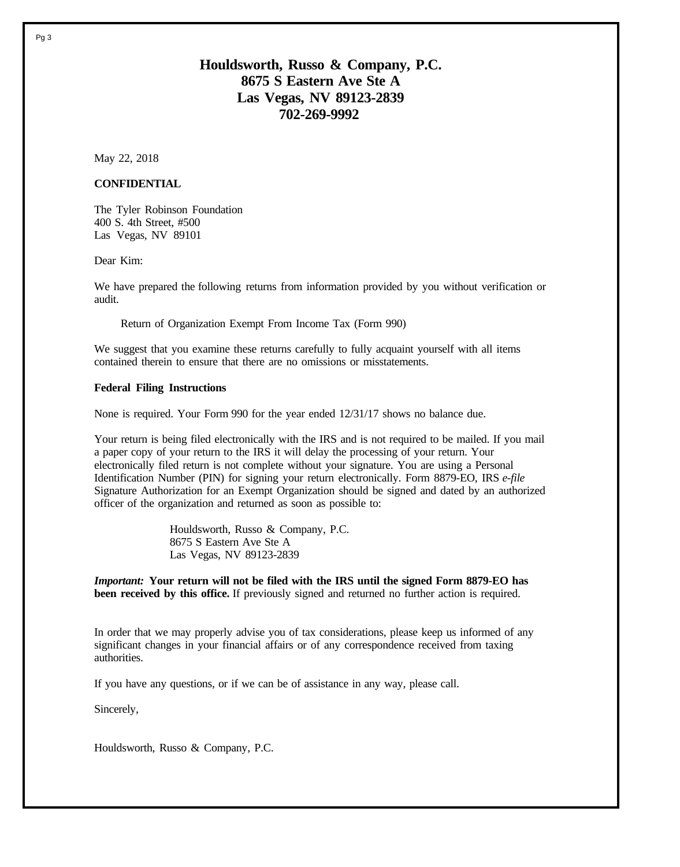# **Houldsworth, Russo & Company, P.C. 8675 S Eastern Ave Ste A Las Vegas, NV 89123-2839 702-269-9992**

May 22, 2018

### **CONFIDENTIAL**

The Tyler Robinson Foundation 400 S. 4th Street, #500 Las Vegas, NV 89101

Dear Kim:

We have prepared the following returns from information provided by you without verification or audit.

Return of Organization Exempt From Income Tax (Form 990)

We suggest that you examine these returns carefully to fully acquaint yourself with all items contained therein to ensure that there are no omissions or misstatements.

#### **Federal Filing Instructions**

None is required. Your Form 990 for the year ended 12/31/17 shows no balance due.

Your return is being filed electronically with the IRS and is not required to be mailed. If you mail a paper copy of your return to the IRS it will delay the processing of your return. Your electronically filed return is not complete without your signature. You are using a Personal Identification Number (PIN) for signing your return electronically. Form 8879-EO, IRS *e-file* Signature Authorization for an Exempt Organization should be signed and dated by an authorized officer of the organization and returned as soon as possible to:

> Houldsworth, Russo & Company, P.C. 8675 S Eastern Ave Ste A Las Vegas, NV 89123-2839

*Important:* **Your return will not be filed with the IRS until the signed Form 8879-EO has been received by this office.** If previously signed and returned no further action is required.

In order that we may properly advise you of tax considerations, please keep us informed of any significant changes in your financial affairs or of any correspondence received from taxing authorities.

If you have any questions, or if we can be of assistance in any way, please call.

Sincerely,

Houldsworth, Russo & Company, P.C.

Pg 3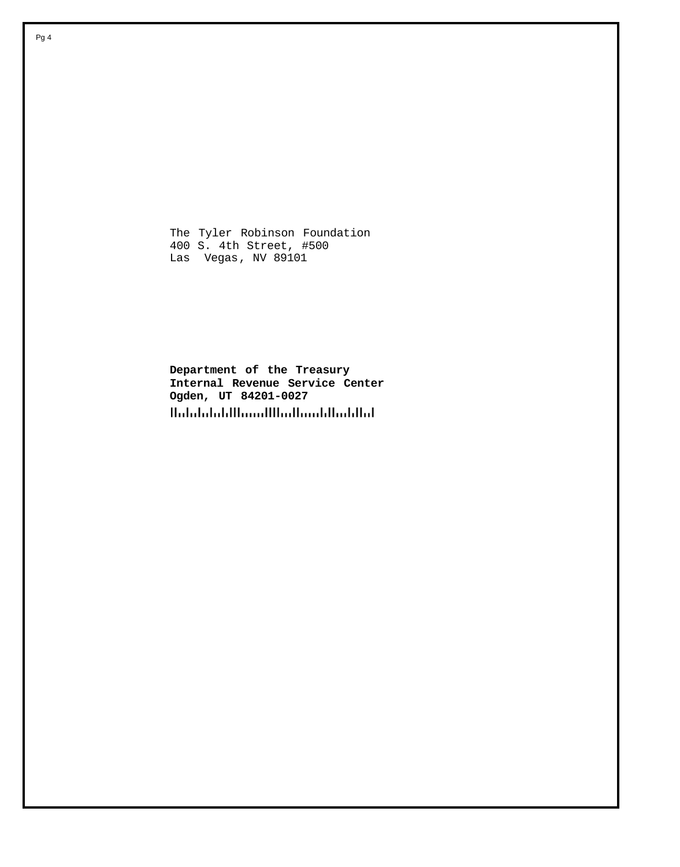The Tyler Robinson Foundation 400 S. 4th Street, #500 Las Vegas, NV 89101

**Department of the Treasury Internal Revenue Service Center Ogden, UT 84201-0027** HalalalaldHamilHadhaaldhahllal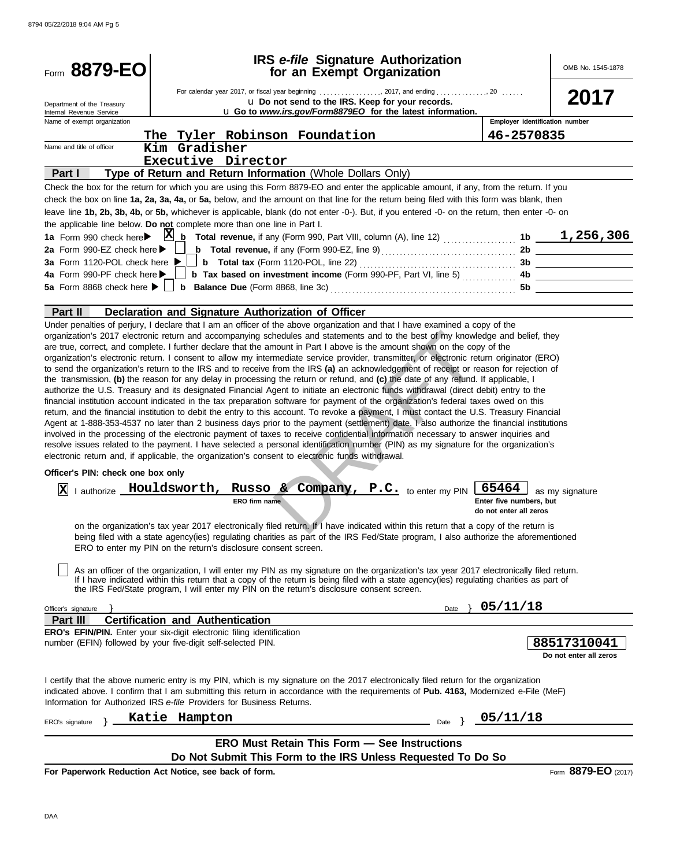| Form 8879-EO                                            |                                                                                                                                                                                                                                                                                                                                                                                                                                                                                                                                                                                                                                                                                                                                                                                                                                                                                                                                                                                                                                                                                                                                                                                                                                            | IRS e-file Signature Authorization<br>for an Exempt Organization |                                                            | OMB No. 1545-1878                     |
|---------------------------------------------------------|--------------------------------------------------------------------------------------------------------------------------------------------------------------------------------------------------------------------------------------------------------------------------------------------------------------------------------------------------------------------------------------------------------------------------------------------------------------------------------------------------------------------------------------------------------------------------------------------------------------------------------------------------------------------------------------------------------------------------------------------------------------------------------------------------------------------------------------------------------------------------------------------------------------------------------------------------------------------------------------------------------------------------------------------------------------------------------------------------------------------------------------------------------------------------------------------------------------------------------------------|------------------------------------------------------------------|------------------------------------------------------------|---------------------------------------|
|                                                         |                                                                                                                                                                                                                                                                                                                                                                                                                                                                                                                                                                                                                                                                                                                                                                                                                                                                                                                                                                                                                                                                                                                                                                                                                                            |                                                                  |                                                            |                                       |
| Department of the Treasury                              |                                                                                                                                                                                                                                                                                                                                                                                                                                                                                                                                                                                                                                                                                                                                                                                                                                                                                                                                                                                                                                                                                                                                                                                                                                            | U Do not send to the IRS. Keep for your records.                 |                                                            | 2017                                  |
| Internal Revenue Service<br>Name of exempt organization |                                                                                                                                                                                                                                                                                                                                                                                                                                                                                                                                                                                                                                                                                                                                                                                                                                                                                                                                                                                                                                                                                                                                                                                                                                            | u Go to www.irs.gov/Form8879EO for the latest information.       | Employer identification number                             |                                       |
|                                                         | The Tyler Robinson Foundation                                                                                                                                                                                                                                                                                                                                                                                                                                                                                                                                                                                                                                                                                                                                                                                                                                                                                                                                                                                                                                                                                                                                                                                                              |                                                                  | 46-2570835                                                 |                                       |
| Name and title of officer                               | Kim Gradisher                                                                                                                                                                                                                                                                                                                                                                                                                                                                                                                                                                                                                                                                                                                                                                                                                                                                                                                                                                                                                                                                                                                                                                                                                              |                                                                  |                                                            |                                       |
|                                                         | Executive Director                                                                                                                                                                                                                                                                                                                                                                                                                                                                                                                                                                                                                                                                                                                                                                                                                                                                                                                                                                                                                                                                                                                                                                                                                         |                                                                  |                                                            |                                       |
| Part I                                                  | Type of Return and Return Information (Whole Dollars Only)                                                                                                                                                                                                                                                                                                                                                                                                                                                                                                                                                                                                                                                                                                                                                                                                                                                                                                                                                                                                                                                                                                                                                                                 |                                                                  |                                                            |                                       |
|                                                         | Check the box for the return for which you are using this Form 8879-EO and enter the applicable amount, if any, from the return. If you                                                                                                                                                                                                                                                                                                                                                                                                                                                                                                                                                                                                                                                                                                                                                                                                                                                                                                                                                                                                                                                                                                    |                                                                  |                                                            |                                       |
|                                                         | check the box on line 1a, 2a, 3a, 4a, or 5a, below, and the amount on that line for the return being filed with this form was blank, then<br>leave line 1b, 2b, 3b, 4b, or 5b, whichever is applicable, blank (do not enter -0-). But, if you entered -0- on the return, then enter -0- on<br>the applicable line below. Do not complete more than one line in Part I.                                                                                                                                                                                                                                                                                                                                                                                                                                                                                                                                                                                                                                                                                                                                                                                                                                                                     |                                                                  |                                                            |                                       |
|                                                         |                                                                                                                                                                                                                                                                                                                                                                                                                                                                                                                                                                                                                                                                                                                                                                                                                                                                                                                                                                                                                                                                                                                                                                                                                                            |                                                                  |                                                            |                                       |
| 2a Form 990-EZ check here $\blacktriangleright$         |                                                                                                                                                                                                                                                                                                                                                                                                                                                                                                                                                                                                                                                                                                                                                                                                                                                                                                                                                                                                                                                                                                                                                                                                                                            |                                                                  |                                                            |                                       |
| 3a Form 1120-POL check here $\blacktriangleright$       |                                                                                                                                                                                                                                                                                                                                                                                                                                                                                                                                                                                                                                                                                                                                                                                                                                                                                                                                                                                                                                                                                                                                                                                                                                            |                                                                  |                                                            |                                       |
| 4a Form 990-PF check here >                             |                                                                                                                                                                                                                                                                                                                                                                                                                                                                                                                                                                                                                                                                                                                                                                                                                                                                                                                                                                                                                                                                                                                                                                                                                                            |                                                                  |                                                            |                                       |
|                                                         |                                                                                                                                                                                                                                                                                                                                                                                                                                                                                                                                                                                                                                                                                                                                                                                                                                                                                                                                                                                                                                                                                                                                                                                                                                            |                                                                  | 5b                                                         |                                       |
|                                                         |                                                                                                                                                                                                                                                                                                                                                                                                                                                                                                                                                                                                                                                                                                                                                                                                                                                                                                                                                                                                                                                                                                                                                                                                                                            |                                                                  |                                                            |                                       |
| Part II                                                 | Declaration and Signature Authorization of Officer                                                                                                                                                                                                                                                                                                                                                                                                                                                                                                                                                                                                                                                                                                                                                                                                                                                                                                                                                                                                                                                                                                                                                                                         |                                                                  |                                                            |                                       |
|                                                         | to send the organization's return to the IRS and to receive from the IRS (a) an acknowledgement of receipt or reason for rejection of<br>the transmission, (b) the reason for any delay in processing the return or refund, and (c) the date of any refund. If applicable, I<br>authorize the U.S. Treasury and its designated Financial Agent to initiate an electronic funds withdrawal (direct debit) entry to the<br>financial institution account indicated in the tax preparation software for payment of the organization's federal taxes owed on this<br>return, and the financial institution to debit the entry to this account. To revoke a payment, I must contact the U.S. Treasury Financial<br>Agent at 1-888-353-4537 no later than 2 business days prior to the payment (settlement) date. I also authorize the financial institutions<br>involved in the processing of the electronic payment of taxes to receive confidential information necessary to answer inquiries and<br>resolve issues related to the payment. I have selected a personal identification number (PIN) as my signature for the organization's<br>electronic return and, if applicable, the organization's consent to electronic funds withdrawal. |                                                                  |                                                            |                                       |
| Officer's PIN: check one box only                       |                                                                                                                                                                                                                                                                                                                                                                                                                                                                                                                                                                                                                                                                                                                                                                                                                                                                                                                                                                                                                                                                                                                                                                                                                                            |                                                                  |                                                            |                                       |
| I authorize <b>Houldsworth,</b><br>$ {\bf X} $          | ERO firm name                                                                                                                                                                                                                                                                                                                                                                                                                                                                                                                                                                                                                                                                                                                                                                                                                                                                                                                                                                                                                                                                                                                                                                                                                              | Russo & Company, P.C. to enter my PIN                            | 65464<br>Enter five numbers, but<br>do not enter all zeros | as my signature                       |
|                                                         | on the organization's tax year 2017 electronically filed return. If I have indicated within this return that a copy of the return is<br>being filed with a state agency(ies) regulating charities as part of the IRS Fed/State program, I also authorize the aforementioned<br>ERO to enter my PIN on the return's disclosure consent screen.<br>As an officer of the organization, I will enter my PIN as my signature on the organization's tax year 2017 electronically filed return.                                                                                                                                                                                                                                                                                                                                                                                                                                                                                                                                                                                                                                                                                                                                                   |                                                                  |                                                            |                                       |
|                                                         | If I have indicated within this return that a copy of the return is being filed with a state agency(ies) regulating charities as part of<br>the IRS Fed/State program, I will enter my PIN on the return's disclosure consent screen.                                                                                                                                                                                                                                                                                                                                                                                                                                                                                                                                                                                                                                                                                                                                                                                                                                                                                                                                                                                                      |                                                                  |                                                            |                                       |
| Officer's signature                                     |                                                                                                                                                                                                                                                                                                                                                                                                                                                                                                                                                                                                                                                                                                                                                                                                                                                                                                                                                                                                                                                                                                                                                                                                                                            | Date                                                             | 05/11/18                                                   |                                       |
| <b>Part III</b>                                         | <b>Certification and Authentication</b>                                                                                                                                                                                                                                                                                                                                                                                                                                                                                                                                                                                                                                                                                                                                                                                                                                                                                                                                                                                                                                                                                                                                                                                                    |                                                                  |                                                            |                                       |
|                                                         | ERO's EFIN/PIN. Enter your six-digit electronic filing identification<br>number (EFIN) followed by your five-digit self-selected PIN.                                                                                                                                                                                                                                                                                                                                                                                                                                                                                                                                                                                                                                                                                                                                                                                                                                                                                                                                                                                                                                                                                                      |                                                                  |                                                            | 88517310041<br>Do not enter all zeros |
|                                                         | I certify that the above numeric entry is my PIN, which is my signature on the 2017 electronically filed return for the organization<br>indicated above. I confirm that I am submitting this return in accordance with the requirements of Pub. 4163, Modernized e-File (MeF)<br>Information for Authorized IRS e-file Providers for Business Returns.                                                                                                                                                                                                                                                                                                                                                                                                                                                                                                                                                                                                                                                                                                                                                                                                                                                                                     |                                                                  |                                                            |                                       |
| ERO's signature                                         | Katie Hampton                                                                                                                                                                                                                                                                                                                                                                                                                                                                                                                                                                                                                                                                                                                                                                                                                                                                                                                                                                                                                                                                                                                                                                                                                              | Date $\}$                                                        | 05/11/18                                                   |                                       |
|                                                         |                                                                                                                                                                                                                                                                                                                                                                                                                                                                                                                                                                                                                                                                                                                                                                                                                                                                                                                                                                                                                                                                                                                                                                                                                                            | <b>ERO Must Retain This Form - See Instructions</b>              |                                                            |                                       |
|                                                         |                                                                                                                                                                                                                                                                                                                                                                                                                                                                                                                                                                                                                                                                                                                                                                                                                                                                                                                                                                                                                                                                                                                                                                                                                                            |                                                                  |                                                            |                                       |
|                                                         | Do Not Submit This Form to the IRS Unless Requested To Do So                                                                                                                                                                                                                                                                                                                                                                                                                                                                                                                                                                                                                                                                                                                                                                                                                                                                                                                                                                                                                                                                                                                                                                               |                                                                  |                                                            |                                       |
|                                                         | For Paperwork Reduction Act Notice, see back of form.                                                                                                                                                                                                                                                                                                                                                                                                                                                                                                                                                                                                                                                                                                                                                                                                                                                                                                                                                                                                                                                                                                                                                                                      |                                                                  |                                                            | Form 8879-EO (2017)                   |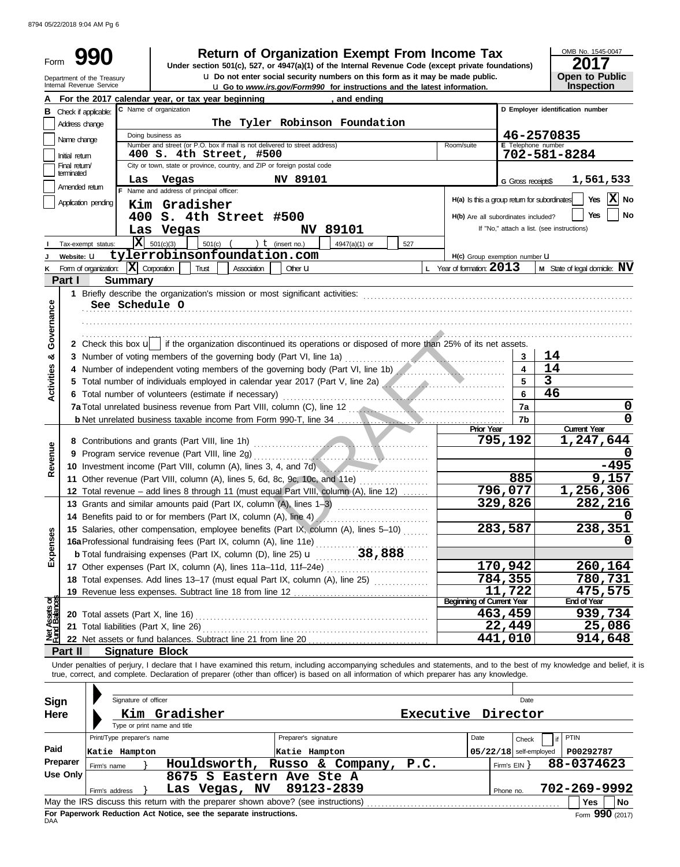| Form                    |                                                                                             |                                                      |                                                                                                       |                    |                          | <b>Return of Organization Exempt From Income Tax</b><br>Under section 501(c), 527, or 4947(a)(1) of the Internal Revenue Code (except private foundations) |      |                                              |                           | OMB No. 1545-0047<br>2017                                                                                                                                                  |
|-------------------------|---------------------------------------------------------------------------------------------|------------------------------------------------------|-------------------------------------------------------------------------------------------------------|--------------------|--------------------------|------------------------------------------------------------------------------------------------------------------------------------------------------------|------|----------------------------------------------|---------------------------|----------------------------------------------------------------------------------------------------------------------------------------------------------------------------|
|                         | Internal Revenue Service                                                                    | Department of the Treasury                           |                                                                                                       |                    |                          | U Do not enter social security numbers on this form as it may be made public.<br>U Go to www.irs.gov/Form990 for instructions and the latest information.  |      |                                              |                           | Open to Public<br>Inspection                                                                                                                                               |
| А                       |                                                                                             |                                                      | For the 2017 calendar year, or tax year beginning                                                     |                    |                          | , and ending                                                                                                                                               |      |                                              |                           |                                                                                                                                                                            |
|                         | C Name of organization<br>D Employer identification number<br><b>B</b> Check if applicable: |                                                      |                                                                                                       |                    |                          |                                                                                                                                                            |      |                                              |                           |                                                                                                                                                                            |
|                         | Address change                                                                              |                                                      |                                                                                                       |                    |                          | The Tyler Robinson Foundation                                                                                                                              |      |                                              |                           |                                                                                                                                                                            |
|                         | Name change                                                                                 |                                                      | Doing business as                                                                                     |                    |                          |                                                                                                                                                            |      |                                              |                           | 46-2570835                                                                                                                                                                 |
|                         | Initial retum                                                                               |                                                      | Number and street (or P.O. box if mail is not delivered to street address)<br>400 S. 4th Street, #500 |                    |                          |                                                                                                                                                            |      | Room/suite                                   | E Telephone number        | 702-581-8284                                                                                                                                                               |
|                         | Final return                                                                                |                                                      | City or town, state or province, country, and ZIP or foreign postal code                              |                    |                          |                                                                                                                                                            |      |                                              |                           |                                                                                                                                                                            |
|                         | terminated                                                                                  | Las                                                  | Vegas                                                                                                 |                    | NV 89101                 |                                                                                                                                                            |      |                                              | <b>G</b> Gross receipts\$ | 1,561,533                                                                                                                                                                  |
|                         | Amended return                                                                              |                                                      | F Name and address of principal officer:                                                              |                    |                          |                                                                                                                                                            |      |                                              |                           |                                                                                                                                                                            |
|                         | Application pending                                                                         |                                                      | Kim Gradisher                                                                                         |                    |                          |                                                                                                                                                            |      | H(a) Is this a group return for subordinates |                           | x<br><b>Yes</b><br>No                                                                                                                                                      |
|                         |                                                                                             |                                                      | 400 S. 4th Street #500                                                                                |                    |                          |                                                                                                                                                            |      | H(b) Are all subordinates included?          |                           | Yes<br>No                                                                                                                                                                  |
|                         |                                                                                             |                                                      | Las Vegas                                                                                             |                    | <b>NV 89101</b>          |                                                                                                                                                            |      |                                              |                           | If "No," attach a list. (see instructions)                                                                                                                                 |
|                         | Tax-exempt status:                                                                          |                                                      | $\overline{\mathbf{X}}$ 501(c)(3)<br>$501(c)$ (                                                       |                    | ) $t$ (insert no.)       | 4947(a)(1) or                                                                                                                                              | 527  |                                              |                           |                                                                                                                                                                            |
|                         | Website: U                                                                                  |                                                      | tylerrobinsonfoundation.com                                                                           |                    |                          |                                                                                                                                                            |      | H(c) Group exemption number U                |                           |                                                                                                                                                                            |
| κ                       |                                                                                             | Form of organization: $ \mathbf{X} $ Corporation     | Trust                                                                                                 | <b>Association</b> | Other <b>U</b>           |                                                                                                                                                            |      | L Year of formation: $2013$                  |                           | <b>M</b> State of legal domicile: $\mathbf{N}\mathbf{V}$                                                                                                                   |
|                         | Part I                                                                                      | <b>Summary</b>                                       |                                                                                                       |                    |                          |                                                                                                                                                            |      |                                              |                           |                                                                                                                                                                            |
|                         |                                                                                             |                                                      |                                                                                                       |                    |                          |                                                                                                                                                            |      |                                              |                           |                                                                                                                                                                            |
|                         |                                                                                             | See Schedule O                                       |                                                                                                       |                    |                          |                                                                                                                                                            |      |                                              |                           |                                                                                                                                                                            |
| Governance              |                                                                                             |                                                      |                                                                                                       |                    |                          |                                                                                                                                                            |      |                                              |                           |                                                                                                                                                                            |
|                         |                                                                                             |                                                      |                                                                                                       |                    |                          |                                                                                                                                                            |      |                                              |                           |                                                                                                                                                                            |
|                         |                                                                                             |                                                      |                                                                                                       |                    |                          | 2 Check this box $\bigcup$ if the organization discontinued its operations or disposed of more than 25% of its net assets.                                 |      |                                              |                           |                                                                                                                                                                            |
| య                       |                                                                                             |                                                      |                                                                                                       |                    |                          |                                                                                                                                                            |      |                                              | 3                         | 14                                                                                                                                                                         |
|                         |                                                                                             |                                                      |                                                                                                       |                    |                          | 4 Number of independent voting members of the governing body (Part VI, line 1b)                                                                            |      |                                              | $\overline{4}$            | 14                                                                                                                                                                         |
| Activities              |                                                                                             |                                                      |                                                                                                       |                    |                          | 5 Total number of individuals employed in calendar year 2017 (Part V, line 2a)                                                                             |      |                                              | 5                         | $\overline{\mathbf{3}}$                                                                                                                                                    |
|                         |                                                                                             | 6 Total number of volunteers (estimate if necessary) | 6                                                                                                     | 46                 |                          |                                                                                                                                                            |      |                                              |                           |                                                                                                                                                                            |
|                         |                                                                                             |                                                      |                                                                                                       |                    |                          |                                                                                                                                                            |      |                                              | 7a                        | 0                                                                                                                                                                          |
|                         |                                                                                             |                                                      |                                                                                                       |                    |                          |                                                                                                                                                            |      | <b>Prior Year</b>                            | 7b                        | 0<br><b>Current Year</b>                                                                                                                                                   |
|                         |                                                                                             |                                                      |                                                                                                       |                    |                          |                                                                                                                                                            |      |                                              | 795,192                   | 1,247,644                                                                                                                                                                  |
| Revenue                 |                                                                                             |                                                      |                                                                                                       |                    |                          |                                                                                                                                                            |      |                                              |                           |                                                                                                                                                                            |
|                         |                                                                                             |                                                      |                                                                                                       |                    |                          | 10 Investment income (Part VIII, column (A), lines 3, 4, and 7d)                                                                                           |      |                                              |                           | -495                                                                                                                                                                       |
|                         |                                                                                             |                                                      | 11 Other revenue (Part VIII, column (A), lines 5, 6d, 8c, 9c, 10c, and 11e)                           |                    |                          |                                                                                                                                                            |      |                                              | 885                       | 9,157                                                                                                                                                                      |
|                         |                                                                                             |                                                      |                                                                                                       |                    |                          | 12 Total revenue - add lines 8 through 11 (must equal Part VIII, column (A), line 12)                                                                      |      |                                              | 796,077                   | 1,256,306                                                                                                                                                                  |
|                         |                                                                                             |                                                      | 13 Grants and similar amounts paid (Part IX, column (A), lines 1-3)                                   |                    |                          |                                                                                                                                                            |      |                                              | 329,826                   | 282,216                                                                                                                                                                    |
|                         |                                                                                             |                                                      | 14 Benefits paid to or for members (Part IX, column (A), line 4)                                      |                    |                          |                                                                                                                                                            |      |                                              |                           | 0                                                                                                                                                                          |
|                         |                                                                                             |                                                      |                                                                                                       |                    |                          | 15 Salaries, other compensation, employee benefits (Part IX, column (A), lines 5-10)                                                                       |      |                                              | 283,587                   | 238,351                                                                                                                                                                    |
| Expenses                |                                                                                             |                                                      | 16a Professional fundraising fees (Part IX, column (A), line 11e)                                     |                    |                          |                                                                                                                                                            |      |                                              |                           |                                                                                                                                                                            |
|                         |                                                                                             |                                                      |                                                                                                       |                    |                          |                                                                                                                                                            |      |                                              |                           |                                                                                                                                                                            |
|                         |                                                                                             |                                                      |                                                                                                       |                    |                          | 17 Other expenses (Part IX, column (A), lines 11a-11d, 11f-24e)                                                                                            |      |                                              | 170,942                   | 260,164                                                                                                                                                                    |
|                         |                                                                                             |                                                      |                                                                                                       |                    |                          | 18 Total expenses. Add lines 13-17 (must equal Part IX, column (A), line 25)                                                                               |      |                                              | 784,355                   | 780,731                                                                                                                                                                    |
|                         |                                                                                             |                                                      |                                                                                                       |                    |                          |                                                                                                                                                            |      |                                              | 11,722                    | 475,575                                                                                                                                                                    |
| Assets of<br>1 Balances |                                                                                             |                                                      |                                                                                                       |                    |                          |                                                                                                                                                            |      | <b>Beginning of Current Year</b>             | 463,459                   | <b>End of Year</b><br>939,734                                                                                                                                              |
|                         |                                                                                             |                                                      |                                                                                                       |                    |                          |                                                                                                                                                            |      |                                              | 22,449                    | 25,086                                                                                                                                                                     |
| 월                       |                                                                                             |                                                      | 22 Net assets or fund balances. Subtract line 21 from line 20.                                        |                    |                          |                                                                                                                                                            |      |                                              | 441,010                   | 914,648                                                                                                                                                                    |
|                         | Part II                                                                                     | <b>Signature Block</b>                               |                                                                                                       |                    |                          |                                                                                                                                                            |      |                                              |                           |                                                                                                                                                                            |
|                         |                                                                                             |                                                      |                                                                                                       |                    |                          |                                                                                                                                                            |      |                                              |                           | Under penalties of perjury, I declare that I have examined this return, including accompanying schedules and statements, and to the best of my knowledge and belief, it is |
|                         |                                                                                             |                                                      |                                                                                                       |                    |                          | true, correct, and complete. Declaration of preparer (other than officer) is based on all information of which preparer has any knowledge.                 |      |                                              |                           |                                                                                                                                                                            |
|                         |                                                                                             |                                                      |                                                                                                       |                    |                          |                                                                                                                                                            |      |                                              |                           |                                                                                                                                                                            |
| <b>Sign</b>             |                                                                                             | Signature of officer                                 |                                                                                                       |                    |                          |                                                                                                                                                            |      |                                              | Date                      |                                                                                                                                                                            |
| Here                    |                                                                                             |                                                      | Kim Gradisher                                                                                         |                    |                          |                                                                                                                                                            |      | Executive Director                           |                           |                                                                                                                                                                            |
|                         |                                                                                             |                                                      | Type or print name and title                                                                          |                    |                          |                                                                                                                                                            |      |                                              |                           |                                                                                                                                                                            |
|                         |                                                                                             | Print/Type preparer's name                           |                                                                                                       |                    | Preparer's signature     |                                                                                                                                                            |      | Date                                         | Check                     | <b>PTIN</b><br>if                                                                                                                                                          |
| Paid                    |                                                                                             | Katie Hampton                                        |                                                                                                       |                    | Katie Hampton            |                                                                                                                                                            |      |                                              | $05/22/18$ self-employed  | P00292787                                                                                                                                                                  |
|                         | Preparer                                                                                    | Firm's name                                          | Houldsworth,                                                                                          |                    | Russo & Company,         |                                                                                                                                                            | P.C. |                                              | Firm's $EIN$ }            | 88-0374623                                                                                                                                                                 |
|                         | <b>Use Only</b>                                                                             |                                                      |                                                                                                       |                    | 8675 S Eastern Ave Ste A |                                                                                                                                                            |      |                                              |                           |                                                                                                                                                                            |
|                         |                                                                                             | Firm's address                                       | Las Vegas, NV                                                                                         |                    | 89123-2839               |                                                                                                                                                            |      |                                              | Phone no.                 | 702-269-9992                                                                                                                                                               |
|                         |                                                                                             |                                                      |                                                                                                       |                    |                          |                                                                                                                                                            |      |                                              |                           |                                                                                                                                                                            |

| Use Only $ $ |                                                                                       |  |  |  |  |  | 8675 S Eastern Ave Ste A |  |           |              |     |      |  |
|--------------|---------------------------------------------------------------------------------------|--|--|--|--|--|--------------------------|--|-----------|--------------|-----|------|--|
|              | Firm's address                                                                        |  |  |  |  |  | Las Vegas, NV 89123-2839 |  | Phone no. | 702-269-9992 |     |      |  |
|              | May the IRS discuss this return with the preparer shown above? (see instructions)     |  |  |  |  |  |                          |  |           |              | Yes | l No |  |
| DAA          | Form 990 (2017)<br>For Paperwork Reduction Act Notice, see the separate instructions. |  |  |  |  |  |                          |  |           |              |     |      |  |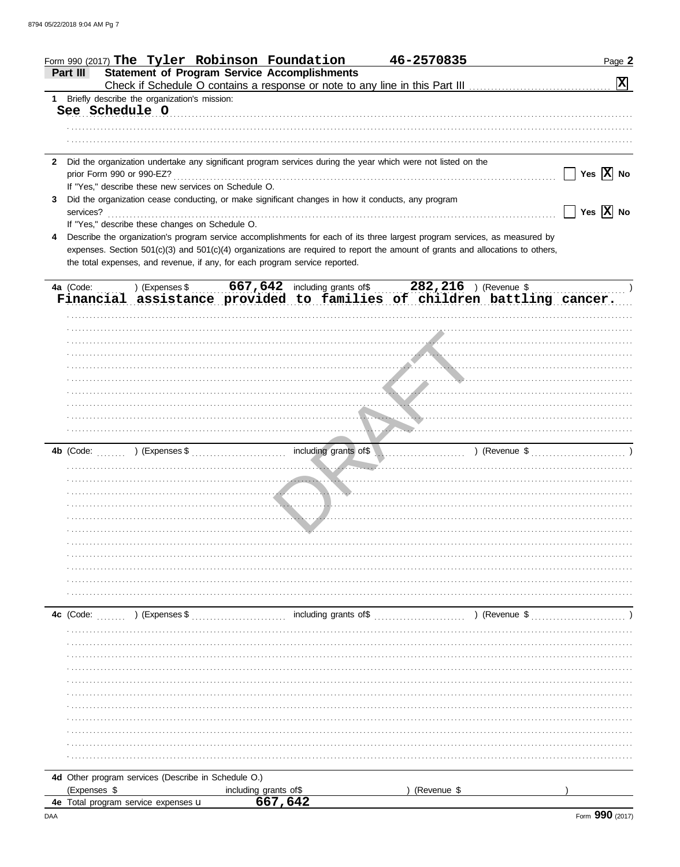|              |                | Form 990 (2017) The Tyler Robinson Foundation                                                      |                       | 46-2570835                                                                                                                                                                                                                                                   | Page 2                      |
|--------------|----------------|----------------------------------------------------------------------------------------------------|-----------------------|--------------------------------------------------------------------------------------------------------------------------------------------------------------------------------------------------------------------------------------------------------------|-----------------------------|
|              | Part III       | <b>Statement of Program Service Accomplishments</b>                                                |                       |                                                                                                                                                                                                                                                              | $\boxed{\mathbf{X}}$        |
|              |                | 1 Briefly describe the organization's mission:                                                     |                       |                                                                                                                                                                                                                                                              |                             |
|              | See Schedule O |                                                                                                    |                       |                                                                                                                                                                                                                                                              |                             |
|              |                |                                                                                                    |                       |                                                                                                                                                                                                                                                              |                             |
|              |                |                                                                                                    |                       |                                                                                                                                                                                                                                                              |                             |
|              |                |                                                                                                    |                       |                                                                                                                                                                                                                                                              |                             |
| $\mathbf{2}$ |                |                                                                                                    |                       | Did the organization undertake any significant program services during the year which were not listed on the                                                                                                                                                 | Yes $\overline{X}$ No       |
|              |                | If "Yes," describe these new services on Schedule O.                                               |                       |                                                                                                                                                                                                                                                              |                             |
| 3.           |                | Did the organization cease conducting, or make significant changes in how it conducts, any program |                       |                                                                                                                                                                                                                                                              |                             |
|              | services?      |                                                                                                    |                       |                                                                                                                                                                                                                                                              | Yes $\boxed{\mathbf{X}}$ No |
|              |                | If "Yes," describe these changes on Schedule O.                                                    |                       |                                                                                                                                                                                                                                                              |                             |
|              |                |                                                                                                    |                       | Describe the organization's program service accomplishments for each of its three largest program services, as measured by<br>expenses. Section 501(c)(3) and 501(c)(4) organizations are required to report the amount of grants and allocations to others, |                             |
|              |                | the total expenses, and revenue, if any, for each program service reported.                        |                       |                                                                                                                                                                                                                                                              |                             |
|              |                |                                                                                                    |                       |                                                                                                                                                                                                                                                              |                             |
|              |                |                                                                                                    |                       | 4a (Code:  ) (Expenses \$  667,642 including grants of \$  282,216 ) (Revenue \$                                                                                                                                                                             |                             |
|              |                |                                                                                                    |                       | Financial assistance provided to families of children battling cancer.                                                                                                                                                                                       |                             |
|              |                |                                                                                                    |                       |                                                                                                                                                                                                                                                              |                             |
|              |                |                                                                                                    |                       |                                                                                                                                                                                                                                                              |                             |
|              |                |                                                                                                    |                       |                                                                                                                                                                                                                                                              |                             |
|              |                |                                                                                                    |                       |                                                                                                                                                                                                                                                              |                             |
|              |                |                                                                                                    |                       |                                                                                                                                                                                                                                                              |                             |
|              |                |                                                                                                    |                       |                                                                                                                                                                                                                                                              |                             |
|              |                |                                                                                                    |                       |                                                                                                                                                                                                                                                              |                             |
|              |                |                                                                                                    |                       |                                                                                                                                                                                                                                                              |                             |
|              |                |                                                                                                    |                       |                                                                                                                                                                                                                                                              |                             |
|              |                |                                                                                                    |                       |                                                                                                                                                                                                                                                              |                             |
|              |                |                                                                                                    |                       |                                                                                                                                                                                                                                                              |                             |
|              |                |                                                                                                    |                       |                                                                                                                                                                                                                                                              |                             |
|              |                |                                                                                                    |                       |                                                                                                                                                                                                                                                              |                             |
|              |                |                                                                                                    |                       |                                                                                                                                                                                                                                                              |                             |
|              |                |                                                                                                    |                       |                                                                                                                                                                                                                                                              |                             |
|              |                |                                                                                                    |                       |                                                                                                                                                                                                                                                              |                             |
|              |                |                                                                                                    |                       |                                                                                                                                                                                                                                                              |                             |
|              |                |                                                                                                    |                       |                                                                                                                                                                                                                                                              |                             |
|              |                |                                                                                                    |                       |                                                                                                                                                                                                                                                              |                             |
|              |                |                                                                                                    |                       |                                                                                                                                                                                                                                                              |                             |
|              |                |                                                                                                    |                       |                                                                                                                                                                                                                                                              |                             |
|              |                |                                                                                                    |                       |                                                                                                                                                                                                                                                              |                             |
|              |                |                                                                                                    |                       |                                                                                                                                                                                                                                                              |                             |
|              |                |                                                                                                    |                       |                                                                                                                                                                                                                                                              |                             |
|              |                |                                                                                                    |                       |                                                                                                                                                                                                                                                              |                             |
|              |                |                                                                                                    |                       |                                                                                                                                                                                                                                                              |                             |
|              |                |                                                                                                    |                       |                                                                                                                                                                                                                                                              |                             |
|              |                |                                                                                                    |                       |                                                                                                                                                                                                                                                              |                             |
|              |                |                                                                                                    |                       |                                                                                                                                                                                                                                                              |                             |
|              |                |                                                                                                    |                       |                                                                                                                                                                                                                                                              |                             |
|              |                |                                                                                                    |                       |                                                                                                                                                                                                                                                              |                             |
|              |                |                                                                                                    |                       |                                                                                                                                                                                                                                                              |                             |
|              | (Expenses \$   | 4d Other program services (Describe in Schedule O.)                                                | including grants of\$ | (Revenue \$                                                                                                                                                                                                                                                  |                             |
|              |                | 4e Total program service expenses u                                                                | 667,642               |                                                                                                                                                                                                                                                              |                             |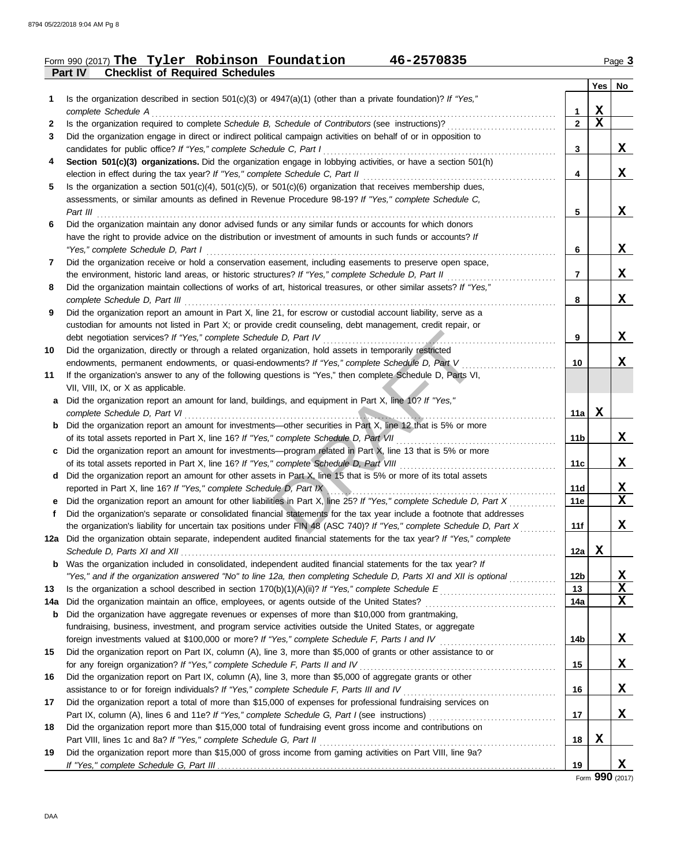## **Part IV Checklist of Required Schedules** Form 990 (2017) Page **3 The Tyler Robinson Foundation 46-2570835**

|           |                                                                                                                                                                                                                             |                 | Yes         | No                         |
|-----------|-----------------------------------------------------------------------------------------------------------------------------------------------------------------------------------------------------------------------------|-----------------|-------------|----------------------------|
| 1         | Is the organization described in section 501(c)(3) or $4947(a)(1)$ (other than a private foundation)? If "Yes,"                                                                                                             |                 |             |                            |
|           | complete Schedule A                                                                                                                                                                                                         | 1               | X           |                            |
| 2         | Is the organization required to complete Schedule B, Schedule of Contributors (see instructions)?                                                                                                                           | $\overline{2}$  | $\mathbf X$ |                            |
| 3         | Did the organization engage in direct or indirect political campaign activities on behalf of or in opposition to<br>candidates for public office? If "Yes," complete Schedule C, Part I                                     | 3               |             | X                          |
| 4         | Section 501(c)(3) organizations. Did the organization engage in lobbying activities, or have a section 501(h)                                                                                                               |                 |             |                            |
|           | election in effect during the tax year? If "Yes," complete Schedule C, Part II                                                                                                                                              | 4               |             | X                          |
| 5         | Is the organization a section $501(c)(4)$ , $501(c)(5)$ , or $501(c)(6)$ organization that receives membership dues,                                                                                                        |                 |             |                            |
|           | assessments, or similar amounts as defined in Revenue Procedure 98-19? If "Yes," complete Schedule C,                                                                                                                       |                 |             |                            |
|           | Part III                                                                                                                                                                                                                    | 5               |             | X                          |
| 6         | Did the organization maintain any donor advised funds or any similar funds or accounts for which donors                                                                                                                     |                 |             |                            |
|           | have the right to provide advice on the distribution or investment of amounts in such funds or accounts? If                                                                                                                 |                 |             |                            |
|           | "Yes," complete Schedule D, Part I                                                                                                                                                                                          | 6               |             | X                          |
| 7         | Did the organization receive or hold a conservation easement, including easements to preserve open space,                                                                                                                   | 7               |             | X                          |
| 8         | the environment, historic land areas, or historic structures? If "Yes," complete Schedule D, Part II<br>Did the organization maintain collections of works of art, historical treasures, or other similar assets? If "Yes," |                 |             |                            |
|           | complete Schedule D, Part III                                                                                                                                                                                               | 8               |             | X                          |
| 9         | Did the organization report an amount in Part X, line 21, for escrow or custodial account liability, serve as a                                                                                                             |                 |             |                            |
|           | custodian for amounts not listed in Part X; or provide credit counseling, debt management, credit repair, or                                                                                                                |                 |             |                            |
|           | debt negotiation services? If "Yes," complete Schedule D, Part IV                                                                                                                                                           | 9               |             | X                          |
| 10        | Did the organization, directly or through a related organization, hold assets in temporarily restricted                                                                                                                     |                 |             |                            |
|           | endowments, permanent endowments, or quasi-endowments? If "Yes," complete Schedule D, Part V                                                                                                                                | 10              |             | x                          |
| 11        | If the organization's answer to any of the following questions is "Yes," then complete Schedule D, Parts VI,                                                                                                                |                 |             |                            |
|           | VII, VIII, IX, or X as applicable.                                                                                                                                                                                          |                 |             |                            |
| a         | Did the organization report an amount for land, buildings, and equipment in Part X, line 10? If "Yes,"                                                                                                                      |                 |             |                            |
|           | complete Schedule D, Part VI                                                                                                                                                                                                | 11a             | X           |                            |
| b         | Did the organization report an amount for investments—other securities in Part X, line 12 that is 5% or more                                                                                                                |                 |             | X                          |
| C         | of its total assets reported in Part X, line 16? If "Yes," complete Schedule D, Part VII<br>Did the organization report an amount for investments—program related in Part X, line 13 that is 5% or more                     | 11b             |             |                            |
|           | of its total assets reported in Part X, line 16? If "Yes," complete Schedule D, Part VIII                                                                                                                                   | 11c             |             | X                          |
| d         | Did the organization report an amount for other assets in Part X, line 15 that is 5% or more of its total assets                                                                                                            |                 |             |                            |
|           | reported in Part X, line 16? If "Yes," complete Schedule D, Part IX                                                                                                                                                         | 11d             |             | X                          |
|           | e Did the organization report an amount for other liabilities in Part X, line 25? If "Yes," complete Schedule D, Part X                                                                                                     | 11e             |             | $\mathbf x$                |
| f.        | Did the organization's separate or consolidated financial statements for the tax year include a footnote that addresses                                                                                                     |                 |             |                            |
|           | the organization's liability for uncertain tax positions under FIN 48 (ASC 740)? If "Yes," complete Schedule D, Part X                                                                                                      | 11f             |             | X                          |
|           | 12a Did the organization obtain separate, independent audited financial statements for the tax year? If "Yes," complete                                                                                                     |                 |             |                            |
|           |                                                                                                                                                                                                                             | 12a             | X           |                            |
|           | <b>b</b> Was the organization included in consolidated, independent audited financial statements for the tax year? If                                                                                                       |                 |             |                            |
|           | "Yes," and if the organization answered "No" to line 12a, then completing Schedule D, Parts XI and XII is optional                                                                                                          | 12 <sub>b</sub> |             | <u>x</u>                   |
| 13<br>14a | Did the organization maintain an office, employees, or agents outside of the United States?                                                                                                                                 | 13<br>14a       |             | $\mathbf X$<br>$\mathbf X$ |
| b         | Did the organization have aggregate revenues or expenses of more than \$10,000 from grantmaking,                                                                                                                            |                 |             |                            |
|           | fundraising, business, investment, and program service activities outside the United States, or aggregate                                                                                                                   |                 |             |                            |
|           |                                                                                                                                                                                                                             | 14b             |             | X                          |
| 15        | Did the organization report on Part IX, column (A), line 3, more than \$5,000 of grants or other assistance to or                                                                                                           |                 |             |                            |
|           | for any foreign organization? If "Yes," complete Schedule F, Parts II and IV                                                                                                                                                | 15              |             | $\mathbf x$                |
| 16        | Did the organization report on Part IX, column (A), line 3, more than \$5,000 of aggregate grants or other                                                                                                                  |                 |             |                            |
|           | assistance to or for foreign individuals? If "Yes," complete Schedule F, Parts III and IV                                                                                                                                   | 16              |             | X                          |
| 17        | Did the organization report a total of more than \$15,000 of expenses for professional fundraising services on                                                                                                              |                 |             |                            |
|           |                                                                                                                                                                                                                             | 17              |             | X                          |
| 18        | Did the organization report more than \$15,000 total of fundraising event gross income and contributions on                                                                                                                 |                 |             |                            |
|           | Part VIII, lines 1c and 8a? If "Yes," complete Schedule G, Part II                                                                                                                                                          | 18              | X           |                            |
| 19        | Did the organization report more than \$15,000 of gross income from gaming activities on Part VIII, line 9a?                                                                                                                | 19              |             | X                          |
|           |                                                                                                                                                                                                                             |                 |             |                            |

Form **990** (2017)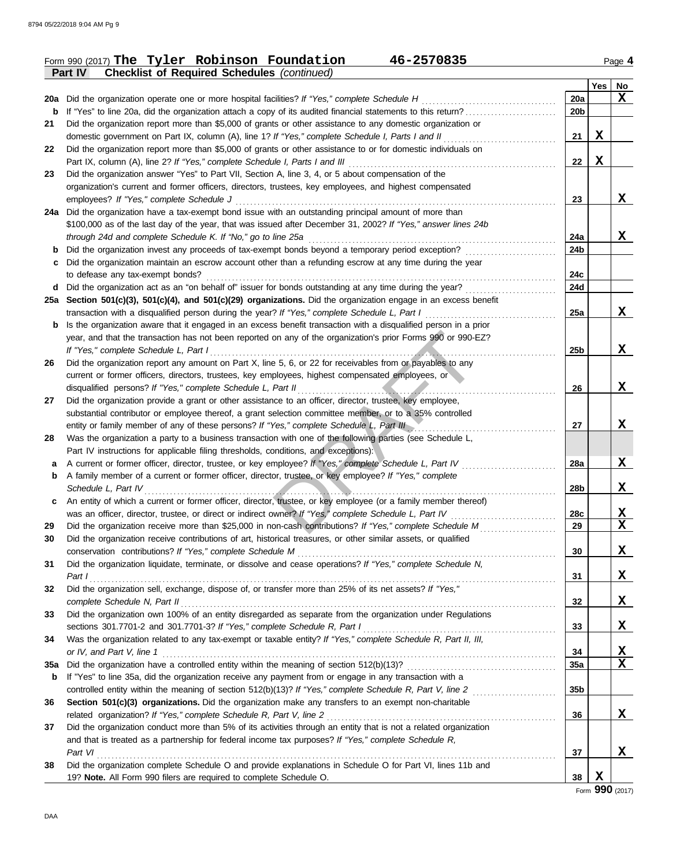#### Form 990 (2017) **The Tyler Robinson Foundation 46-2570835** Page 4 **Part IV Checklist of Required Schedules** *(continued)* **The Tyler Robinson Foundation 46-2570835**

| ۳ |  |
|---|--|
|---|--|

|     | connot or required concuured                                                                                     |                 | Yes | No |
|-----|------------------------------------------------------------------------------------------------------------------|-----------------|-----|----|
|     | 20a Did the organization operate one or more hospital facilities? If "Yes," complete Schedule H                  | 20a             |     | X  |
| b   | If "Yes" to line 20a, did the organization attach a copy of its audited financial statements to this return?     | 20 <sub>b</sub> |     |    |
| 21  | Did the organization report more than \$5,000 of grants or other assistance to any domestic organization or      |                 |     |    |
|     | domestic government on Part IX, column (A), line 1? If "Yes," complete Schedule I, Parts I and II                | 21              | X   |    |
| 22  | Did the organization report more than \$5,000 of grants or other assistance to or for domestic individuals on    |                 |     |    |
|     | Part IX, column (A), line 2? If "Yes," complete Schedule I, Parts I and III                                      | 22              | X   |    |
| 23  | Did the organization answer "Yes" to Part VII, Section A, line 3, 4, or 5 about compensation of the              |                 |     |    |
|     | organization's current and former officers, directors, trustees, key employees, and highest compensated          |                 |     |    |
|     | employees? If "Yes," complete Schedule J                                                                         | 23              |     | X  |
|     | 24a Did the organization have a tax-exempt bond issue with an outstanding principal amount of more than          |                 |     |    |
|     | \$100,000 as of the last day of the year, that was issued after December 31, 2002? If "Yes," answer lines 24b    |                 |     |    |
|     | through 24d and complete Schedule K. If "No," go to line 25a                                                     | 24a             |     | X  |
| b   | Did the organization invest any proceeds of tax-exempt bonds beyond a temporary period exception?                | 24b             |     |    |
| c   | Did the organization maintain an escrow account other than a refunding escrow at any time during the year        |                 |     |    |
|     | to defease any tax-exempt bonds?                                                                                 | 24c             |     |    |
| d   | Did the organization act as an "on behalf of" issuer for bonds outstanding at any time during the year?          | 24d             |     |    |
|     | 25a Section 501(c)(3), 501(c)(4), and 501(c)(29) organizations. Did the organization engage in an excess benefit |                 |     |    |
|     | transaction with a disqualified person during the year? If "Yes," complete Schedule L, Part I                    | 25a             |     | X  |
| b   | Is the organization aware that it engaged in an excess benefit transaction with a disqualified person in a prior |                 |     |    |
|     | year, and that the transaction has not been reported on any of the organization's prior Forms 990 or 990-EZ?     |                 |     |    |
|     | If "Yes," complete Schedule L, Part I                                                                            | 25b             |     | X  |
| 26  | Did the organization report any amount on Part X, line 5, 6, or 22 for receivables from or payables to any       |                 |     |    |
|     | current or former officers, directors, trustees, key employees, highest compensated employees, or                |                 |     |    |
|     | disqualified persons? If "Yes," complete Schedule L, Part II                                                     | 26              |     | X  |
| 27  | Did the organization provide a grant or other assistance to an officer, director, trustee, key employee,         |                 |     |    |
|     | substantial contributor or employee thereof, a grant selection committee member, or to a 35% controlled          |                 |     |    |
|     | entity or family member of any of these persons? If "Yes," complete Schedule L, Part III                         | 27              |     | X  |
| 28  | Was the organization a party to a business transaction with one of the following parties (see Schedule L,        |                 |     |    |
|     | Part IV instructions for applicable filing thresholds, conditions, and exceptions):                              |                 |     |    |
| a   | A current or former officer, director, trustee, or key employee? If "Yes," complete Schedule L, Part IV          | 28a             |     | X  |
| b   | A family member of a current or former officer, director, trustee, or key employee? If "Yes," complete           |                 |     |    |
|     | Schedule L, Part IV                                                                                              | 28b             |     | X  |
| c   | An entity of which a current or former officer, director, trustee, or key employee (or a family member thereof)  |                 |     |    |
|     | was an officer, director, trustee, or direct or indirect owner? If "Yes," complete Schedule L, Part IV           | 28c             |     | X  |
| 29  | Did the organization receive more than \$25,000 in non-cash contributions? If "Yes," complete Schedule M         | 29              |     | X  |
| 30  | Did the organization receive contributions of art, historical treasures, or other similar assets, or qualified   |                 |     |    |
|     | conservation contributions? If "Yes," complete Schedule M                                                        | 30              |     | X  |
| 31  | Did the organization liquidate, terminate, or dissolve and cease operations? If "Yes," complete Schedule N,      |                 |     |    |
|     | Part I                                                                                                           | 31              |     | X  |
| 32  | Did the organization sell, exchange, dispose of, or transfer more than 25% of its net assets? If "Yes,"          |                 |     |    |
|     | complete Schedule N, Part II                                                                                     | 32              |     | X  |
| 33  | Did the organization own 100% of an entity disregarded as separate from the organization under Regulations       |                 |     |    |
|     | sections 301.7701-2 and 301.7701-3? If "Yes," complete Schedule R, Part I                                        | 33              |     | X  |
| 34  | Was the organization related to any tax-exempt or taxable entity? If "Yes," complete Schedule R, Part II, III,   |                 |     |    |
|     | or IV, and Part V, line 1                                                                                        | 34              |     | X  |
| 35a |                                                                                                                  | 35a             |     | X  |
| b   | If "Yes" to line 35a, did the organization receive any payment from or engage in any transaction with a          |                 |     |    |
|     |                                                                                                                  | 35 <sub>b</sub> |     |    |
| 36  | Section 501(c)(3) organizations. Did the organization make any transfers to an exempt non-charitable             |                 |     |    |
|     | related organization? If "Yes," complete Schedule R, Part V, line 2                                              | 36              |     | X  |
| 37  | Did the organization conduct more than 5% of its activities through an entity that is not a related organization |                 |     |    |
|     | and that is treated as a partnership for federal income tax purposes? If "Yes," complete Schedule R,             |                 |     |    |
|     | Part VI                                                                                                          | 37              |     | x  |
| 38  | Did the organization complete Schedule O and provide explanations in Schedule O for Part VI, lines 11b and       |                 |     |    |
|     | 19? Note. All Form 990 filers are required to complete Schedule O.                                               | 38              | X   |    |

Form **990** (2017)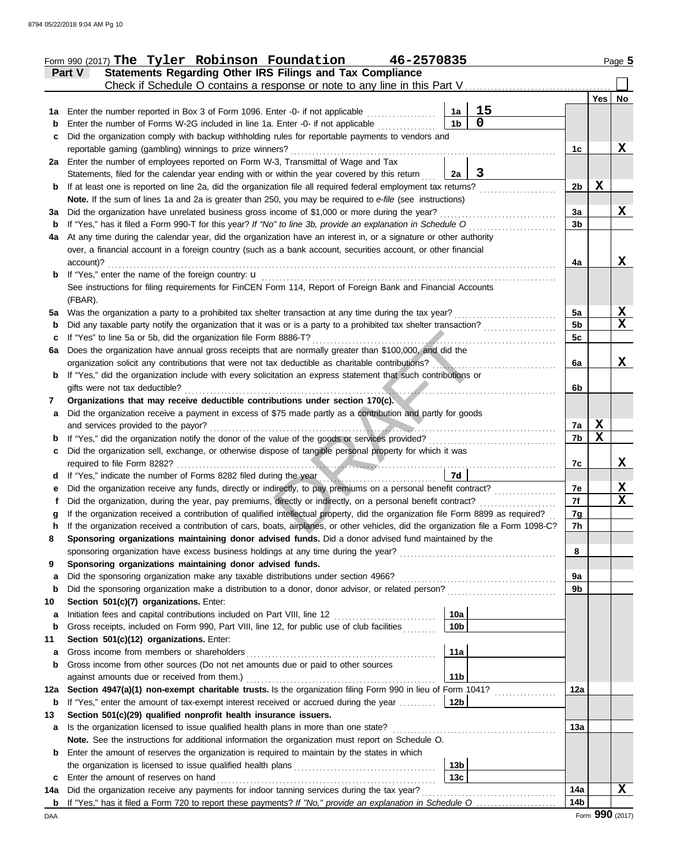|        | Form 990 (2017) The Tyler Robinson Foundation<br>46-2570835                                                                                                                                                           |                 |                  | Page 5      |
|--------|-----------------------------------------------------------------------------------------------------------------------------------------------------------------------------------------------------------------------|-----------------|------------------|-------------|
|        | Statements Regarding Other IRS Filings and Tax Compliance<br>Part V                                                                                                                                                   |                 |                  |             |
|        | Check if Schedule O contains a response or note to any line in this Part V                                                                                                                                            |                 |                  |             |
|        |                                                                                                                                                                                                                       |                 | Yes              | No          |
| 1a     | 15<br>Enter the number reported in Box 3 of Form 1096. Enter -0- if not applicable<br>1a                                                                                                                              |                 |                  |             |
| b      | $\mathbf 0$<br>1 <sub>b</sub><br>Enter the number of Forms W-2G included in line 1a. Enter -0- if not applicable                                                                                                      |                 |                  |             |
| с      | Did the organization comply with backup withholding rules for reportable payments to vendors and                                                                                                                      |                 |                  |             |
|        | reportable gaming (gambling) winnings to prize winners?                                                                                                                                                               | 1c              |                  | X           |
|        | 2a Enter the number of employees reported on Form W-3, Transmittal of Wage and Tax<br>3                                                                                                                               |                 |                  |             |
|        | Statements, filed for the calendar year ending with or within the year covered by this return<br>2a<br>If at least one is reported on line 2a, did the organization file all required federal employment tax returns? | 2b              | X                |             |
| b      | Note. If the sum of lines 1a and 2a is greater than 250, you may be required to e-file (see instructions)                                                                                                             |                 |                  |             |
| За     | Did the organization have unrelated business gross income of \$1,000 or more during the year?                                                                                                                         | 3a              |                  | X           |
| b      | If "Yes," has it filed a Form 990-T for this year? If "No" to line 3b, provide an explanation in Schedule O                                                                                                           | 3b              |                  |             |
| 4a     | At any time during the calendar year, did the organization have an interest in, or a signature or other authority                                                                                                     |                 |                  |             |
|        | over, a financial account in a foreign country (such as a bank account, securities account, or other financial                                                                                                        |                 |                  |             |
|        | account)?                                                                                                                                                                                                             | 4a              |                  | X           |
| b      | If "Yes," enter the name of the foreign country: <b>u</b>                                                                                                                                                             |                 |                  |             |
|        | See instructions for filing requirements for FinCEN Form 114, Report of Foreign Bank and Financial Accounts                                                                                                           |                 |                  |             |
|        | (FBAR).                                                                                                                                                                                                               |                 |                  |             |
| 5a     | Was the organization a party to a prohibited tax shelter transaction at any time during the tax year?                                                                                                                 | 5a              |                  | X           |
| b      | Did any taxable party notify the organization that it was or is a party to a prohibited tax shelter transaction?                                                                                                      | 5 <sub>b</sub>  |                  | $\mathbf x$ |
| с      | If "Yes" to line 5a or 5b, did the organization file Form 8886-T?                                                                                                                                                     | 5c              |                  |             |
| 6a     | Does the organization have annual gross receipts that are normally greater than \$100,000, and did the                                                                                                                |                 |                  |             |
|        | organization solicit any contributions that were not tax deductible as charitable contributions?                                                                                                                      | 6a              |                  | X           |
| b      | If "Yes," did the organization include with every solicitation an express statement that such contributions or                                                                                                        |                 |                  |             |
|        | gifts were not tax deductible?                                                                                                                                                                                        | 6b              |                  |             |
| 7      | Organizations that may receive deductible contributions under section 170(c).                                                                                                                                         |                 |                  |             |
| a      | Did the organization receive a payment in excess of \$75 made partly as a contribution and partly for goods                                                                                                           |                 |                  |             |
|        | and services provided to the payor?                                                                                                                                                                                   | 7a              | X<br>$\mathbf X$ |             |
| b      | If "Yes," did the organization notify the donor of the value of the goods or services provided?<br>Did the organization sell, exchange, or otherwise dispose of tangible personal property for which it was           | 7b              |                  |             |
| с      | required to file Form 8282?                                                                                                                                                                                           | 7c              |                  | X           |
| d      | 7d<br>If "Yes," indicate the number of Forms 8282 filed during the year                                                                                                                                               |                 |                  |             |
| е      | Did the organization receive any funds, directly or indirectly, to pay premiums on a personal benefit contract?                                                                                                       | 7е              |                  | X           |
|        | Did the organization, during the year, pay premiums, directly or indirectly, on a personal benefit contract?                                                                                                          | 7f              |                  | X           |
|        | If the organization received a contribution of qualified intellectual property, did the organization file Form 8899 as required?                                                                                      | 7g              |                  |             |
|        | If the organization received a contribution of cars, boats, airplanes, or other vehicles, did the organization file a Form 1098-C?                                                                                    | 7h              |                  |             |
| 8      | Sponsoring organizations maintaining donor advised funds. Did a donor advised fund maintained by the                                                                                                                  |                 |                  |             |
|        | sponsoring organization have excess business holdings at any time during the year?                                                                                                                                    | 8               |                  |             |
| 9      | Sponsoring organizations maintaining donor advised funds.                                                                                                                                                             |                 |                  |             |
| a      | Did the sponsoring organization make any taxable distributions under section 4966?                                                                                                                                    | 9a              |                  |             |
| b      | Did the sponsoring organization make a distribution to a donor, donor advisor, or related person?                                                                                                                     | 9b              |                  |             |
| 10     | Section 501(c)(7) organizations. Enter:                                                                                                                                                                               |                 |                  |             |
| а      | 10a<br>Initiation fees and capital contributions included on Part VIII, line 12 [11][11][11][11][11][11][11][11][11][                                                                                                 |                 |                  |             |
| b      | Gross receipts, included on Form 990, Part VIII, line 12, for public use of club facilities<br>10 <sub>b</sub>                                                                                                        |                 |                  |             |
| 11     | Section 501(c)(12) organizations. Enter:<br>Gross income from members or shareholders<br>11a                                                                                                                          |                 |                  |             |
| а<br>b | Gross income from other sources (Do not net amounts due or paid to other sources                                                                                                                                      |                 |                  |             |
|        | against amounts due or received from them.)<br>11 <sub>b</sub>                                                                                                                                                        |                 |                  |             |
| 12a    | Section 4947(a)(1) non-exempt charitable trusts. Is the organization filing Form 990 in lieu of Form 1041?                                                                                                            | 12a             |                  |             |
| b      | If "Yes," enter the amount of tax-exempt interest received or accrued during the year<br>12 <sub>b</sub>                                                                                                              |                 |                  |             |
| 13     | Section 501(c)(29) qualified nonprofit health insurance issuers.                                                                                                                                                      |                 |                  |             |
| a      | Is the organization licensed to issue qualified health plans in more than one state?                                                                                                                                  | 13а             |                  |             |
|        | Note. See the instructions for additional information the organization must report on Schedule O.                                                                                                                     |                 |                  |             |
| b      | Enter the amount of reserves the organization is required to maintain by the states in which                                                                                                                          |                 |                  |             |
|        | 13 <sub>b</sub>                                                                                                                                                                                                       |                 |                  |             |
| c      | 13 <sub>c</sub><br>Enter the amount of reserves on hand                                                                                                                                                               |                 |                  |             |
| 14a    | Did the organization receive any payments for indoor tanning services during the tax year?                                                                                                                            | 14a             |                  | X           |
| b      |                                                                                                                                                                                                                       | 14 <sub>b</sub> |                  |             |
| DAA    |                                                                                                                                                                                                                       |                 | Form 990 (2017)  |             |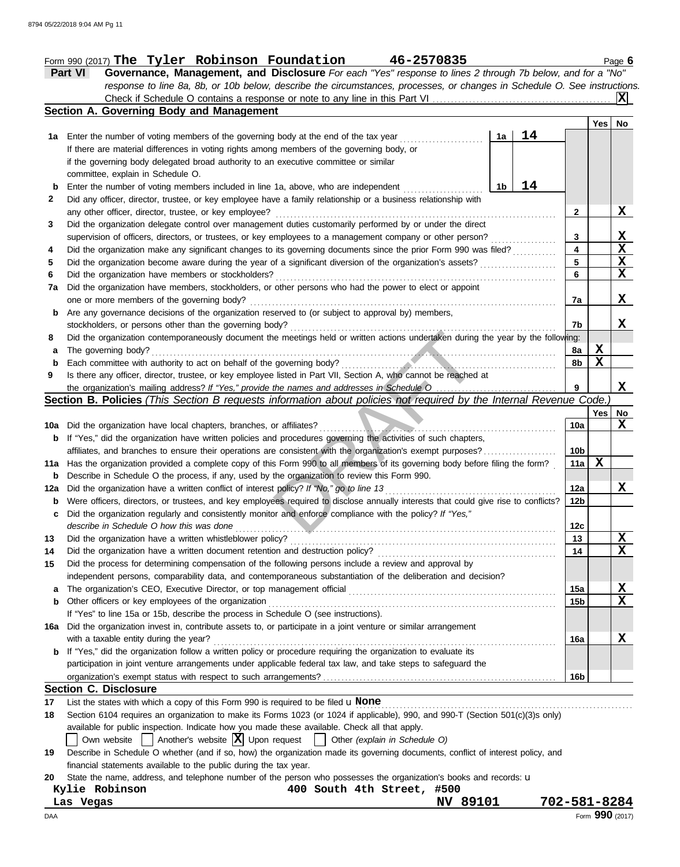## Form 990 (2017) Page **6 The Tyler Robinson Foundation 46-2570835**

**Part VI Governance, Management, and Disclosure** *For each "Yes" response to lines 2 through 7b below, and for a "No" response to line 8a, 8b, or 10b below, describe the circumstances, processes, or changes in Schedule O. See instructions.* Check if Schedule O contains a response or note to any line in this Part VI . . . . . . . . . . . . . . . . . . . . . . . . . . . . . . . . . . . . . . . . . . . . . . . . . **X**

|       | Section A. Governing Body and Management                                                                                            |                 |     |             |
|-------|-------------------------------------------------------------------------------------------------------------------------------------|-----------------|-----|-------------|
|       |                                                                                                                                     |                 | Yes | No          |
| 1а    | 14<br>Enter the number of voting members of the governing body at the end of the tax year<br>1a                                     |                 |     |             |
|       | If there are material differences in voting rights among members of the governing body, or                                          |                 |     |             |
|       | if the governing body delegated broad authority to an executive committee or similar                                                |                 |     |             |
|       | committee, explain in Schedule O.                                                                                                   |                 |     |             |
| b     | 14<br>Enter the number of voting members included in line 1a, above, who are independent<br>1b                                      |                 |     |             |
| 2     | Did any officer, director, trustee, or key employee have a family relationship or a business relationship with                      |                 |     |             |
|       | any other officer, director, trustee, or key employee?                                                                              | 2               |     | X           |
| 3     | Did the organization delegate control over management duties customarily performed by or under the direct                           |                 |     |             |
|       | supervision of officers, directors, or trustees, or key employees to a management company or other person?                          | 3               |     | X           |
| 4     | Did the organization make any significant changes to its governing documents since the prior Form 990 was filed?                    | 4               |     | $\mathbf x$ |
| 5     | Did the organization become aware during the year of a significant diversion of the organization's assets?                          | 5               |     | X           |
| 6     | Did the organization have members or stockholders?                                                                                  | 6               |     | X           |
| 7a    | Did the organization have members, stockholders, or other persons who had the power to elect or appoint                             |                 |     |             |
|       | one or more members of the governing body?                                                                                          | 7a              |     | X           |
| b     | Are any governance decisions of the organization reserved to (or subject to approval by) members,                                   |                 |     |             |
|       | stockholders, or persons other than the governing body?                                                                             | 7b              |     | X           |
| 8     | Did the organization contemporaneously document the meetings held or written actions undertaken during the year by the following:   |                 |     |             |
| а     | The governing body?                                                                                                                 | 8a              | X   |             |
| b     | Each committee with authority to act on behalf of the governing body?                                                               | 8b              | X   |             |
| 9     | Is there any officer, director, trustee, or key employee listed in Part VII, Section A, who cannot be reached at                    |                 |     |             |
|       | <b>Section B. Policies</b> (This Section B requests information about policies not required by the Internal Revenue Code.           | 9               |     | X           |
|       |                                                                                                                                     |                 | Yes | No          |
| 10a l | Did the organization have local chapters, branches, or affiliates?                                                                  | 10a             |     | X           |
| b     | If "Yes," did the organization have written policies and procedures governing the activities of such chapters,                      |                 |     |             |
|       | affiliates, and branches to ensure their operations are consistent with the organization's exempt purposes?                         | 10 <sub>b</sub> |     |             |
| 11a l | Has the organization provided a complete copy of this Form 990 to all members of its governing body before filing the form?         | 11a             | X   |             |
| b     | Describe in Schedule O the process, if any, used by the organization to review this Form 990.                                       |                 |     |             |
| 12a   | Did the organization have a written conflict of interest policy? If "No," go to line 13                                             | 12a             |     | X           |
| b     | Were officers, directors, or trustees, and key employees required to disclose annually interests that could give rise to conflicts? | 12b             |     |             |
| c     | Did the organization regularly and consistently monitor and enforce compliance with the policy? If "Yes,"                           |                 |     |             |
|       | describe in Schedule O how this was done                                                                                            | 12c             |     |             |
| 13    | Did the organization have a written whistleblower policy?                                                                           | 13              |     | X           |
| 14    | Did the organization have a written document retention and destruction policy?                                                      | 14              |     | x           |
| 15    | Did the process for determining compensation of the following persons include a review and approval by                              |                 |     |             |
|       | independent persons, comparability data, and contemporaneous substantiation of the deliberation and decision?                       |                 |     |             |
| a     |                                                                                                                                     | 15a             |     | X           |
| b     | Other officers or key employees of the organization                                                                                 | 15b             |     | X           |
|       | If "Yes" to line 15a or 15b, describe the process in Schedule O (see instructions).                                                 |                 |     |             |
| 16a   | Did the organization invest in, contribute assets to, or participate in a joint venture or similar arrangement                      |                 |     |             |
|       | with a taxable entity during the year?                                                                                              | 16a             |     | <u>x</u>    |
| b     | If "Yes," did the organization follow a written policy or procedure requiring the organization to evaluate its                      |                 |     |             |
|       | participation in joint venture arrangements under applicable federal tax law, and take steps to safeguard the                       |                 |     |             |
|       |                                                                                                                                     | 16b             |     |             |
|       | <b>Section C. Disclosure</b>                                                                                                        |                 |     |             |
| 17    | List the states with which a copy of this Form 990 is required to be filed uNone                                                    |                 |     |             |
| 18    | Section 6104 requires an organization to make its Forms 1023 (or 1024 if applicable), 990, and 990-T (Section 501(c)(3)s only)      |                 |     |             |
|       | available for public inspection. Indicate how you made these available. Check all that apply.                                       |                 |     |             |
|       | Own website $\vert$ Another's website $\vert X \vert$ Upon request<br>  Other (explain in Schedule O)                               |                 |     |             |
| 19    | Describe in Schedule O whether (and if so, how) the organization made its governing documents, conflict of interest policy, and     |                 |     |             |
|       | financial statements available to the public during the tax year.                                                                   |                 |     |             |
| 20    | State the name, address, and telephone number of the person who possesses the organization's books and records: u                   |                 |     |             |
|       | 400 South 4th Street, #500<br>Kylie Robinson                                                                                        |                 |     |             |

|       | …y⊥⊥ <del>⊂</del> |       | ື້ |  |
|-------|-------------------|-------|----|--|
| т. эе |                   | Verse |    |  |

**Las Vegas NV 89101 702-581-8284**

| Form 990 (2017)<br>DAA |  |
|------------------------|--|
|------------------------|--|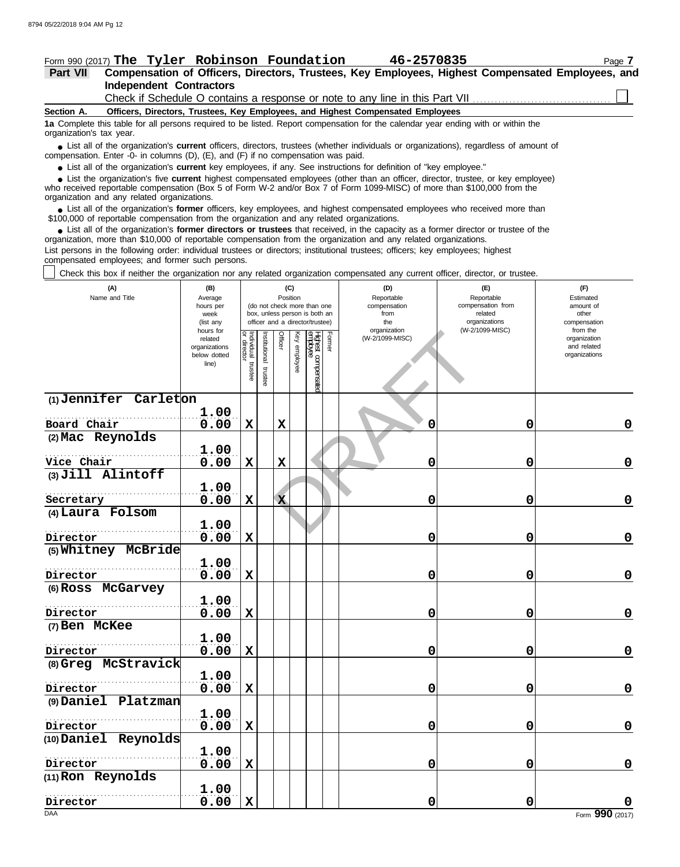## Form 990 (2017) Page **7 The Tyler Robinson Foundation 46-2570835**

# **Independent Contractors Part VII Compensation of Officers, Directors, Trustees, Key Employees, Highest Compensated Employees, and**

Check if Schedule O contains a response or note to any line in this Part VII

**Section A. Officers, Directors, Trustees, Key Employees, and Highest Compensated Employees**

**1a** Complete this table for all persons required to be listed. Report compensation for the calendar year ending with or within the organization's tax year.

■ List all of the organization's **current** officers, directors, trustees (whether individuals or organizations), regardless of amount of the organization Enter -0- in columns (D), (E), and (E) if no compensation was paid compensation. Enter -0- in columns (D), (E), and (F) if no compensation was paid.

● List all of the organization's **current** key employees, if any. See instructions for definition of "key employee."

who received reportable compensation (Box 5 of Form W-2 and/or Box 7 of Form 1099-MISC) of more than \$100,000 from the organization and any related organizations. ■ List the organization's five **current** highest compensated employees (other than an officer, director, trustee, or key employee)<br>
a received reportable compensation (Box 5 of Form W-2 and/or Box 7 of Form 1099-MISC) of

■ List all of the organization's **former** officers, key employees, and highest compensated employees who received more than<br>00,000 of reportable compensation from the organization and any related organizations \$100,000 of reportable compensation from the organization and any related organizations.

■ List all of the organization's **former directors or trustees** that received, in the capacity as a former director or trustee of the entration more than \$10,000 of reportable compensation from the organization and any re organization, more than \$10,000 of reportable compensation from the organization and any related organizations.

List persons in the following order: individual trustees or directors; institutional trustees; officers; key employees; highest compensated employees; and former such persons.

Check this box if neither the organization nor any related organization compensated any current officer, director, or trustee.

| (A)<br>Name and Title | (B)<br>Average<br>hours per<br>week<br>(list any<br>hours for |                                      |                         | (C)<br>Position |                 | (do not check more than one<br>box, unless person is both an<br>officer and a director/trustee) |        | (D)<br>Reportable<br>compensation<br>from<br>the<br>organization | (E)<br>Reportable<br>compensation from<br>related<br>organizations<br>(W-2/1099-MISC) | (F)<br>Estimated<br>amount of<br>other<br>compensation<br>from the |
|-----------------------|---------------------------------------------------------------|--------------------------------------|-------------------------|-----------------|-----------------|-------------------------------------------------------------------------------------------------|--------|------------------------------------------------------------------|---------------------------------------------------------------------------------------|--------------------------------------------------------------------|
|                       | related<br>organizations<br>below dotted<br>line)             | Individual<br>or director<br>trustee | nstitutional<br>trustee | Officer         | γey<br>employee | Highest compensated<br>employee                                                                 | Former | (W-2/1099-MISC)                                                  |                                                                                       | organization<br>and related<br>organizations                       |
| (1) Jennifer Carleton |                                                               |                                      |                         |                 |                 |                                                                                                 |        |                                                                  |                                                                                       |                                                                    |
| Board Chair           | 1.00                                                          |                                      |                         |                 |                 |                                                                                                 |        | 0                                                                | 0                                                                                     |                                                                    |
| (2) Mac Reynolds      | 0.00                                                          | $\mathbf X$                          |                         | X               |                 |                                                                                                 |        |                                                                  |                                                                                       | $\mathbf 0$                                                        |
| Vice Chair            | 1.00<br>0.00                                                  | $\mathbf X$                          |                         | X               |                 |                                                                                                 |        | 0                                                                | 0                                                                                     | $\mathbf 0$                                                        |
| (3) Jill Alintoff     |                                                               |                                      |                         |                 |                 |                                                                                                 |        |                                                                  |                                                                                       |                                                                    |
|                       | 1.00                                                          |                                      |                         |                 |                 |                                                                                                 |        |                                                                  |                                                                                       |                                                                    |
| Secretary             | 0.00                                                          | $\mathbf X$                          |                         | $\mathbf{x}$    |                 |                                                                                                 |        | 0                                                                | 0                                                                                     | $\mathbf 0$                                                        |
| (4) Laura Folsom      |                                                               |                                      |                         |                 |                 |                                                                                                 |        |                                                                  |                                                                                       |                                                                    |
| Director              | 1.00<br>0.00                                                  | $\mathbf x$                          |                         |                 |                 |                                                                                                 |        | 0                                                                | $\mathbf 0$                                                                           | $\mathbf 0$                                                        |
| (5) Whitney McBride   |                                                               |                                      |                         |                 |                 |                                                                                                 |        |                                                                  |                                                                                       |                                                                    |
| Director              | 1.00<br>0.00                                                  | $\mathbf x$                          |                         |                 |                 |                                                                                                 |        | 0                                                                | 0                                                                                     | $\mathbf 0$                                                        |
| (6) Ross McGarvey     |                                                               |                                      |                         |                 |                 |                                                                                                 |        |                                                                  |                                                                                       |                                                                    |
|                       | 1.00                                                          |                                      |                         |                 |                 |                                                                                                 |        |                                                                  |                                                                                       |                                                                    |
| Director              | 0.00                                                          | $\mathbf X$                          |                         |                 |                 |                                                                                                 |        | 0                                                                | 0                                                                                     | $\mathbf 0$                                                        |
| (7) Ben McKee         |                                                               |                                      |                         |                 |                 |                                                                                                 |        |                                                                  |                                                                                       |                                                                    |
| Director              | 1.00<br>0.00                                                  | $\mathbf X$                          |                         |                 |                 |                                                                                                 |        | 0                                                                | 0                                                                                     | $\mathbf 0$                                                        |
| (8) Greg McStravick   |                                                               |                                      |                         |                 |                 |                                                                                                 |        |                                                                  |                                                                                       |                                                                    |
|                       | 1.00                                                          |                                      |                         |                 |                 |                                                                                                 |        |                                                                  |                                                                                       |                                                                    |
| Director              | 0.00                                                          | $\mathbf X$                          |                         |                 |                 |                                                                                                 |        | 0                                                                | $\mathbf 0$                                                                           | $\mathbf 0$                                                        |
| (9) Daniel Platzman   |                                                               |                                      |                         |                 |                 |                                                                                                 |        |                                                                  |                                                                                       |                                                                    |
|                       | 1.00                                                          |                                      |                         |                 |                 |                                                                                                 |        |                                                                  |                                                                                       |                                                                    |
| Director              | 0.00                                                          | $\mathbf X$                          |                         |                 |                 |                                                                                                 |        | 0                                                                | 0                                                                                     | $\mathbf 0$                                                        |
| (10) Daniel Reynolds  |                                                               |                                      |                         |                 |                 |                                                                                                 |        |                                                                  |                                                                                       |                                                                    |
|                       | 1.00                                                          |                                      |                         |                 |                 |                                                                                                 |        |                                                                  |                                                                                       |                                                                    |
| Director              | 0.00                                                          | $\mathbf X$                          |                         |                 |                 |                                                                                                 |        | 0                                                                | 0                                                                                     | $\mathbf 0$                                                        |
| (11) Ron Reynolds     |                                                               |                                      |                         |                 |                 |                                                                                                 |        |                                                                  |                                                                                       |                                                                    |
| Director              | 1.00<br>0.00                                                  | $\mathbf X$                          |                         |                 |                 |                                                                                                 |        | 0                                                                | 0                                                                                     |                                                                    |
| <b>DAA</b>            |                                                               |                                      |                         |                 |                 |                                                                                                 |        |                                                                  |                                                                                       | Form 990 (2017)                                                    |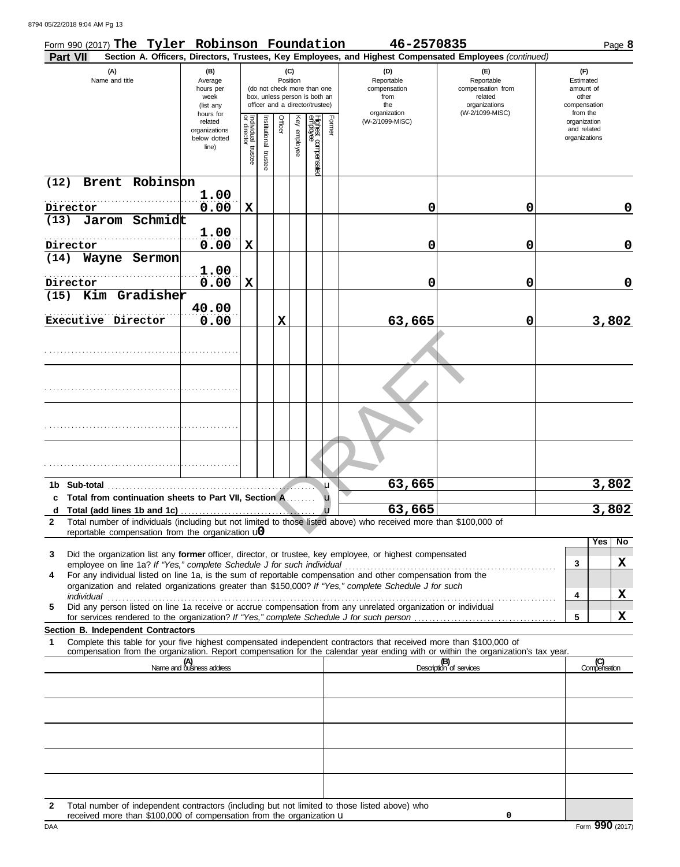8794 05/22/2018 9:04 AM Pg 13

|              | Form 990 (2017) The Tyler Robinson Foundation                                                                                                                                                                                                          |                                  |                                   |              |                 |              |                                                                  |        | 46-2570835        |                                                                                                        |                             | Page 8    |
|--------------|--------------------------------------------------------------------------------------------------------------------------------------------------------------------------------------------------------------------------------------------------------|----------------------------------|-----------------------------------|--------------|-----------------|--------------|------------------------------------------------------------------|--------|-------------------|--------------------------------------------------------------------------------------------------------|-----------------------------|-----------|
|              | <b>Part VII</b>                                                                                                                                                                                                                                        |                                  |                                   |              |                 |              |                                                                  |        |                   | Section A. Officers, Directors, Trustees, Key Employees, and Highest Compensated Employees (continued) |                             |           |
|              | (A)<br>Name and title                                                                                                                                                                                                                                  | (B)<br>Average                   |                                   |              | (C)<br>Position |              |                                                                  |        | (D)<br>Reportable | (E)<br>Reportable                                                                                      | (F)<br>Estimated            |           |
|              |                                                                                                                                                                                                                                                        | hours per                        |                                   |              |                 |              | (do not check more than one                                      |        | compensation      | compensation from                                                                                      | amount of                   |           |
|              |                                                                                                                                                                                                                                                        | week<br>(list any                |                                   |              |                 |              | box, unless person is both an<br>officer and a director/trustee) |        | from<br>the       | related<br>organizations                                                                               | other<br>compensation       |           |
|              |                                                                                                                                                                                                                                                        | hours for                        |                                   |              |                 |              |                                                                  |        | organization      | (W-2/1099-MISC)                                                                                        | from the                    |           |
|              |                                                                                                                                                                                                                                                        | related                          |                                   | nstitutional | Officer         |              |                                                                  | Former | (W-2/1099-MISC)   |                                                                                                        | organization<br>and related |           |
|              |                                                                                                                                                                                                                                                        | organizations<br>below dotted    |                                   |              |                 |              |                                                                  |        |                   |                                                                                                        | organizations               |           |
|              |                                                                                                                                                                                                                                                        | line)                            |                                   |              |                 | Key employee |                                                                  |        |                   |                                                                                                        |                             |           |
|              |                                                                                                                                                                                                                                                        |                                  | Individual trustee<br>or director | trustee      |                 |              | Highest compensated<br>employee                                  |        |                   |                                                                                                        |                             |           |
| (12)         | Robinson<br>Brent                                                                                                                                                                                                                                      |                                  |                                   |              |                 |              |                                                                  |        |                   |                                                                                                        |                             |           |
|              |                                                                                                                                                                                                                                                        | 1.00                             |                                   |              |                 |              |                                                                  |        |                   |                                                                                                        |                             |           |
|              | Director                                                                                                                                                                                                                                               | 0.00                             | $\mathbf x$                       |              |                 |              |                                                                  |        | 0                 | 0                                                                                                      |                             | 0         |
| (13)         | Jarom Schmidt                                                                                                                                                                                                                                          |                                  |                                   |              |                 |              |                                                                  |        |                   |                                                                                                        |                             |           |
|              |                                                                                                                                                                                                                                                        | 1.00                             |                                   |              |                 |              |                                                                  |        |                   |                                                                                                        |                             |           |
|              | Director                                                                                                                                                                                                                                               | 0.00                             | X                                 |              |                 |              |                                                                  |        | 0                 | 0                                                                                                      |                             | 0         |
| (14)         | Wayne Sermon                                                                                                                                                                                                                                           |                                  |                                   |              |                 |              |                                                                  |        |                   |                                                                                                        |                             |           |
|              |                                                                                                                                                                                                                                                        | 1.00                             |                                   |              |                 |              |                                                                  |        |                   |                                                                                                        |                             |           |
|              | Director                                                                                                                                                                                                                                               |                                  |                                   |              |                 |              |                                                                  |        |                   |                                                                                                        |                             | 0         |
|              | Kim Gradisher                                                                                                                                                                                                                                          | 0.00                             | X                                 |              |                 |              |                                                                  |        | 0                 | 0                                                                                                      |                             |           |
| (15)         |                                                                                                                                                                                                                                                        |                                  |                                   |              |                 |              |                                                                  |        |                   |                                                                                                        |                             |           |
|              |                                                                                                                                                                                                                                                        | 40.00                            |                                   |              |                 |              |                                                                  |        |                   |                                                                                                        |                             |           |
|              | Executive Director                                                                                                                                                                                                                                     | 0.00                             |                                   |              | $\mathbf x$     |              |                                                                  |        | 63,665            | 0                                                                                                      |                             | 3,802     |
|              |                                                                                                                                                                                                                                                        |                                  |                                   |              |                 |              |                                                                  |        |                   |                                                                                                        |                             |           |
|              |                                                                                                                                                                                                                                                        |                                  |                                   |              |                 |              |                                                                  |        |                   |                                                                                                        |                             |           |
|              |                                                                                                                                                                                                                                                        |                                  |                                   |              |                 |              |                                                                  |        |                   |                                                                                                        |                             |           |
|              |                                                                                                                                                                                                                                                        |                                  |                                   |              |                 |              |                                                                  |        |                   |                                                                                                        |                             |           |
|              |                                                                                                                                                                                                                                                        |                                  |                                   |              |                 |              |                                                                  |        |                   |                                                                                                        |                             |           |
|              |                                                                                                                                                                                                                                                        |                                  |                                   |              |                 |              |                                                                  |        |                   |                                                                                                        |                             |           |
|              |                                                                                                                                                                                                                                                        |                                  |                                   |              |                 |              |                                                                  |        |                   |                                                                                                        |                             |           |
|              |                                                                                                                                                                                                                                                        |                                  |                                   |              |                 |              |                                                                  |        |                   |                                                                                                        |                             |           |
|              |                                                                                                                                                                                                                                                        |                                  |                                   |              |                 |              |                                                                  |        |                   |                                                                                                        |                             |           |
|              |                                                                                                                                                                                                                                                        |                                  |                                   |              |                 |              |                                                                  |        |                   |                                                                                                        |                             |           |
|              |                                                                                                                                                                                                                                                        |                                  |                                   |              |                 |              |                                                                  |        |                   |                                                                                                        |                             |           |
|              |                                                                                                                                                                                                                                                        |                                  |                                   |              |                 |              |                                                                  |        |                   |                                                                                                        |                             |           |
|              | 1b Sub-total                                                                                                                                                                                                                                           |                                  |                                   |              |                 |              |                                                                  | u      | 63,665            |                                                                                                        |                             | 3,802     |
|              | c Total from continuation sheets to Part VII, Section A.                                                                                                                                                                                               |                                  |                                   |              |                 |              |                                                                  | u      |                   |                                                                                                        |                             |           |
| d            |                                                                                                                                                                                                                                                        |                                  |                                   |              |                 |              |                                                                  |        | 63,665            |                                                                                                        |                             | 3,802     |
| $\mathbf{2}$ | Total number of individuals (including but not limited to those listed above) who received more than \$100,000 of                                                                                                                                      |                                  |                                   |              |                 |              |                                                                  |        |                   |                                                                                                        |                             |           |
|              | reportable compensation from the organization $\omega$                                                                                                                                                                                                 |                                  |                                   |              |                 |              |                                                                  |        |                   |                                                                                                        |                             |           |
|              |                                                                                                                                                                                                                                                        |                                  |                                   |              |                 |              |                                                                  |        |                   |                                                                                                        | Yes                         | <b>No</b> |
| 3            | Did the organization list any former officer, director, or trustee, key employee, or highest compensated<br>employee on line 1a? If "Yes," complete Schedule J for such individual                                                                     |                                  |                                   |              |                 |              |                                                                  |        |                   |                                                                                                        | 3                           | X         |
| 4            | For any individual listed on line 1a, is the sum of reportable compensation and other compensation from the                                                                                                                                            |                                  |                                   |              |                 |              |                                                                  |        |                   |                                                                                                        |                             |           |
|              | organization and related organizations greater than \$150,000? If "Yes," complete Schedule J for such                                                                                                                                                  |                                  |                                   |              |                 |              |                                                                  |        |                   |                                                                                                        |                             |           |
|              | individual                                                                                                                                                                                                                                             |                                  |                                   |              |                 |              |                                                                  |        |                   |                                                                                                        | 4                           | X         |
| 5            | Did any person listed on line 1a receive or accrue compensation from any unrelated organization or individual                                                                                                                                          |                                  |                                   |              |                 |              |                                                                  |        |                   |                                                                                                        |                             |           |
|              |                                                                                                                                                                                                                                                        |                                  |                                   |              |                 |              |                                                                  |        |                   |                                                                                                        | 5                           | X         |
|              | Section B. Independent Contractors                                                                                                                                                                                                                     |                                  |                                   |              |                 |              |                                                                  |        |                   |                                                                                                        |                             |           |
| 1            | Complete this table for your five highest compensated independent contractors that received more than \$100,000 of<br>compensation from the organization. Report compensation for the calendar year ending with or within the organization's tax year. |                                  |                                   |              |                 |              |                                                                  |        |                   |                                                                                                        |                             |           |
|              |                                                                                                                                                                                                                                                        | (A)<br>Name and business address |                                   |              |                 |              |                                                                  |        |                   | (B)<br>Description of services                                                                         | (C)<br>Compensation         |           |
|              |                                                                                                                                                                                                                                                        |                                  |                                   |              |                 |              |                                                                  |        |                   |                                                                                                        |                             |           |
|              |                                                                                                                                                                                                                                                        |                                  |                                   |              |                 |              |                                                                  |        |                   |                                                                                                        |                             |           |
|              |                                                                                                                                                                                                                                                        |                                  |                                   |              |                 |              |                                                                  |        |                   |                                                                                                        |                             |           |
|              |                                                                                                                                                                                                                                                        |                                  |                                   |              |                 |              |                                                                  |        |                   |                                                                                                        |                             |           |
|              |                                                                                                                                                                                                                                                        |                                  |                                   |              |                 |              |                                                                  |        |                   |                                                                                                        |                             |           |
|              |                                                                                                                                                                                                                                                        |                                  |                                   |              |                 |              |                                                                  |        |                   |                                                                                                        |                             |           |
|              |                                                                                                                                                                                                                                                        |                                  |                                   |              |                 |              |                                                                  |        |                   |                                                                                                        |                             |           |
|              |                                                                                                                                                                                                                                                        |                                  |                                   |              |                 |              |                                                                  |        |                   |                                                                                                        |                             |           |
|              |                                                                                                                                                                                                                                                        |                                  |                                   |              |                 |              |                                                                  |        |                   |                                                                                                        |                             |           |
|              |                                                                                                                                                                                                                                                        |                                  |                                   |              |                 |              |                                                                  |        |                   |                                                                                                        |                             |           |
|              |                                                                                                                                                                                                                                                        |                                  |                                   |              |                 |              |                                                                  |        |                   |                                                                                                        |                             |           |
| 2            | Total number of independent contractors (including but not limited to those listed above) who                                                                                                                                                          |                                  |                                   |              |                 |              |                                                                  |        |                   |                                                                                                        |                             |           |

**0**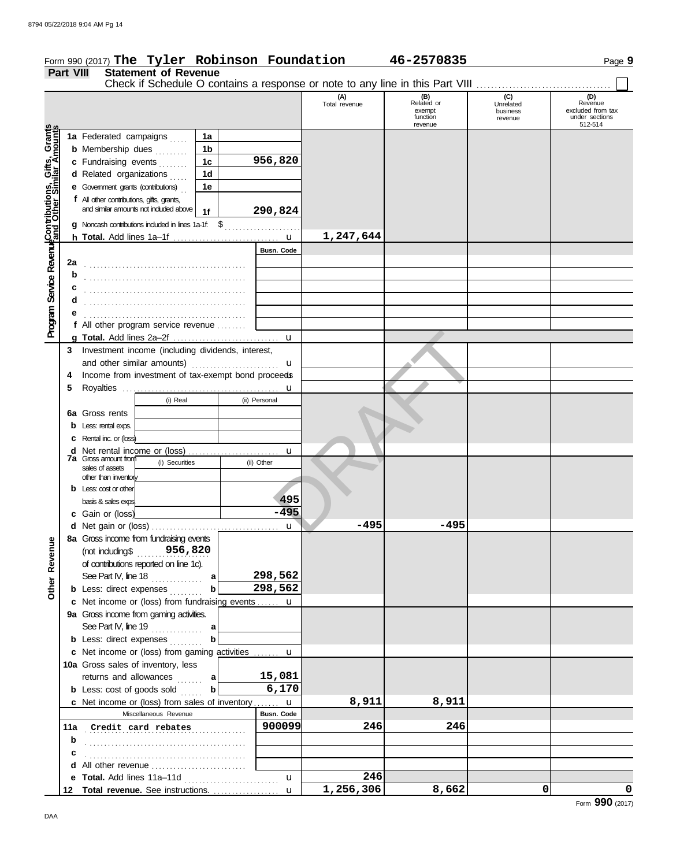|                                                                                                                               | <b>Part VIII</b> | Form 990 (2017) The Tyler Robinson Foundation<br><b>Statement of Revenue</b>             |                |               |                      | 46-2570835                    |                             | Page 9                                         |
|-------------------------------------------------------------------------------------------------------------------------------|------------------|------------------------------------------------------------------------------------------|----------------|---------------|----------------------|-------------------------------|-----------------------------|------------------------------------------------|
|                                                                                                                               |                  | Check if Schedule O contains a response or note to any line in this Part VIII            |                |               | (A)<br>Total revenue | (B)<br>Related or             | $\overline{C}$<br>Unrelated | (D)<br>Revenue                                 |
|                                                                                                                               |                  |                                                                                          |                |               |                      | exempt<br>function<br>revenue | business<br>revenue         | excluded from tax<br>under sections<br>512-514 |
|                                                                                                                               |                  | 1a Federated campaigns                                                                   | 1a             |               |                      |                               |                             |                                                |
|                                                                                                                               |                  | <b>b</b> Membership dues                                                                 | 1 <sub>b</sub> |               |                      |                               |                             |                                                |
| <b>Program Service Reverwe</b> Contributions, Gifts, Grant <mark>s</mark><br>Program Service Reverweand Other Similar Amounts |                  | c Fundraising events                                                                     | 1 <sub>c</sub> | 956,820       |                      |                               |                             |                                                |
|                                                                                                                               |                  | d Related organizations                                                                  | 1 <sub>d</sub> |               |                      |                               |                             |                                                |
|                                                                                                                               |                  | e Government grants (contributions)                                                      | 1e             |               |                      |                               |                             |                                                |
|                                                                                                                               |                  | f All other contributions, gifts, grants,<br>and similar amounts not included above   1f |                | 290,824       |                      |                               |                             |                                                |
|                                                                                                                               |                  | g Noncash contributions included in lines 1a-1f: \$                                      |                |               |                      |                               |                             |                                                |
|                                                                                                                               |                  |                                                                                          |                |               | 1,247,644            |                               |                             |                                                |
|                                                                                                                               |                  |                                                                                          |                | Busn. Code    |                      |                               |                             |                                                |
|                                                                                                                               | 2a               |                                                                                          |                |               |                      |                               |                             |                                                |
|                                                                                                                               | b<br>с           |                                                                                          |                |               |                      |                               |                             |                                                |
|                                                                                                                               | d                |                                                                                          |                |               |                      |                               |                             |                                                |
|                                                                                                                               |                  |                                                                                          |                |               |                      |                               |                             |                                                |
|                                                                                                                               |                  | f All other program service revenue                                                      |                |               |                      |                               |                             |                                                |
|                                                                                                                               |                  |                                                                                          |                | $\mathbf{u}$  |                      |                               |                             |                                                |
|                                                                                                                               |                  | 3 Investment income (including dividends, interest,                                      |                |               |                      |                               |                             |                                                |
|                                                                                                                               |                  | and other similar amounts)                                                               |                | u             |                      |                               |                             |                                                |
|                                                                                                                               | 4                | Income from investment of tax-exempt bond proceeds                                       |                |               |                      |                               |                             |                                                |
|                                                                                                                               | 5                |                                                                                          |                |               |                      |                               |                             |                                                |
|                                                                                                                               |                  | (i) Real                                                                                 |                | (ii) Personal |                      |                               |                             |                                                |
|                                                                                                                               | 6a               | Gross rents                                                                              |                |               |                      |                               |                             |                                                |
|                                                                                                                               |                  | <b>b</b> Less: rental exps.                                                              |                |               |                      |                               |                             |                                                |
|                                                                                                                               |                  | <b>C</b> Rental inc. or (loss)                                                           |                |               |                      |                               |                             |                                                |
|                                                                                                                               |                  | <b>7a</b> Gross amount from                                                              |                | $\mathbf{u}$  |                      |                               |                             |                                                |
|                                                                                                                               |                  | (i) Securities<br>sales of assets                                                        |                | (ii) Other    |                      |                               |                             |                                                |
|                                                                                                                               |                  | other than inventory                                                                     |                |               |                      |                               |                             |                                                |
|                                                                                                                               |                  | $b$ Less: cost or other                                                                  |                |               |                      |                               |                             |                                                |
|                                                                                                                               |                  | basis & sales exps                                                                       |                | 495<br>-495   |                      |                               |                             |                                                |
|                                                                                                                               |                  | c Gain or (loss)                                                                         |                |               | -495                 | $-495$                        |                             |                                                |
|                                                                                                                               |                  | 8a Gross income from fundraising events                                                  |                | $\mathbf{u}$  |                      |                               |                             |                                                |
| Other Revenue                                                                                                                 |                  | (not induding\$956,820                                                                   |                |               |                      |                               |                             |                                                |
|                                                                                                                               |                  | of contributions reported on line 1c).                                                   |                |               |                      |                               |                             |                                                |
|                                                                                                                               |                  | See Part IV, line 18                                                                     | a              | 298,562       |                      |                               |                             |                                                |
|                                                                                                                               |                  | <b>b</b> Less: direct expenses $\ldots$                                                  |                | 298,562       |                      |                               |                             |                                                |
|                                                                                                                               |                  | c Net income or (loss) from fundraising events  u                                        |                |               |                      |                               |                             |                                                |
|                                                                                                                               |                  | 9a Gross income from gaming activities.                                                  |                |               |                      |                               |                             |                                                |
|                                                                                                                               |                  | See Part IV, line 19                                                                     | a              |               |                      |                               |                             |                                                |
|                                                                                                                               |                  | <b>b</b> Less: direct expenses                                                           | b              |               |                      |                               |                             |                                                |
|                                                                                                                               |                  | c Net income or (loss) from gaming activities  u                                         |                |               |                      |                               |                             |                                                |
|                                                                                                                               |                  | 10a Gross sales of inventory, less                                                       |                |               |                      |                               |                             |                                                |
|                                                                                                                               |                  | returns and allowances<br>.                                                              | a              | 15,081        |                      |                               |                             |                                                |
|                                                                                                                               |                  | <b>b</b> Less: cost of goods sold                                                        | b              | 6,170         |                      |                               |                             |                                                |
|                                                                                                                               |                  | c Net income or (loss) from sales of inventory  u                                        |                |               | 8,911                | 8,911                         |                             |                                                |
|                                                                                                                               |                  | Miscellaneous Revenue                                                                    |                | Busn. Code    |                      |                               |                             |                                                |
|                                                                                                                               | 11a              | Credit card rebates                                                                      |                | 900099        | 246                  | 246                           |                             |                                                |
|                                                                                                                               | b                |                                                                                          |                |               |                      |                               |                             |                                                |
|                                                                                                                               | c                |                                                                                          |                |               |                      |                               |                             |                                                |

**e**

**d** All other revenue . . . . . . . . . . . . . . . . . . . . . . . . . .

**Total revenue.** See instructions. . . . . . . . . . . . . . . . . . . **12**

**Total.** Add lines 11a–11d ...........................

u

u

**246**

**1,256,306 8,662 0 0**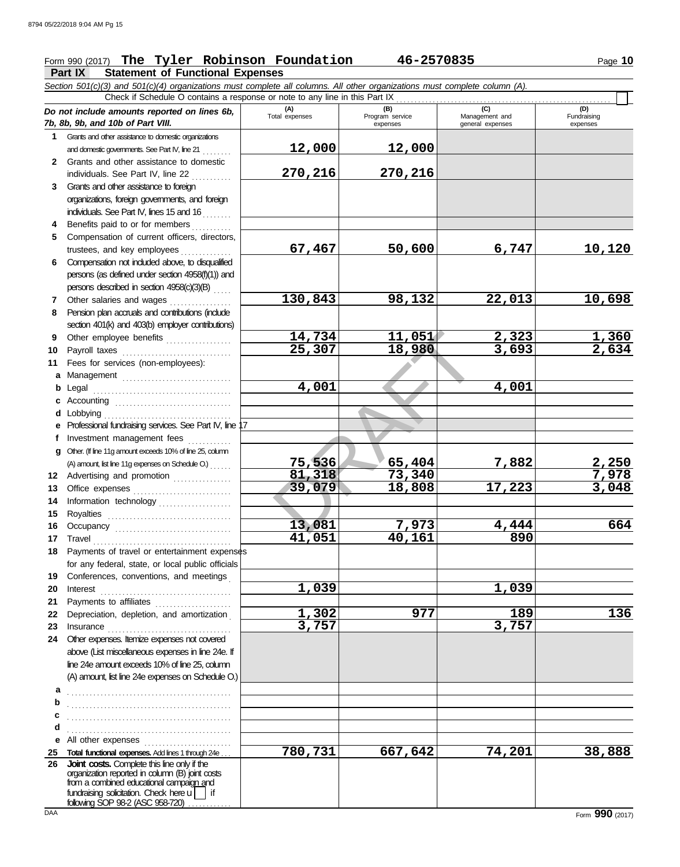## **Part IX Statement of Functional Expenses** Form 990 (2017) The Tyler Robinson Foundation 46-2570835 Page 10

*Section 501(c)(3) and 501(c)(4) organizations must complete all columns. All other organizations must complete column (A).*

14,734 11,051<br>
25,307 18,980<br>
4,001<br>
3,001<br>
75,536 65,404<br>
81,318 73,340<br>
39,079 18,808 1<br>
13,081 7,973 *Do not include amounts reported on lines 6b, 7b, 8b, 9b, and 10b of Part VIII.* **1 2 3 4** Benefits paid to or for members **. . . . . . . . 5 6** Compensation not included above, to disqualified **7 8 9 10 11 a** Management .............................. **b** Legal . . . . . . . . . . . . . . . . . . . . . . . . . . . . . . . . . . . . . . **c** Accounting . . . . . . . . . . . . . . . . . . . . . . . . . . . . . . . . **d** Lobbying . . . . . . . . . . . . . . . . . . . . . . . . . . . . . . . . . . . **e** Professional fundraising services. See Part IV, line 17 **f g 12** Advertising and promotion ............... **13** Office expenses **.......................**... **14 15 16 17** Travel . . . . . . . . . . . . . . . . . . . . . . . . . . . . . . . . . . . . . . **18** Payments of travel or entertainment expenses **19 20** Interest . . . . . . . . . . . . . . . . . . . . . . . . . . . . . . . . . . . . **21 22** Depreciation, depletion, and amortization . **23** Insurance . . . . . . . . . . . . . . . . . . . . . . . . . . . . . . . . . . **24** Other expenses. Itemize expenses not covered **a** . . . . . . . . . . . . . . . . . . . . . . . . . . . . . . . . . . . . . . . . . . . . . **b c d e** All other expenses . . . . . . . . . . . . . . . . . . . . . . . . **25 Total functional expenses.** Add lines 1 through 24e . . . **26** Grants and other assistance to domestic organizations and domestic governments. See Part IV, line 21 Grants and other assistance to domestic individuals. See Part IV, line 22 Grants and other assistance to foreign organizations, foreign governments, and foreign individuals. See Part IV, lines 15 and 16 Compensation of current officers, directors, trustees, and key employees .............. persons (as defined under section 4958(f)(1)) and persons described in section 4958(c)(3)(B) . . . . . Other salaries and wages ............ Pension plan accruals and contributions (include section 401(k) and 403(b) employer contributions) Other employee benefits .................. Payroll taxes ................................ Fees for services (non-employees): Investment management fees Other. (If line 11g amount exceeds 10% of line 25, column Information technology . . . . . . . . . . . . . . . . . . . . Royalties . . . . . . . . . . . . . . . . . . . . . . . . . . . . . . . . . . Occupancy . . . . . . . . . . . . . . . . . . . . . . . . . . . . . . . . for any federal, state, or local public officials Conferences, conventions, and meetings Payments to affiliates ...................... above (List miscellaneous expenses in line 24e. If line 24e amount exceeds 10% of line 25, column (A) amount, list line 24e expenses on Schedule O.) fundraising solicitation. Check here  $\Box$  if organization reported in column (B) joint costs from a combined educational campaign and following SOP 98-2 (ASC 958-720) . . . . . . . . . . **(A) (B) (C) (D)** Tor<br>
gram service Management and<br>
expenses expenses<br>
general expenses expenses general expenses (D)<br>Fundraising expenses . . . . . . . . . . . . . . . . . . . . . . . . . . . . . . . . . . . . . . . . . . . . . . . . . . . . . . . . . . . . . . . . . . . . . . . . . . . . . . . . . . . . . . . . . . . . . . . . . . . . . . . . . . . . . . . . . . . . . . . . . . . . . . . . . . . . . . . Check if Schedule O contains a response or note to any line in this Part IX **Joint costs.** Complete this line only if the (A) amount, list line 11g expenses on Schedule O.) . . . . . . **12,000 12,000 270,216 270,216 67,467 50,600 6,747 10,120 130,843 98,132 22,013 10,698 14,734 11,051 2,323 1,360 25,307 18,980 3,693 2,634 4,001 4,001 75,536 65,404 7,882 2,250 81,318 73,340 7,978 39,079 18,808 17,223 3,048 13,081 7,973 4,444 664 41,051 40,161 890 1,039 1,039 1,302 977 189 136 3,757 3,757 780,731 667,642 74,201 38,888**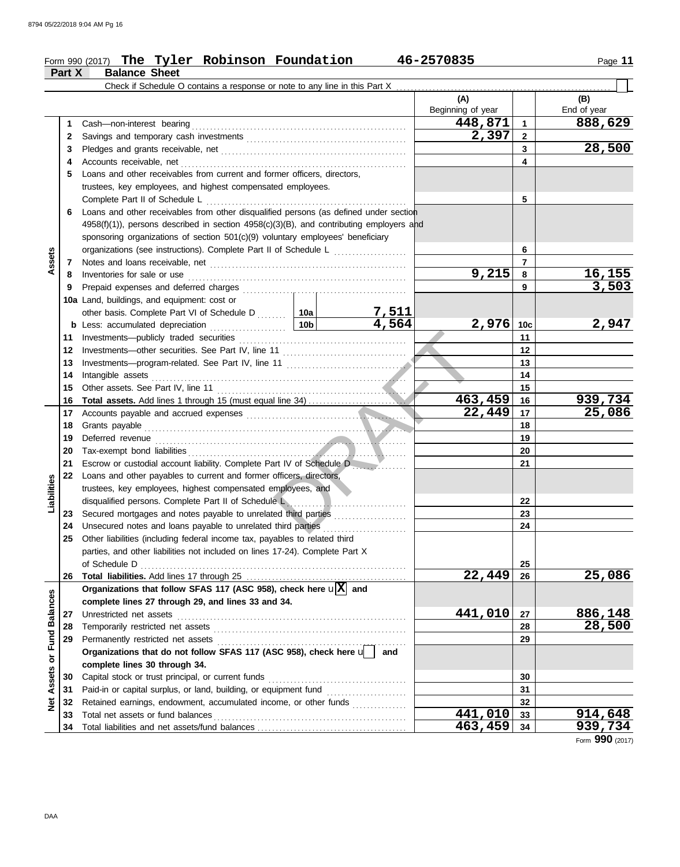#### Form 990 (2017) Page **11 The Tyler Robinson Foundation 46-2570835**

| Check if Schedule O contains a response or note to any line in this Part X<br>(A)<br>(B)<br>Beginning of year<br>End of year<br>448,871<br>888,629<br>$\overline{1}$<br>1<br>Cash-non-interest bearing<br>2,397<br>$\overline{\mathbf{2}}$<br>2<br>28,500<br>3<br>3<br>Accounts receivable, net<br>4<br>4<br>Loans and other receivables from current and former officers, directors,<br>5<br>trustees, key employees, and highest compensated employees.<br>5<br>Complete Part II of Schedule L<br>Loans and other receivables from other disqualified persons (as defined under section<br>6<br>$4958(f)(1)$ , persons described in section $4958(c)(3)(B)$ , and contributing employers and<br>sponsoring organizations of section 501(c)(9) voluntary employees' beneficiary<br>organizations (see instructions). Complete Part II of Schedule L<br>6<br>Assets<br>$\overline{7}$<br>7<br>9,215<br><u>16,155</u><br>8<br>Inventories for sale or use<br>8<br>3,503<br>9<br>Prepaid expenses and deferred charges<br>9<br>10a Land, buildings, and equipment: cost or<br>other basis. Complete Part VI of Schedule D  10a<br>$\frac{7,511}{4,564}$<br>2,947<br>2,976<br>10 <sub>b</sub><br>10 <sub>c</sub><br><b>b</b> Less: accumulated depreciation<br>.<br>11<br>Investments-publicly traded securities<br>11<br>12<br>12<br>13<br>13<br>14<br>Intangible assets<br>14<br>15<br>15<br>463,459<br>939,734<br>16<br>16<br>22,449<br>25,086<br>17<br>17<br>18<br>Grants payable<br>18<br>19<br>19<br>20<br>20<br>Tax-exempt bond liabilities<br>21<br>21<br>Escrow or custodial account liability. Complete Part IV of Schedule D<br>Loans and other payables to current and former officers, directors,<br>22<br>Liabilities<br>trustees, key employees, highest compensated employees, and<br>disqualified persons. Complete Part II of Schedule L<br>22<br>Secured mortgages and notes payable to unrelated third parties<br>23<br>23<br>Unsecured notes and loans payable to unrelated third parties<br>24<br>24<br>25<br>Other liabilities (including federal income tax, payables to related third<br>parties, and other liabilities not included on lines 17-24). Complete Part X<br>of Schedule D<br>25<br>22,449<br>26<br>Organizations that follow SFAS 117 (ASC 958), check here $\sqrt{X}$ and<br><b>Fund Balances</b><br>complete lines 27 through 29, and lines 33 and 34.<br>441,010<br>886,148<br>Unrestricted net assets<br>27<br>27<br>28,500<br>28<br>28<br>29<br>29<br>Organizations that do not follow SFAS 117 (ASC 958), check here u<br>and<br>ð<br>complete lines 30 through 34.<br><b>Net Assets</b><br>Capital stock or trust principal, or current funds<br>30<br>30<br>Paid-in or capital surplus, or land, building, or equipment fund<br>31<br>31<br>Retained earnings, endowment, accumulated income, or other funds<br>32<br>32<br>441,010<br>914,648<br>Total net assets or fund balances<br>33<br>33<br>463,459<br>34<br>34<br>000 | Part X | <b>Balance Sheet</b> |  |                |
|--------------------------------------------------------------------------------------------------------------------------------------------------------------------------------------------------------------------------------------------------------------------------------------------------------------------------------------------------------------------------------------------------------------------------------------------------------------------------------------------------------------------------------------------------------------------------------------------------------------------------------------------------------------------------------------------------------------------------------------------------------------------------------------------------------------------------------------------------------------------------------------------------------------------------------------------------------------------------------------------------------------------------------------------------------------------------------------------------------------------------------------------------------------------------------------------------------------------------------------------------------------------------------------------------------------------------------------------------------------------------------------------------------------------------------------------------------------------------------------------------------------------------------------------------------------------------------------------------------------------------------------------------------------------------------------------------------------------------------------------------------------------------------------------------------------------------------------------------------------------------------------------------------------------------------------------------------------------------------------------------------------------------------------------------------------------------------------------------------------------------------------------------------------------------------------------------------------------------------------------------------------------------------------------------------------------------------------------------------------------------------------------------------------------------------------------------------------------------------------------------------------------------------------------------------------------------------------------------------------------------------------------------------------------------------------------------------------------------------------------------------------------------------------------------------------------------------------------------------------------------------------------------------------------------------------------------------------------------|--------|----------------------|--|----------------|
|                                                                                                                                                                                                                                                                                                                                                                                                                                                                                                                                                                                                                                                                                                                                                                                                                                                                                                                                                                                                                                                                                                                                                                                                                                                                                                                                                                                                                                                                                                                                                                                                                                                                                                                                                                                                                                                                                                                                                                                                                                                                                                                                                                                                                                                                                                                                                                                                                                                                                                                                                                                                                                                                                                                                                                                                                                                                                                                                                                          |        |                      |  |                |
|                                                                                                                                                                                                                                                                                                                                                                                                                                                                                                                                                                                                                                                                                                                                                                                                                                                                                                                                                                                                                                                                                                                                                                                                                                                                                                                                                                                                                                                                                                                                                                                                                                                                                                                                                                                                                                                                                                                                                                                                                                                                                                                                                                                                                                                                                                                                                                                                                                                                                                                                                                                                                                                                                                                                                                                                                                                                                                                                                                          |        |                      |  |                |
|                                                                                                                                                                                                                                                                                                                                                                                                                                                                                                                                                                                                                                                                                                                                                                                                                                                                                                                                                                                                                                                                                                                                                                                                                                                                                                                                                                                                                                                                                                                                                                                                                                                                                                                                                                                                                                                                                                                                                                                                                                                                                                                                                                                                                                                                                                                                                                                                                                                                                                                                                                                                                                                                                                                                                                                                                                                                                                                                                                          |        |                      |  |                |
|                                                                                                                                                                                                                                                                                                                                                                                                                                                                                                                                                                                                                                                                                                                                                                                                                                                                                                                                                                                                                                                                                                                                                                                                                                                                                                                                                                                                                                                                                                                                                                                                                                                                                                                                                                                                                                                                                                                                                                                                                                                                                                                                                                                                                                                                                                                                                                                                                                                                                                                                                                                                                                                                                                                                                                                                                                                                                                                                                                          |        |                      |  |                |
|                                                                                                                                                                                                                                                                                                                                                                                                                                                                                                                                                                                                                                                                                                                                                                                                                                                                                                                                                                                                                                                                                                                                                                                                                                                                                                                                                                                                                                                                                                                                                                                                                                                                                                                                                                                                                                                                                                                                                                                                                                                                                                                                                                                                                                                                                                                                                                                                                                                                                                                                                                                                                                                                                                                                                                                                                                                                                                                                                                          |        |                      |  |                |
|                                                                                                                                                                                                                                                                                                                                                                                                                                                                                                                                                                                                                                                                                                                                                                                                                                                                                                                                                                                                                                                                                                                                                                                                                                                                                                                                                                                                                                                                                                                                                                                                                                                                                                                                                                                                                                                                                                                                                                                                                                                                                                                                                                                                                                                                                                                                                                                                                                                                                                                                                                                                                                                                                                                                                                                                                                                                                                                                                                          |        |                      |  |                |
|                                                                                                                                                                                                                                                                                                                                                                                                                                                                                                                                                                                                                                                                                                                                                                                                                                                                                                                                                                                                                                                                                                                                                                                                                                                                                                                                                                                                                                                                                                                                                                                                                                                                                                                                                                                                                                                                                                                                                                                                                                                                                                                                                                                                                                                                                                                                                                                                                                                                                                                                                                                                                                                                                                                                                                                                                                                                                                                                                                          |        |                      |  |                |
|                                                                                                                                                                                                                                                                                                                                                                                                                                                                                                                                                                                                                                                                                                                                                                                                                                                                                                                                                                                                                                                                                                                                                                                                                                                                                                                                                                                                                                                                                                                                                                                                                                                                                                                                                                                                                                                                                                                                                                                                                                                                                                                                                                                                                                                                                                                                                                                                                                                                                                                                                                                                                                                                                                                                                                                                                                                                                                                                                                          |        |                      |  |                |
|                                                                                                                                                                                                                                                                                                                                                                                                                                                                                                                                                                                                                                                                                                                                                                                                                                                                                                                                                                                                                                                                                                                                                                                                                                                                                                                                                                                                                                                                                                                                                                                                                                                                                                                                                                                                                                                                                                                                                                                                                                                                                                                                                                                                                                                                                                                                                                                                                                                                                                                                                                                                                                                                                                                                                                                                                                                                                                                                                                          |        |                      |  |                |
|                                                                                                                                                                                                                                                                                                                                                                                                                                                                                                                                                                                                                                                                                                                                                                                                                                                                                                                                                                                                                                                                                                                                                                                                                                                                                                                                                                                                                                                                                                                                                                                                                                                                                                                                                                                                                                                                                                                                                                                                                                                                                                                                                                                                                                                                                                                                                                                                                                                                                                                                                                                                                                                                                                                                                                                                                                                                                                                                                                          |        |                      |  |                |
|                                                                                                                                                                                                                                                                                                                                                                                                                                                                                                                                                                                                                                                                                                                                                                                                                                                                                                                                                                                                                                                                                                                                                                                                                                                                                                                                                                                                                                                                                                                                                                                                                                                                                                                                                                                                                                                                                                                                                                                                                                                                                                                                                                                                                                                                                                                                                                                                                                                                                                                                                                                                                                                                                                                                                                                                                                                                                                                                                                          |        |                      |  |                |
|                                                                                                                                                                                                                                                                                                                                                                                                                                                                                                                                                                                                                                                                                                                                                                                                                                                                                                                                                                                                                                                                                                                                                                                                                                                                                                                                                                                                                                                                                                                                                                                                                                                                                                                                                                                                                                                                                                                                                                                                                                                                                                                                                                                                                                                                                                                                                                                                                                                                                                                                                                                                                                                                                                                                                                                                                                                                                                                                                                          |        |                      |  |                |
|                                                                                                                                                                                                                                                                                                                                                                                                                                                                                                                                                                                                                                                                                                                                                                                                                                                                                                                                                                                                                                                                                                                                                                                                                                                                                                                                                                                                                                                                                                                                                                                                                                                                                                                                                                                                                                                                                                                                                                                                                                                                                                                                                                                                                                                                                                                                                                                                                                                                                                                                                                                                                                                                                                                                                                                                                                                                                                                                                                          |        |                      |  |                |
|                                                                                                                                                                                                                                                                                                                                                                                                                                                                                                                                                                                                                                                                                                                                                                                                                                                                                                                                                                                                                                                                                                                                                                                                                                                                                                                                                                                                                                                                                                                                                                                                                                                                                                                                                                                                                                                                                                                                                                                                                                                                                                                                                                                                                                                                                                                                                                                                                                                                                                                                                                                                                                                                                                                                                                                                                                                                                                                                                                          |        |                      |  |                |
|                                                                                                                                                                                                                                                                                                                                                                                                                                                                                                                                                                                                                                                                                                                                                                                                                                                                                                                                                                                                                                                                                                                                                                                                                                                                                                                                                                                                                                                                                                                                                                                                                                                                                                                                                                                                                                                                                                                                                                                                                                                                                                                                                                                                                                                                                                                                                                                                                                                                                                                                                                                                                                                                                                                                                                                                                                                                                                                                                                          |        |                      |  |                |
|                                                                                                                                                                                                                                                                                                                                                                                                                                                                                                                                                                                                                                                                                                                                                                                                                                                                                                                                                                                                                                                                                                                                                                                                                                                                                                                                                                                                                                                                                                                                                                                                                                                                                                                                                                                                                                                                                                                                                                                                                                                                                                                                                                                                                                                                                                                                                                                                                                                                                                                                                                                                                                                                                                                                                                                                                                                                                                                                                                          |        |                      |  |                |
|                                                                                                                                                                                                                                                                                                                                                                                                                                                                                                                                                                                                                                                                                                                                                                                                                                                                                                                                                                                                                                                                                                                                                                                                                                                                                                                                                                                                                                                                                                                                                                                                                                                                                                                                                                                                                                                                                                                                                                                                                                                                                                                                                                                                                                                                                                                                                                                                                                                                                                                                                                                                                                                                                                                                                                                                                                                                                                                                                                          |        |                      |  |                |
|                                                                                                                                                                                                                                                                                                                                                                                                                                                                                                                                                                                                                                                                                                                                                                                                                                                                                                                                                                                                                                                                                                                                                                                                                                                                                                                                                                                                                                                                                                                                                                                                                                                                                                                                                                                                                                                                                                                                                                                                                                                                                                                                                                                                                                                                                                                                                                                                                                                                                                                                                                                                                                                                                                                                                                                                                                                                                                                                                                          |        |                      |  |                |
|                                                                                                                                                                                                                                                                                                                                                                                                                                                                                                                                                                                                                                                                                                                                                                                                                                                                                                                                                                                                                                                                                                                                                                                                                                                                                                                                                                                                                                                                                                                                                                                                                                                                                                                                                                                                                                                                                                                                                                                                                                                                                                                                                                                                                                                                                                                                                                                                                                                                                                                                                                                                                                                                                                                                                                                                                                                                                                                                                                          |        |                      |  |                |
|                                                                                                                                                                                                                                                                                                                                                                                                                                                                                                                                                                                                                                                                                                                                                                                                                                                                                                                                                                                                                                                                                                                                                                                                                                                                                                                                                                                                                                                                                                                                                                                                                                                                                                                                                                                                                                                                                                                                                                                                                                                                                                                                                                                                                                                                                                                                                                                                                                                                                                                                                                                                                                                                                                                                                                                                                                                                                                                                                                          |        |                      |  |                |
|                                                                                                                                                                                                                                                                                                                                                                                                                                                                                                                                                                                                                                                                                                                                                                                                                                                                                                                                                                                                                                                                                                                                                                                                                                                                                                                                                                                                                                                                                                                                                                                                                                                                                                                                                                                                                                                                                                                                                                                                                                                                                                                                                                                                                                                                                                                                                                                                                                                                                                                                                                                                                                                                                                                                                                                                                                                                                                                                                                          |        |                      |  |                |
|                                                                                                                                                                                                                                                                                                                                                                                                                                                                                                                                                                                                                                                                                                                                                                                                                                                                                                                                                                                                                                                                                                                                                                                                                                                                                                                                                                                                                                                                                                                                                                                                                                                                                                                                                                                                                                                                                                                                                                                                                                                                                                                                                                                                                                                                                                                                                                                                                                                                                                                                                                                                                                                                                                                                                                                                                                                                                                                                                                          |        |                      |  |                |
|                                                                                                                                                                                                                                                                                                                                                                                                                                                                                                                                                                                                                                                                                                                                                                                                                                                                                                                                                                                                                                                                                                                                                                                                                                                                                                                                                                                                                                                                                                                                                                                                                                                                                                                                                                                                                                                                                                                                                                                                                                                                                                                                                                                                                                                                                                                                                                                                                                                                                                                                                                                                                                                                                                                                                                                                                                                                                                                                                                          |        |                      |  |                |
|                                                                                                                                                                                                                                                                                                                                                                                                                                                                                                                                                                                                                                                                                                                                                                                                                                                                                                                                                                                                                                                                                                                                                                                                                                                                                                                                                                                                                                                                                                                                                                                                                                                                                                                                                                                                                                                                                                                                                                                                                                                                                                                                                                                                                                                                                                                                                                                                                                                                                                                                                                                                                                                                                                                                                                                                                                                                                                                                                                          |        |                      |  |                |
|                                                                                                                                                                                                                                                                                                                                                                                                                                                                                                                                                                                                                                                                                                                                                                                                                                                                                                                                                                                                                                                                                                                                                                                                                                                                                                                                                                                                                                                                                                                                                                                                                                                                                                                                                                                                                                                                                                                                                                                                                                                                                                                                                                                                                                                                                                                                                                                                                                                                                                                                                                                                                                                                                                                                                                                                                                                                                                                                                                          |        |                      |  |                |
|                                                                                                                                                                                                                                                                                                                                                                                                                                                                                                                                                                                                                                                                                                                                                                                                                                                                                                                                                                                                                                                                                                                                                                                                                                                                                                                                                                                                                                                                                                                                                                                                                                                                                                                                                                                                                                                                                                                                                                                                                                                                                                                                                                                                                                                                                                                                                                                                                                                                                                                                                                                                                                                                                                                                                                                                                                                                                                                                                                          |        |                      |  |                |
|                                                                                                                                                                                                                                                                                                                                                                                                                                                                                                                                                                                                                                                                                                                                                                                                                                                                                                                                                                                                                                                                                                                                                                                                                                                                                                                                                                                                                                                                                                                                                                                                                                                                                                                                                                                                                                                                                                                                                                                                                                                                                                                                                                                                                                                                                                                                                                                                                                                                                                                                                                                                                                                                                                                                                                                                                                                                                                                                                                          |        |                      |  |                |
|                                                                                                                                                                                                                                                                                                                                                                                                                                                                                                                                                                                                                                                                                                                                                                                                                                                                                                                                                                                                                                                                                                                                                                                                                                                                                                                                                                                                                                                                                                                                                                                                                                                                                                                                                                                                                                                                                                                                                                                                                                                                                                                                                                                                                                                                                                                                                                                                                                                                                                                                                                                                                                                                                                                                                                                                                                                                                                                                                                          |        |                      |  |                |
|                                                                                                                                                                                                                                                                                                                                                                                                                                                                                                                                                                                                                                                                                                                                                                                                                                                                                                                                                                                                                                                                                                                                                                                                                                                                                                                                                                                                                                                                                                                                                                                                                                                                                                                                                                                                                                                                                                                                                                                                                                                                                                                                                                                                                                                                                                                                                                                                                                                                                                                                                                                                                                                                                                                                                                                                                                                                                                                                                                          |        |                      |  |                |
|                                                                                                                                                                                                                                                                                                                                                                                                                                                                                                                                                                                                                                                                                                                                                                                                                                                                                                                                                                                                                                                                                                                                                                                                                                                                                                                                                                                                                                                                                                                                                                                                                                                                                                                                                                                                                                                                                                                                                                                                                                                                                                                                                                                                                                                                                                                                                                                                                                                                                                                                                                                                                                                                                                                                                                                                                                                                                                                                                                          |        |                      |  |                |
|                                                                                                                                                                                                                                                                                                                                                                                                                                                                                                                                                                                                                                                                                                                                                                                                                                                                                                                                                                                                                                                                                                                                                                                                                                                                                                                                                                                                                                                                                                                                                                                                                                                                                                                                                                                                                                                                                                                                                                                                                                                                                                                                                                                                                                                                                                                                                                                                                                                                                                                                                                                                                                                                                                                                                                                                                                                                                                                                                                          |        |                      |  |                |
|                                                                                                                                                                                                                                                                                                                                                                                                                                                                                                                                                                                                                                                                                                                                                                                                                                                                                                                                                                                                                                                                                                                                                                                                                                                                                                                                                                                                                                                                                                                                                                                                                                                                                                                                                                                                                                                                                                                                                                                                                                                                                                                                                                                                                                                                                                                                                                                                                                                                                                                                                                                                                                                                                                                                                                                                                                                                                                                                                                          |        |                      |  |                |
|                                                                                                                                                                                                                                                                                                                                                                                                                                                                                                                                                                                                                                                                                                                                                                                                                                                                                                                                                                                                                                                                                                                                                                                                                                                                                                                                                                                                                                                                                                                                                                                                                                                                                                                                                                                                                                                                                                                                                                                                                                                                                                                                                                                                                                                                                                                                                                                                                                                                                                                                                                                                                                                                                                                                                                                                                                                                                                                                                                          |        |                      |  |                |
|                                                                                                                                                                                                                                                                                                                                                                                                                                                                                                                                                                                                                                                                                                                                                                                                                                                                                                                                                                                                                                                                                                                                                                                                                                                                                                                                                                                                                                                                                                                                                                                                                                                                                                                                                                                                                                                                                                                                                                                                                                                                                                                                                                                                                                                                                                                                                                                                                                                                                                                                                                                                                                                                                                                                                                                                                                                                                                                                                                          |        |                      |  |                |
|                                                                                                                                                                                                                                                                                                                                                                                                                                                                                                                                                                                                                                                                                                                                                                                                                                                                                                                                                                                                                                                                                                                                                                                                                                                                                                                                                                                                                                                                                                                                                                                                                                                                                                                                                                                                                                                                                                                                                                                                                                                                                                                                                                                                                                                                                                                                                                                                                                                                                                                                                                                                                                                                                                                                                                                                                                                                                                                                                                          |        |                      |  |                |
|                                                                                                                                                                                                                                                                                                                                                                                                                                                                                                                                                                                                                                                                                                                                                                                                                                                                                                                                                                                                                                                                                                                                                                                                                                                                                                                                                                                                                                                                                                                                                                                                                                                                                                                                                                                                                                                                                                                                                                                                                                                                                                                                                                                                                                                                                                                                                                                                                                                                                                                                                                                                                                                                                                                                                                                                                                                                                                                                                                          |        |                      |  |                |
|                                                                                                                                                                                                                                                                                                                                                                                                                                                                                                                                                                                                                                                                                                                                                                                                                                                                                                                                                                                                                                                                                                                                                                                                                                                                                                                                                                                                                                                                                                                                                                                                                                                                                                                                                                                                                                                                                                                                                                                                                                                                                                                                                                                                                                                                                                                                                                                                                                                                                                                                                                                                                                                                                                                                                                                                                                                                                                                                                                          |        |                      |  |                |
|                                                                                                                                                                                                                                                                                                                                                                                                                                                                                                                                                                                                                                                                                                                                                                                                                                                                                                                                                                                                                                                                                                                                                                                                                                                                                                                                                                                                                                                                                                                                                                                                                                                                                                                                                                                                                                                                                                                                                                                                                                                                                                                                                                                                                                                                                                                                                                                                                                                                                                                                                                                                                                                                                                                                                                                                                                                                                                                                                                          |        |                      |  |                |
|                                                                                                                                                                                                                                                                                                                                                                                                                                                                                                                                                                                                                                                                                                                                                                                                                                                                                                                                                                                                                                                                                                                                                                                                                                                                                                                                                                                                                                                                                                                                                                                                                                                                                                                                                                                                                                                                                                                                                                                                                                                                                                                                                                                                                                                                                                                                                                                                                                                                                                                                                                                                                                                                                                                                                                                                                                                                                                                                                                          |        |                      |  | 25,086         |
|                                                                                                                                                                                                                                                                                                                                                                                                                                                                                                                                                                                                                                                                                                                                                                                                                                                                                                                                                                                                                                                                                                                                                                                                                                                                                                                                                                                                                                                                                                                                                                                                                                                                                                                                                                                                                                                                                                                                                                                                                                                                                                                                                                                                                                                                                                                                                                                                                                                                                                                                                                                                                                                                                                                                                                                                                                                                                                                                                                          |        |                      |  |                |
|                                                                                                                                                                                                                                                                                                                                                                                                                                                                                                                                                                                                                                                                                                                                                                                                                                                                                                                                                                                                                                                                                                                                                                                                                                                                                                                                                                                                                                                                                                                                                                                                                                                                                                                                                                                                                                                                                                                                                                                                                                                                                                                                                                                                                                                                                                                                                                                                                                                                                                                                                                                                                                                                                                                                                                                                                                                                                                                                                                          |        |                      |  |                |
|                                                                                                                                                                                                                                                                                                                                                                                                                                                                                                                                                                                                                                                                                                                                                                                                                                                                                                                                                                                                                                                                                                                                                                                                                                                                                                                                                                                                                                                                                                                                                                                                                                                                                                                                                                                                                                                                                                                                                                                                                                                                                                                                                                                                                                                                                                                                                                                                                                                                                                                                                                                                                                                                                                                                                                                                                                                                                                                                                                          |        |                      |  |                |
|                                                                                                                                                                                                                                                                                                                                                                                                                                                                                                                                                                                                                                                                                                                                                                                                                                                                                                                                                                                                                                                                                                                                                                                                                                                                                                                                                                                                                                                                                                                                                                                                                                                                                                                                                                                                                                                                                                                                                                                                                                                                                                                                                                                                                                                                                                                                                                                                                                                                                                                                                                                                                                                                                                                                                                                                                                                                                                                                                                          |        |                      |  |                |
|                                                                                                                                                                                                                                                                                                                                                                                                                                                                                                                                                                                                                                                                                                                                                                                                                                                                                                                                                                                                                                                                                                                                                                                                                                                                                                                                                                                                                                                                                                                                                                                                                                                                                                                                                                                                                                                                                                                                                                                                                                                                                                                                                                                                                                                                                                                                                                                                                                                                                                                                                                                                                                                                                                                                                                                                                                                                                                                                                                          |        |                      |  |                |
|                                                                                                                                                                                                                                                                                                                                                                                                                                                                                                                                                                                                                                                                                                                                                                                                                                                                                                                                                                                                                                                                                                                                                                                                                                                                                                                                                                                                                                                                                                                                                                                                                                                                                                                                                                                                                                                                                                                                                                                                                                                                                                                                                                                                                                                                                                                                                                                                                                                                                                                                                                                                                                                                                                                                                                                                                                                                                                                                                                          |        |                      |  |                |
|                                                                                                                                                                                                                                                                                                                                                                                                                                                                                                                                                                                                                                                                                                                                                                                                                                                                                                                                                                                                                                                                                                                                                                                                                                                                                                                                                                                                                                                                                                                                                                                                                                                                                                                                                                                                                                                                                                                                                                                                                                                                                                                                                                                                                                                                                                                                                                                                                                                                                                                                                                                                                                                                                                                                                                                                                                                                                                                                                                          |        |                      |  |                |
|                                                                                                                                                                                                                                                                                                                                                                                                                                                                                                                                                                                                                                                                                                                                                                                                                                                                                                                                                                                                                                                                                                                                                                                                                                                                                                                                                                                                                                                                                                                                                                                                                                                                                                                                                                                                                                                                                                                                                                                                                                                                                                                                                                                                                                                                                                                                                                                                                                                                                                                                                                                                                                                                                                                                                                                                                                                                                                                                                                          |        |                      |  |                |
|                                                                                                                                                                                                                                                                                                                                                                                                                                                                                                                                                                                                                                                                                                                                                                                                                                                                                                                                                                                                                                                                                                                                                                                                                                                                                                                                                                                                                                                                                                                                                                                                                                                                                                                                                                                                                                                                                                                                                                                                                                                                                                                                                                                                                                                                                                                                                                                                                                                                                                                                                                                                                                                                                                                                                                                                                                                                                                                                                                          |        |                      |  |                |
|                                                                                                                                                                                                                                                                                                                                                                                                                                                                                                                                                                                                                                                                                                                                                                                                                                                                                                                                                                                                                                                                                                                                                                                                                                                                                                                                                                                                                                                                                                                                                                                                                                                                                                                                                                                                                                                                                                                                                                                                                                                                                                                                                                                                                                                                                                                                                                                                                                                                                                                                                                                                                                                                                                                                                                                                                                                                                                                                                                          |        |                      |  |                |
|                                                                                                                                                                                                                                                                                                                                                                                                                                                                                                                                                                                                                                                                                                                                                                                                                                                                                                                                                                                                                                                                                                                                                                                                                                                                                                                                                                                                                                                                                                                                                                                                                                                                                                                                                                                                                                                                                                                                                                                                                                                                                                                                                                                                                                                                                                                                                                                                                                                                                                                                                                                                                                                                                                                                                                                                                                                                                                                                                                          |        |                      |  |                |
|                                                                                                                                                                                                                                                                                                                                                                                                                                                                                                                                                                                                                                                                                                                                                                                                                                                                                                                                                                                                                                                                                                                                                                                                                                                                                                                                                                                                                                                                                                                                                                                                                                                                                                                                                                                                                                                                                                                                                                                                                                                                                                                                                                                                                                                                                                                                                                                                                                                                                                                                                                                                                                                                                                                                                                                                                                                                                                                                                                          |        |                      |  | <u>939,734</u> |

Form **990** (2017)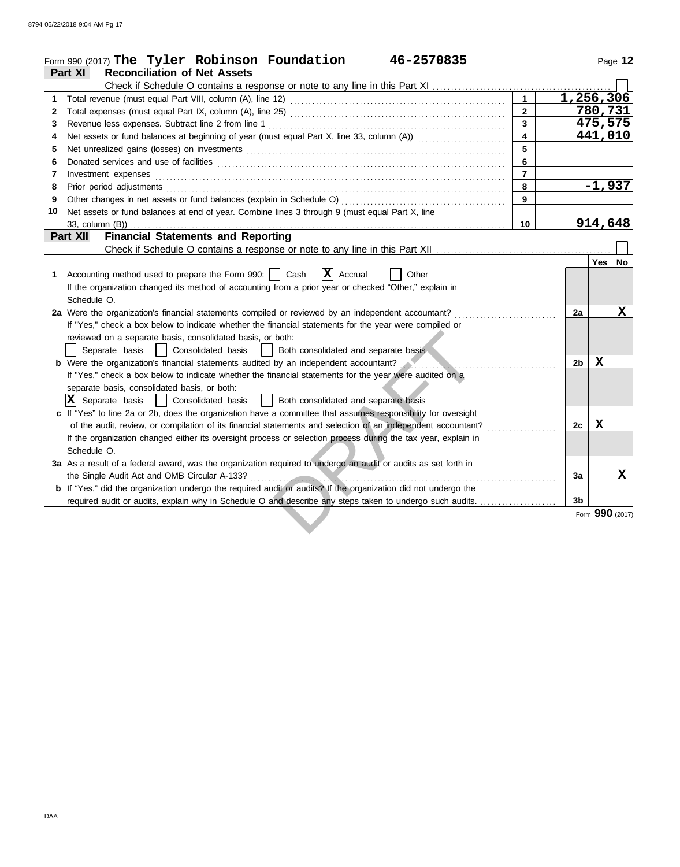|    | Form 990 (2017) The Tyler Robinson Foundation<br>46-2570835                                                           |                         |                |                 | Page 12 |
|----|-----------------------------------------------------------------------------------------------------------------------|-------------------------|----------------|-----------------|---------|
|    | <b>Reconciliation of Net Assets</b><br>Part XI                                                                        |                         |                |                 |         |
|    | Check if Schedule O contains a response or note to any line in this Part XI                                           |                         |                |                 |         |
| 1  |                                                                                                                       |                         | 1,256,306      |                 |         |
| 2  |                                                                                                                       | $\mathbf{2}$            |                | 780,731         |         |
| 3  |                                                                                                                       | $\mathbf{3}$            |                | 475,575         |         |
| 4  | Net assets or fund balances at beginning of year (must equal Part X, line 33, column (A)) [[[[[[[[[[[[[[[[[[[         | $\overline{\mathbf{4}}$ |                | 441,010         |         |
| 5  |                                                                                                                       | 5                       |                |                 |         |
| 6  |                                                                                                                       | 6                       |                |                 |         |
| 7  | Investment expenses <b>constant expenses</b>                                                                          | $\overline{7}$          |                |                 |         |
| 8  |                                                                                                                       | 8                       |                | $-1,937$        |         |
| 9  |                                                                                                                       | 9                       |                |                 |         |
| 10 | Net assets or fund balances at end of year. Combine lines 3 through 9 (must equal Part X, line                        |                         |                |                 |         |
|    | 33, column (B))                                                                                                       | 10                      |                | 914,648         |         |
|    | <b>Financial Statements and Reporting</b><br><b>Part XII</b>                                                          |                         |                |                 |         |
|    |                                                                                                                       |                         |                |                 |         |
|    |                                                                                                                       |                         |                | Yes l           | No.     |
| 1. | $ \mathbf{X} $ Accrual<br>Accounting method used to prepare the Form 990:     Cash<br>Other                           |                         |                |                 |         |
|    | If the organization changed its method of accounting from a prior year or checked "Other," explain in                 |                         |                |                 |         |
|    | Schedule O.                                                                                                           |                         |                |                 |         |
|    | 2a Were the organization's financial statements compiled or reviewed by an independent accountant?                    |                         | 2a             |                 | x       |
|    | If "Yes," check a box below to indicate whether the financial statements for the year were compiled or                |                         |                |                 |         |
|    | reviewed on a separate basis, consolidated basis, or both:                                                            |                         |                |                 |         |
|    | Separate basis<br>Consolidated basis<br>Both consolidated and separate basis                                          |                         |                |                 |         |
|    | <b>b</b> Were the organization's financial statements audited by an independent accountant?                           |                         | 2 <sub>b</sub> | $\mathbf x$     |         |
|    | If "Yes," check a box below to indicate whether the financial statements for the year were audited on a               |                         |                |                 |         |
|    | separate basis, consolidated basis, or both:                                                                          |                         |                |                 |         |
|    | $ \mathbf{X} $ Separate basis<br>Both consolidated and separate basis<br>Consolidated basis                           |                         |                |                 |         |
|    | c If "Yes" to line 2a or 2b, does the organization have a committee that assumes responsibility for oversight         |                         |                |                 |         |
|    | of the audit, review, or compilation of its financial statements and selection of an independent accountant?          |                         | 2c             | $\mathbf x$     |         |
|    | If the organization changed either its oversight process or selection process during the tax year, explain in         |                         |                |                 |         |
|    | Schedule O.                                                                                                           |                         |                |                 |         |
|    | 3a As a result of a federal award, was the organization required to undergo an audit or audits as set forth in        |                         |                |                 |         |
|    | the Single Audit Act and OMB Circular A-133?                                                                          |                         | 3a             |                 | X       |
|    | <b>b</b> If "Yes," did the organization undergo the required audit or audits? If the organization did not undergo the |                         |                |                 |         |
|    | required audit or audits, explain why in Schedule O and describe any steps taken to undergo such audits.              |                         | 3 <sub>b</sub> |                 |         |
|    |                                                                                                                       |                         |                | Form 990 (2017) |         |
|    |                                                                                                                       |                         |                |                 |         |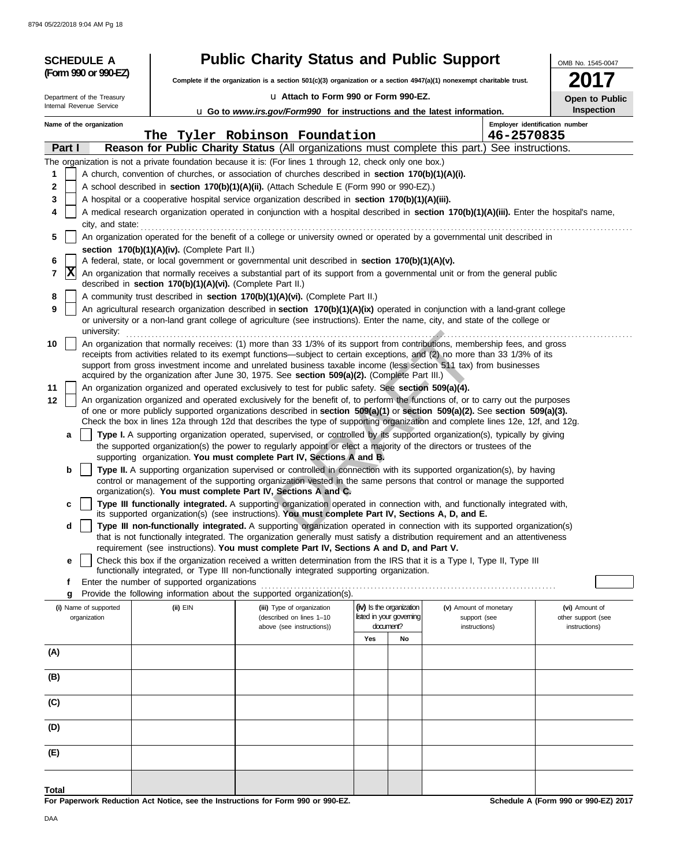| <b>SCHEDULE A</b>          |                                                            | <b>Public Charity Status and Public Support</b>                                                                                                                                                                                                                |                                       |                               | OMB No. 1545-0047                   |
|----------------------------|------------------------------------------------------------|----------------------------------------------------------------------------------------------------------------------------------------------------------------------------------------------------------------------------------------------------------------|---------------------------------------|-------------------------------|-------------------------------------|
| (Form 990 or 990-EZ)       |                                                            | Complete if the organization is a section $501(c)(3)$ organization or a section $4947(a)(1)$ nonexempt charitable trust.                                                                                                                                       |                                       |                               |                                     |
| Department of the Treasury |                                                            | U Attach to Form 990 or Form 990-EZ.                                                                                                                                                                                                                           |                                       |                               | Open to Public                      |
| Internal Revenue Service   |                                                            | U Go to www.irs.gov/Form990 for instructions and the latest information.                                                                                                                                                                                       |                                       |                               | <b>Inspection</b>                   |
| Name of the organization   |                                                            | The Tyler Robinson Foundation                                                                                                                                                                                                                                  |                                       | 46-2570835                    | Employer identification number      |
| Part I                     |                                                            | Reason for Public Charity Status (All organizations must complete this part.) See instructions.                                                                                                                                                                |                                       |                               |                                     |
|                            |                                                            | The organization is not a private foundation because it is: (For lines 1 through 12, check only one box.)                                                                                                                                                      |                                       |                               |                                     |
| 1                          |                                                            | A church, convention of churches, or association of churches described in section 170(b)(1)(A)(i).                                                                                                                                                             |                                       |                               |                                     |
| 2                          |                                                            | A school described in section 170(b)(1)(A)(ii). (Attach Schedule E (Form 990 or 990-EZ).)                                                                                                                                                                      |                                       |                               |                                     |
| 3                          |                                                            | A hospital or a cooperative hospital service organization described in section 170(b)(1)(A)(iii).                                                                                                                                                              |                                       |                               |                                     |
| 4<br>city, and state:      |                                                            | A medical research organization operated in conjunction with a hospital described in section 170(b)(1)(A)(iii). Enter the hospital's name,                                                                                                                     |                                       |                               |                                     |
| 5                          |                                                            | An organization operated for the benefit of a college or university owned or operated by a governmental unit described in                                                                                                                                      |                                       |                               |                                     |
|                            | section 170(b)(1)(A)(iv). (Complete Part II.)              | A federal, state, or local government or governmental unit described in section 170(b)(1)(A)(v).                                                                                                                                                               |                                       |                               |                                     |
| 6<br>$ {\bf X} $<br>7      |                                                            | An organization that normally receives a substantial part of its support from a governmental unit or from the general public                                                                                                                                   |                                       |                               |                                     |
|                            | described in section 170(b)(1)(A)(vi). (Complete Part II.) |                                                                                                                                                                                                                                                                |                                       |                               |                                     |
| 8<br>9                     |                                                            | A community trust described in section 170(b)(1)(A)(vi). (Complete Part II.)<br>An agricultural research organization described in section 170(b)(1)(A)(ix) operated in conjunction with a land-grant college                                                  |                                       |                               |                                     |
| university:                |                                                            | or university or a non-land grant college of agriculture (see instructions). Enter the name, city, and state of the college or                                                                                                                                 |                                       |                               |                                     |
| 10                         |                                                            | An organization that normally receives: (1) more than 33 1/3% of its support from contributions, membership fees, and gross                                                                                                                                    |                                       |                               |                                     |
|                            |                                                            | receipts from activities related to its exempt functions—subject to certain exceptions, and (2) no more than 33 1/3% of its<br>support from gross investment income and unrelated business taxable income (less section 511 tax) from businesses               |                                       |                               |                                     |
|                            |                                                            | acquired by the organization after June 30, 1975. See section 509(a)(2). (Complete Part III.)                                                                                                                                                                  |                                       |                               |                                     |
| 11                         |                                                            | An organization organized and operated exclusively to test for public safety. See section 509(a)(4).                                                                                                                                                           |                                       |                               |                                     |
| 12                         |                                                            | An organization organized and operated exclusively for the benefit of, to perform the functions of, or to carry out the purposes                                                                                                                               |                                       |                               |                                     |
|                            |                                                            | of one or more publicly supported organizations described in section 509(a)(1) or section 509(a)(2). See section 509(a)(3).<br>Check the box in lines 12a through 12d that describes the type of supporting organization and complete lines 12e, 12f, and 12g. |                                       |                               |                                     |
| a                          |                                                            | Type I. A supporting organization operated, supervised, or controlled by its supported organization(s), typically by giving                                                                                                                                    |                                       |                               |                                     |
|                            |                                                            | the supported organization(s) the power to regularly appoint or elect a majority of the directors or trustees of the<br>supporting organization. You must complete Part IV, Sections A and B.                                                                  |                                       |                               |                                     |
| b                          |                                                            | Type II. A supporting organization supervised or controlled in connection with its supported organization(s), by having                                                                                                                                        |                                       |                               |                                     |
|                            |                                                            | control or management of the supporting organization vested in the same persons that control or manage the supported                                                                                                                                           |                                       |                               |                                     |
|                            |                                                            | organization(s). You must complete Part IV, Sections A and C.                                                                                                                                                                                                  |                                       |                               |                                     |
| c                          |                                                            | Type III functionally integrated. A supporting organization operated in connection with, and functionally integrated with,<br>its supported organization(s) (see instructions). You must complete Part IV, Sections A, D, and E.                               |                                       |                               |                                     |
| d                          |                                                            | Type III non-functionally integrated. A supporting organization operated in connection with its supported organization(s)                                                                                                                                      |                                       |                               |                                     |
|                            |                                                            | that is not functionally integrated. The organization generally must satisfy a distribution requirement and an attentiveness<br>requirement (see instructions). You must complete Part IV, Sections A and D, and Part V.                                       |                                       |                               |                                     |
| е                          |                                                            | Check this box if the organization received a written determination from the IRS that it is a Type I, Type II, Type III                                                                                                                                        |                                       |                               |                                     |
| f                          | Enter the number of supported organizations                | functionally integrated, or Type III non-functionally integrated supporting organization.                                                                                                                                                                      |                                       |                               |                                     |
| g                          |                                                            | Provide the following information about the supported organization(s).                                                                                                                                                                                         |                                       |                               |                                     |
| (i) Name of supported      | (ii) EIN                                                   | (iii) Type of organization                                                                                                                                                                                                                                     | (iv) Is the organization              | (v) Amount of monetary        | (vi) Amount of                      |
| organization               |                                                            | (described on lines 1-10<br>above (see instructions))                                                                                                                                                                                                          | listed in your governing<br>document? | support (see<br>instructions) | other support (see<br>instructions) |
|                            |                                                            |                                                                                                                                                                                                                                                                | Yes<br>No                             |                               |                                     |
| (A)                        |                                                            |                                                                                                                                                                                                                                                                |                                       |                               |                                     |
| (B)                        |                                                            |                                                                                                                                                                                                                                                                |                                       |                               |                                     |
| (C)                        |                                                            |                                                                                                                                                                                                                                                                |                                       |                               |                                     |
|                            |                                                            |                                                                                                                                                                                                                                                                |                                       |                               |                                     |
| (D)                        |                                                            |                                                                                                                                                                                                                                                                |                                       |                               |                                     |
| (E)                        |                                                            |                                                                                                                                                                                                                                                                |                                       |                               |                                     |
|                            |                                                            |                                                                                                                                                                                                                                                                |                                       |                               |                                     |
| Total                      |                                                            | <b>000 FT</b>                                                                                                                                                                                                                                                  |                                       |                               | $0.005$ $-20.004$<br>$\sim$         |

**For Paperwork Reduction Act Notice, see the Instructions for Form 990 or 990-EZ.**

**Schedule A (Form 990 or 990-EZ) 2017**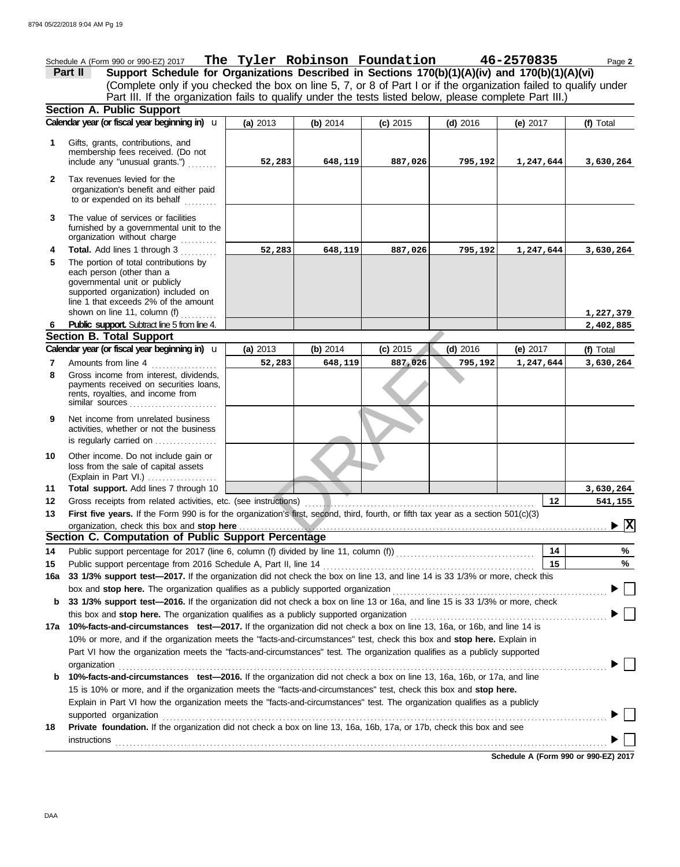Schedule A (Form 990 or 990-EZ) 2017 Page **2 The Tyler Robinson Foundation 46-2570835 Part II Support Schedule for Organizations Described in Sections 170(b)(1)(A)(iv) and 170(b)(1)(A)(vi)** (Complete only if you checked the box on line 5, 7, or 8 of Part I or if the organization failed to qualify under Part III. If the organization fails to qualify under the tests listed below, please complete Part III.) **Section A. Public Support (a)** 2013 **(b)** 2014 **(c)** 2015 **(d)** 2016 **(e)** 2017 **Calendar year (or fiscal year beginning in) <b>u** | (a) 2013 | (b) 2014 | (c) 2015 | (d) 2016 | (e) 2017 | (f) Total Gifts, grants, contributions, and **1** membership fees received. (Do not **52,283 648,119 887,026 795,192 1,247,644 3,630,264** include any "unusual grants.") . . . . . . . . **2** Tax revenues levied for the organization's benefit and either paid to or expended on its behalf ......... The value of services or facilities **3** furnished by a governmental unit to the organization without charge **Total.** Add lines 1 through 3 .......... **4 52,283 648,119 887,026 795,192 1,247,644 3,630,264 5** The portion of total contributions by each person (other than a governmental unit or publicly supported organization) included on line 1 that exceeds 2% of the amount shown on line 11, column (f) **1,227,379** shown on line 11, column (1) ............<br>**Public support.** Subtract line 5 from line 4. **2,402,885 6**  $\begin{array}{|l|l|l|} \hline \text{3} & \text{(b) } 2014 & \text{(c) } 2015 & \text{(d) } 2016 \\ \hline \text{7883} & 648,119 & 887,026 & 795,192 \\ \hline \text{795,192} & & & \\ \hline \text{206} & \text{796,192} & & \\ \hline \text{216} & \text{797,192} & & \\ \hline \text{227} & \text{798,192} & & \\ \hline \text{238} & \text{799,192} & & \\ \hline \text$ **Section B. Total Support Calendar year (or fiscal year beginning in) <b>u** (a) 2013 (b) 2014 (c) 2015 (d) 2016 (e) 2017 (f) Total **(a)** 2013 u **(b)** 2014 **(c)** 2015 **(d)** 2016 **(e)** 2017 Amounts from line 4 **52,283 648,119 887,026 795,192 1,247,644 3,630,264 7 8** Gross income from interest, dividends, payments received on securities loans, rents, royalties, and income from similar sources **9** Net income from unrelated business activities, whether or not the business is regularly carried on . . . . . . . . . . . . . . . Other income. Do not include gain or **10** loss from the sale of capital assets (Explain in Part VI.) . . . . . . . . . . . . . . . . . . . **Total support.** Add lines 7 through 10 **11 3,630,264** Gross receipts from related activities, etc. (see instructions) **12 12 541,155** . . . . . . . . . . . . . . . . . . . . . . . . . . . . . . . . . . . . . . . . . . . . . . . . . . . . . . . . . . . . . . . First five years. If the Form 990 is for the organization's first, second, third, fourth, or fifth tax year as a section 501(c)(3) **13 X** organization, check this box and stop here **Section C. Computation of Public Support Percentage 14** Public support percentage for 2017 (line 6, column (f) divided by line 11, column (f)) . . . . . . . . . . . . . . . . . . . . . . . . . . . . . . . . . . . . . . **14 %** Public support percentage from 2016 Schedule A, Part II, line 14 . . . . . . . . . . . . . . . . . . . . . . . . . . . . . . . . . . . . . . . . . . . . . . . . . . . . . . . . . . **15 15 % 16a 33 1/3% support test—2017.** If the organization did not check the box on line 13, and line 14 is 33 1/3% or more, check this box and stop here. The organization qualifies as a publicly supported organization ............... ▶ **b 33 1/3% support test—2016.** If the organization did not check a box on line 13 or 16a, and line 15 is 33 1/3% or more, check this box and **stop here.** The organization qualifies as a publicly supported organization . . . . . . . . . . . . . . . . . . . . . . . . . . . . . . . . . . . . . . . . . . . . . . . . . . . . . . **17a 10%-facts-and-circumstances test—2017.** If the organization did not check a box on line 13, 16a, or 16b, and line 14 is 10% or more, and if the organization meets the "facts-and-circumstances" test, check this box and **stop here.** Explain in Part VI how the organization meets the "facts-and-circumstances" test. The organization qualifies as a publicly supported organization . . . . . . . . . . . . . . . . . . . . . . . . . . . . . . . . . . . . . . . . . . . . . . . . . . . . . . . . . . . . . . . . . . . . . . . . . . . . . . . . . . . . . . . . . . . . . . . . . . . . . . . . . . . . . . . . . . . . . . . . . . . . . . . . . . . . . . ▶ **b 10%-facts-and-circumstances test—2016.** If the organization did not check a box on line 13, 16a, 16b, or 17a, and line 15 is 10% or more, and if the organization meets the "facts-and-circumstances" test, check this box and **stop here.** Explain in Part VI how the organization meets the "facts-and-circumstances" test. The organization qualifies as a publicly supported organization . . . . . . . . . . . . . . . . . . . . . . . . . . . . . . . . . . . . . . . . . . . . . . . . . . . . . . . . . . . . . . . . . . . . . . . . . . . . . . . . . . . . . . . . . . . . . . . . . . . . . . . . . . . . . . . . . . . . . . . . . . **18 Private foundation.** If the organization did not check a box on line 13, 16a, 16b, 17a, or 17b, check this box and see **instructions** 

**Schedule A (Form 990 or 990-EZ) 2017**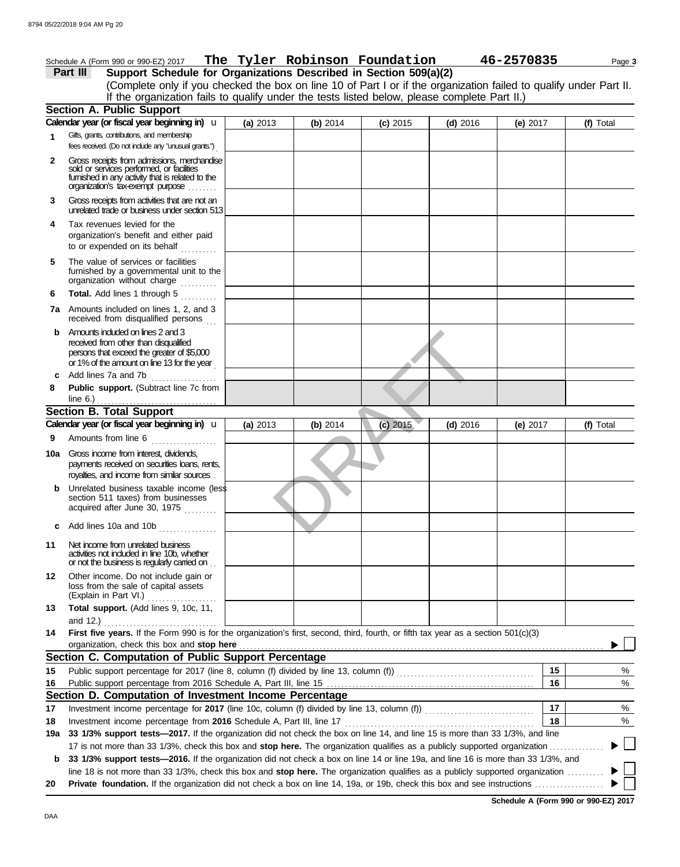**6**

**8**

**9**

**Section B. Total Support**

 $line 6.)$ 

**c** Add lines 10a and 10b

**11** Net income from unrelated business

**4** Tax revenues levied for the

**5** The value of services or facilities

**b** Amounts included on lines 2 and 3 received from other than disqualified persons that exceed the greater of \$5,000 or 1% of the amount on line 13 for the year .

**c** Add lines 7a and 7b . . . . . . . . . . . . .

**10a** Gross income from interest, dividends,

**Public support.** (Subtract line 7c from

Amounts from line 6 . . . . . . . . . . . . . . . . .

**Calendar year (or fiscal year beginning in)**  u

royalties, and income from similar sources . payments received on securities loans, rents,

**b** Unrelated business taxable income (less section 511 taxes) from businesses acquired after June 30, 1975

activities not included in line 10b, whether or not the business is regularly carried on . .

(Explain in Part VI.) ................... loss from the sale of capital assets **12** Other income. Do not include gain or

and 12.) . . . . . . . . . . . . . . . . . . . . . . . . . . . . . . .

**Section C. Computation of Public Support Percentage**

**Section D. Computation of Investment Income Percentage**

**13 Total support.** (Add lines 9, 10c, 11,

**Total.** Add lines 1 through 5 ..........

**7a** Amounts included on lines 1, 2, and 3 received from disqualified persons

organization without charge furnished by a governmental unit to the

organization's benefit and either paid to or expended on its behalf  $\ldots$ 

| Schedule A (Form 990 or 990-EZ) 2017                                                                                                                                                                               |            |          | The Tyler Robinson Foundation |            | 46-2570835 | Page 3    |
|--------------------------------------------------------------------------------------------------------------------------------------------------------------------------------------------------------------------|------------|----------|-------------------------------|------------|------------|-----------|
| Support Schedule for Organizations Described in Section 509(a)(2)<br>Part III                                                                                                                                      |            |          |                               |            |            |           |
| (Complete only if you checked the box on line 10 of Part I or if the organization failed to qualify under Part II.<br>If the organization fails to qualify under the tests listed below, please complete Part II.) |            |          |                               |            |            |           |
| <b>Section A. Public Support</b>                                                                                                                                                                                   |            |          |                               |            |            |           |
| Calendar year (or fiscal year beginning in) U                                                                                                                                                                      | (a) $2013$ | (b) 2014 | $(c)$ 2015                    | $(d)$ 2016 | (e) $2017$ | (f) Total |
| Gifts, grants, contributions, and membership<br>fees received. (Do not include any "unusual grants.")                                                                                                              |            |          |                               |            |            |           |
| Gross receipts from admissions, merchandise<br>sold or services performed, or facilities<br>fumished in any activity that is related to the<br>organization's tax-exempt purpose                                   |            |          |                               |            |            |           |
| Gross receipts from activities that are not an<br>unrelated trade or business under section 513                                                                                                                    |            |          |                               |            |            |           |

3<br>3<br>2014<br>2015<br>2015<br>2016

**(a)** 2013 **(b)** 2014 **(c)** 2015 **(d)** 2016 **(e)** 2017

**14 First five years.** If the Form 990 is for the organization's first, second, third, fourth, or fifth tax year as a section 501(c)(3) organization, check this box and stop here *manufactured content and stop* here *manufactured in the state of the state of the state of the state of the state of the state of the state of the state of the state of the stat* 

Public support percentage from 2016 Schedule A, Part III, line 15 . . . . . . . . . . . . . . . . . . . . . . . . . . . . . . . . . . . . . . . . . . . . . . . . . . . . . . . . . **15** Public support percentage for 2017 (line 8, column (f) divided by line 13, column (f)) . . . . . . . . . . . . . . . . . . . . . . . . . . . . . . . . . . . . . .

Investment income percentage for 2017 (line 10c, column (f) divided by line 13, column (f)) .....................

Investment income percentage from **2016** Schedule A, Part III, line 17 . . . . . . . . . . . . . . . . . . . . . . . . . . . . . . . . . . . . . . . . . . . . . . . . . . . .

**19a 33 1/3% support tests—2017.** If the organization did not check the box on line 14, and line 15 is more than 33 1/3%, and line

17 is not more than 33 1/3%, check this box and **stop here.** The organization qualifies as a publicly supported organization . . . . . . . . . . . . . . .

line 18 is not more than 33 1/3%, check this box and stop here. The organization qualifies as a publicly supported organization ......... **20 Private foundation.** If the organization did not check a box on line 14, 19a, or 19b, check this box and see instructions

**b 33 1/3% support tests—2016.** If the organization did not check a box on line 14 or line 19a, and line 16 is more than 33 1/3%, and

| Schedule A (Form 990 or 990-EZ) 2017 |  |  |  |
|--------------------------------------|--|--|--|
|                                      |  |  |  |

**16 15**

**17 18** % %

 $\blacktriangleright$ 

**(f)** Total

% %

**16**

**18**

**17**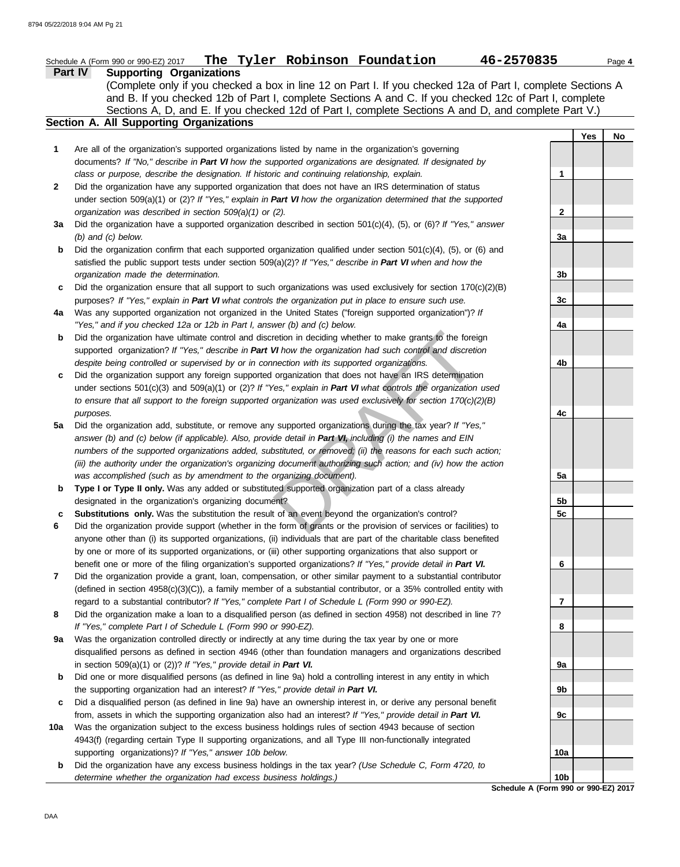|     | Schedule A (Form 990 or 990-EZ) 2017 The Tyler Robinson Foundation<br>46-2570835                                    |                 |            | Page 4 |
|-----|---------------------------------------------------------------------------------------------------------------------|-----------------|------------|--------|
|     | <b>Part IV</b><br><b>Supporting Organizations</b>                                                                   |                 |            |        |
|     | (Complete only if you checked a box in line 12 on Part I. If you checked 12a of Part I, complete Sections A         |                 |            |        |
|     | and B. If you checked 12b of Part I, complete Sections A and C. If you checked 12c of Part I, complete              |                 |            |        |
|     | Sections A, D, and E. If you checked 12d of Part I, complete Sections A and D, and complete Part V.)                |                 |            |        |
|     | Section A. All Supporting Organizations                                                                             |                 |            |        |
|     |                                                                                                                     |                 | <b>Yes</b> | No     |
| 1   | Are all of the organization's supported organizations listed by name in the organization's governing                |                 |            |        |
|     | documents? If "No," describe in Part VI how the supported organizations are designated. If designated by            |                 |            |        |
|     | class or purpose, describe the designation. If historic and continuing relationship, explain.                       | $\mathbf 1$     |            |        |
| 2   | Did the organization have any supported organization that does not have an IRS determination of status              |                 |            |        |
|     | under section 509(a)(1) or (2)? If "Yes," explain in Part VI how the organization determined that the supported     |                 |            |        |
|     | organization was described in section 509(a)(1) or (2).                                                             | $\mathbf{2}$    |            |        |
| За  | Did the organization have a supported organization described in section $501(c)(4)$ , (5), or (6)? If "Yes," answer |                 |            |        |
|     | $(b)$ and $(c)$ below.                                                                                              | 3a              |            |        |
| b   | Did the organization confirm that each supported organization qualified under section $501(c)(4)$ , (5), or (6) and |                 |            |        |
|     | satisfied the public support tests under section 509(a)(2)? If "Yes," describe in Part VI when and how the          |                 |            |        |
|     | organization made the determination.                                                                                | 3b              |            |        |
| c   | Did the organization ensure that all support to such organizations was used exclusively for section $170(c)(2)(B)$  |                 |            |        |
|     | purposes? If "Yes," explain in Part VI what controls the organization put in place to ensure such use.              | 3c              |            |        |
| 4a  | Was any supported organization not organized in the United States ("foreign supported organization")? If            |                 |            |        |
|     | "Yes," and if you checked 12a or 12b in Part I, answer (b) and (c) below.                                           | 4a              |            |        |
| b   | Did the organization have ultimate control and discretion in deciding whether to make grants to the foreign         |                 |            |        |
|     | supported organization? If "Yes," describe in Part VI how the organization had such control and discretion          |                 |            |        |
|     | despite being controlled or supervised by or in connection with its supported organizations.                        | 4b              |            |        |
| c   | Did the organization support any foreign supported organization that does not have an IRS determination             |                 |            |        |
|     | under sections $501(c)(3)$ and $509(a)(1)$ or (2)? If "Yes," explain in Part VI what controls the organization used |                 |            |        |
|     | to ensure that all support to the foreign supported organization was used exclusively for section $170(c)(2)(B)$    |                 |            |        |
|     | purposes.                                                                                                           | 4c              |            |        |
| 5a  | Did the organization add, substitute, or remove any supported organizations during the tax year? If "Yes,"          |                 |            |        |
|     | answer (b) and (c) below (if applicable). Also, provide detail in Part VI, including (i) the names and EIN          |                 |            |        |
|     | numbers of the supported organizations added, substituted, or removed; (ii) the reasons for each such action;       |                 |            |        |
|     | (iii) the authority under the organization's organizing document authorizing such action; and (iv) how the action   |                 |            |        |
|     | was accomplished (such as by amendment to the organizing document).                                                 | 5a              |            |        |
| b   | Type I or Type II only. Was any added or substituted supported organization part of a class already                 |                 |            |        |
|     | designated in the organization's organizing document?                                                               | 5b              |            |        |
|     | Substitutions only. Was the substitution the result of an event beyond the organization's control?                  | 5c              |            |        |
|     | Did the organization provide support (whether in the form of grants or the provision of services or facilities) to  |                 |            |        |
|     | anyone other than (i) its supported organizations, (ii) individuals that are part of the charitable class benefited |                 |            |        |
|     | by one or more of its supported organizations, or (iii) other supporting organizations that also support or         |                 |            |        |
|     | benefit one or more of the filing organization's supported organizations? If "Yes," provide detail in Part VI.      | 6               |            |        |
| 7   | Did the organization provide a grant, loan, compensation, or other similar payment to a substantial contributor     |                 |            |        |
|     | (defined in section 4958(c)(3)(C)), a family member of a substantial contributor, or a 35% controlled entity with   |                 |            |        |
|     | regard to a substantial contributor? If "Yes," complete Part I of Schedule L (Form 990 or 990-EZ).                  | 7               |            |        |
| 8   | Did the organization make a loan to a disqualified person (as defined in section 4958) not described in line 7?     |                 |            |        |
|     | If "Yes," complete Part I of Schedule L (Form 990 or 990-EZ).                                                       | 8               |            |        |
| 9a  | Was the organization controlled directly or indirectly at any time during the tax year by one or more               |                 |            |        |
|     | disqualified persons as defined in section 4946 (other than foundation managers and organizations described         |                 |            |        |
|     | in section 509(a)(1) or (2))? If "Yes," provide detail in Part VI.                                                  | 9а              |            |        |
| b   | Did one or more disqualified persons (as defined in line 9a) hold a controlling interest in any entity in which     |                 |            |        |
|     | the supporting organization had an interest? If "Yes," provide detail in Part VI.                                   | 9b              |            |        |
| c   | Did a disqualified person (as defined in line 9a) have an ownership interest in, or derive any personal benefit     |                 |            |        |
|     | from, assets in which the supporting organization also had an interest? If "Yes," provide detail in Part VI.        | 9c              |            |        |
| 10a | Was the organization subject to the excess business holdings rules of section 4943 because of section               |                 |            |        |
|     | 4943(f) (regarding certain Type II supporting organizations, and all Type III non-functionally integrated           |                 |            |        |
|     | supporting organizations)? If "Yes," answer 10b below.                                                              | 10a             |            |        |
| b   | Did the organization have any excess business holdings in the tax year? (Use Schedule C, Form 4720, to              |                 |            |        |
|     | determine whether the organization had excess business holdings.)                                                   | 10 <sub>b</sub> |            |        |
|     |                                                                                                                     |                 |            |        |

**Schedule A (Form 990 or 990-EZ) 2017**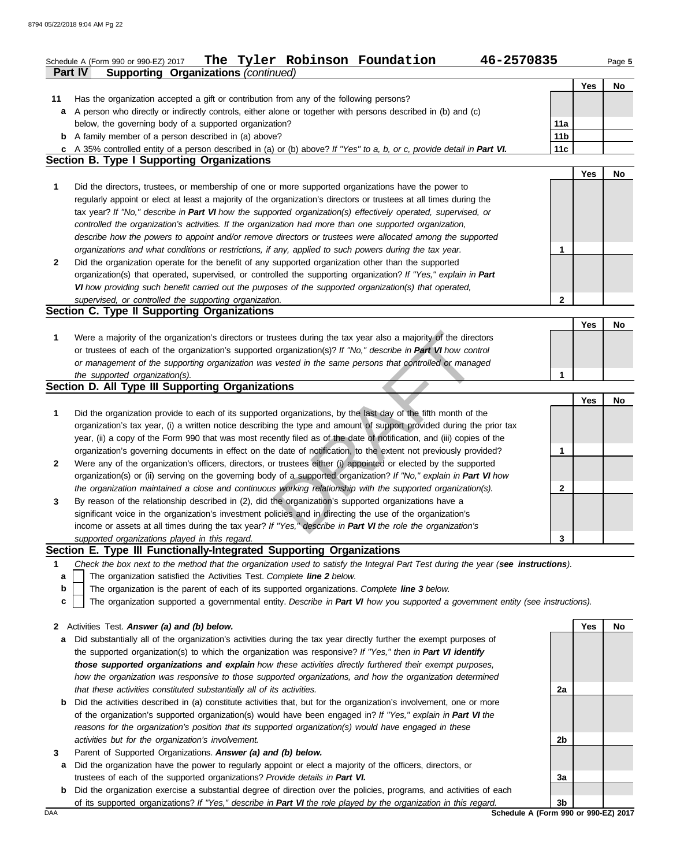|              | The Tyler Robinson Foundation<br>46-2570835<br>Schedule A (Form 990 or 990-EZ) 2017<br><b>Supporting Organizations (continued)</b><br><b>Part IV</b> |                 |            | Page 5 |
|--------------|------------------------------------------------------------------------------------------------------------------------------------------------------|-----------------|------------|--------|
|              |                                                                                                                                                      |                 | <b>Yes</b> | No     |
| 11           | Has the organization accepted a gift or contribution from any of the following persons?                                                              |                 |            |        |
| a            | A person who directly or indirectly controls, either alone or together with persons described in (b) and (c)                                         |                 |            |        |
|              | below, the governing body of a supported organization?                                                                                               | 11a             |            |        |
|              | <b>b</b> A family member of a person described in (a) above?                                                                                         | 11 <sub>b</sub> |            |        |
|              | c A 35% controlled entity of a person described in (a) or (b) above? If "Yes" to a, b, or c, provide detail in Part VI.                              | 11c             |            |        |
|              | <b>Section B. Type I Supporting Organizations</b>                                                                                                    |                 |            |        |
|              |                                                                                                                                                      |                 | <b>Yes</b> | No     |
| 1            | Did the directors, trustees, or membership of one or more supported organizations have the power to                                                  |                 |            |        |
|              | regularly appoint or elect at least a majority of the organization's directors or trustees at all times during the                                   |                 |            |        |
|              | tax year? If "No," describe in Part VI how the supported organization(s) effectively operated, supervised, or                                        |                 |            |        |
|              | controlled the organization's activities. If the organization had more than one supported organization,                                              |                 |            |        |
|              | describe how the powers to appoint and/or remove directors or trustees were allocated among the supported                                            |                 |            |        |
|              | organizations and what conditions or restrictions, if any, applied to such powers during the tax year.                                               | 1               |            |        |
| $\mathbf{2}$ | Did the organization operate for the benefit of any supported organization other than the supported                                                  |                 |            |        |
|              | organization(s) that operated, supervised, or controlled the supporting organization? If "Yes," explain in Part                                      |                 |            |        |
|              | VI how providing such benefit carried out the purposes of the supported organization(s) that operated,                                               |                 |            |        |
|              | supervised, or controlled the supporting organization.                                                                                               | 2               |            |        |
|              | Section C. Type II Supporting Organizations                                                                                                          |                 |            |        |
|              |                                                                                                                                                      |                 | Yes        | No     |
| 1            | Were a majority of the organization's directors or trustees during the tax year also a majority of the directors                                     |                 |            |        |
|              | or trustees of each of the organization's supported organization(s)? If "No," describe in Part VI how control                                        |                 |            |        |
|              | or management of the supporting organization was vested in the same persons that controlled or managed                                               |                 |            |        |
|              | the supported organization(s).                                                                                                                       | 1               |            |        |
|              | Section D. All Type III Supporting Organizations                                                                                                     |                 |            |        |
|              |                                                                                                                                                      |                 | <b>Yes</b> | No     |
| 1            | Did the organization provide to each of its supported organizations, by the last day of the fifth month of the                                       |                 |            |        |
|              | organization's tax year, (i) a written notice describing the type and amount of support provided during the prior tax                                |                 |            |        |
|              | year, (ii) a copy of the Form 990 that was most recently filed as of the date of notification, and (iii) copies of the                               |                 |            |        |
|              | organization's governing documents in effect on the date of notification, to the extent not previously provided?                                     | 1               |            |        |
| $\mathbf{2}$ | Were any of the organization's officers, directors, or trustees either (i) appointed or elected by the supported                                     |                 |            |        |
|              | organization(s) or (ii) serving on the governing body of a supported organization? If "No," explain in Part VI how                                   |                 |            |        |
|              | the organization maintained a close and continuous working relationship with the supported organization(s).                                          | 2               |            |        |
| 3            | By reason of the relationship described in (2), did the organization's supported organizations have a                                                |                 |            |        |
|              | significant voice in the organization's investment policies and in directing the use of the organization's                                           |                 |            |        |
|              | income or assets at all times during the tax year? If "Yes," describe in Part VI the role the organization's                                         |                 |            |        |
|              | supported organizations played in this regard.                                                                                                       | 3               |            |        |
|              | Section E. Type III Functionally-Integrated Supporting Organizations                                                                                 |                 |            |        |
| 1            | Check the box next to the method that the organization used to satisfy the Integral Part Test during the year (see instructions).                    |                 |            |        |
| a            | The organization satisfied the Activities Test. Complete line 2 below.                                                                               |                 |            |        |
| b            | The organization is the parent of each of its supported organizations. Complete line 3 below.                                                        |                 |            |        |
| c            | The organization supported a governmental entity. Describe in Part VI how you supported a government entity (see instructions).                      |                 |            |        |
|              |                                                                                                                                                      |                 |            |        |
|              | 2 Activities Test. Answer (a) and (b) below.                                                                                                         |                 | Yes        | No     |
| a            | Did substantially all of the organization's activities during the tax year directly further the exempt purposes of                                   |                 |            |        |
|              | the supported organization(s) to which the organization was responsive? If "Yes," then in Part VI identify                                           |                 |            |        |
|              | those supported organizations and explain how these activities directly furthered their exempt purposes,                                             |                 |            |        |
|              | how the organization was responsive to those supported organizations, and how the organization determined                                            |                 |            |        |

**b** Did the activities described in (a) constitute activities that, but for the organization's involvement, one or more *that these activities constituted substantially all of its activities.* of the organization's supported organization(s) would have been engaged in? *If "Yes," explain in Part VI the reasons for the organization's position that its supported organization(s) would have engaged in these* 

- *activities but for the organization's involvement.*
- **3** Parent of Supported Organizations. *Answer (a) and (b) below.*
	- **a** Did the organization have the power to regularly appoint or elect a majority of the officers, directors, or trustees of each of the supported organizations? *Provide details in Part VI.*
- **b** Did the organization exercise a substantial degree of direction over the policies, programs, and activities of each of its supported organizations? *If "Yes," describe in Part VI the role played by the organization in this regard.*

**2b 3a 3b**

DAA **Schedule A (Form 990 or 990-EZ) 2017** 

**2a**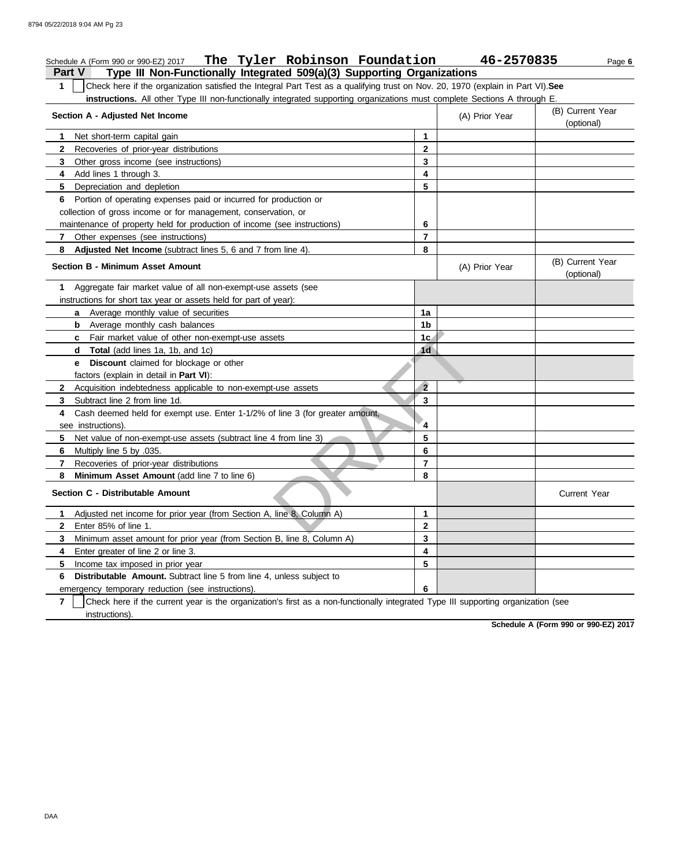| The Tyler Robinson Foundation<br>Schedule A (Form 990 or 990-EZ) 2017                                                                                                                                                                                                        |                | 46-2570835     | Page 6                         |
|------------------------------------------------------------------------------------------------------------------------------------------------------------------------------------------------------------------------------------------------------------------------------|----------------|----------------|--------------------------------|
| <b>Part V</b><br>Type III Non-Functionally Integrated 509(a)(3) Supporting Organizations                                                                                                                                                                                     |                |                |                                |
| Check here if the organization satisfied the Integral Part Test as a qualifying trust on Nov. 20, 1970 (explain in Part VI). See<br>$\mathbf 1$<br>instructions. All other Type III non-functionally integrated supporting organizations must complete Sections A through E. |                |                |                                |
| Section A - Adjusted Net Income                                                                                                                                                                                                                                              |                | (A) Prior Year | (B) Current Year<br>(optional) |
| Net short-term capital gain<br>1                                                                                                                                                                                                                                             | $\mathbf{1}$   |                |                                |
| $\mathbf{2}$<br>Recoveries of prior-year distributions                                                                                                                                                                                                                       | 2              |                |                                |
| Other gross income (see instructions)<br>3                                                                                                                                                                                                                                   | 3              |                |                                |
| Add lines 1 through 3.<br>4                                                                                                                                                                                                                                                  | 4              |                |                                |
| 5.<br>Depreciation and depletion                                                                                                                                                                                                                                             | 5              |                |                                |
| Portion of operating expenses paid or incurred for production or<br>6                                                                                                                                                                                                        |                |                |                                |
| collection of gross income or for management, conservation, or                                                                                                                                                                                                               |                |                |                                |
| maintenance of property held for production of income (see instructions)                                                                                                                                                                                                     | 6              |                |                                |
| 7 Other expenses (see instructions)                                                                                                                                                                                                                                          | $\overline{7}$ |                |                                |
| 8<br>Adjusted Net Income (subtract lines 5, 6 and 7 from line 4).                                                                                                                                                                                                            | 8              |                |                                |
| Section B - Minimum Asset Amount                                                                                                                                                                                                                                             |                | (A) Prior Year | (B) Current Year<br>(optional) |
| Aggregate fair market value of all non-exempt-use assets (see<br>1                                                                                                                                                                                                           |                |                |                                |
| instructions for short tax year or assets held for part of year):                                                                                                                                                                                                            |                |                |                                |
| a Average monthly value of securities                                                                                                                                                                                                                                        | 1a             |                |                                |
| <b>b</b> Average monthly cash balances                                                                                                                                                                                                                                       | 1b             |                |                                |
| Fair market value of other non-exempt-use assets<br>c                                                                                                                                                                                                                        | 1 <sub>G</sub> |                |                                |
| Total (add lines 1a, 1b, and 1c)<br>d                                                                                                                                                                                                                                        | 1 <sub>d</sub> |                |                                |
| <b>Discount</b> claimed for blockage or other<br>е                                                                                                                                                                                                                           |                |                |                                |
| factors (explain in detail in Part VI):                                                                                                                                                                                                                                      |                |                |                                |
| Acquisition indebtedness applicable to non-exempt-use assets<br>2                                                                                                                                                                                                            | $\overline{2}$ |                |                                |
| Subtract line 2 from line 1d.<br>3                                                                                                                                                                                                                                           | 3              |                |                                |
| Cash deemed held for exempt use. Enter 1-1/2% of line 3 (for greater amount,<br>4<br>see instructions).                                                                                                                                                                      | 4              |                |                                |
| 5.<br>Net value of non-exempt-use assets (subtract line 4 from line 3)                                                                                                                                                                                                       | 5              |                |                                |
| Multiply line 5 by .035.<br>6                                                                                                                                                                                                                                                | 6              |                |                                |
| Recoveries of prior-year distributions<br>7                                                                                                                                                                                                                                  | $\overline{7}$ |                |                                |
| 8<br>Minimum Asset Amount (add line 7 to line 6)                                                                                                                                                                                                                             | 8              |                |                                |
| Section C - Distributable Amount                                                                                                                                                                                                                                             |                |                | Current Year                   |
| Adjusted net income for prior year (from Section A, line 8, Column A)<br>1                                                                                                                                                                                                   | 1              |                |                                |
| Enter 85% of line 1.<br>2                                                                                                                                                                                                                                                    | $\mathbf{2}$   |                |                                |
| Minimum asset amount for prior year (from Section B, line 8, Column A)<br>3                                                                                                                                                                                                  | 3              |                |                                |
| Enter greater of line 2 or line 3.<br>4                                                                                                                                                                                                                                      | 4              |                |                                |
| 5<br>Income tax imposed in prior year                                                                                                                                                                                                                                        | 5              |                |                                |
| Distributable Amount. Subtract line 5 from line 4, unless subject to<br>6                                                                                                                                                                                                    |                |                |                                |
| emergency temporary reduction (see instructions).                                                                                                                                                                                                                            | 6              |                |                                |
| Check here if the current year is the organization's first as a non-functionally integrated Type III supporting organization (see<br>7                                                                                                                                       |                |                |                                |
| instructions).                                                                                                                                                                                                                                                               |                |                |                                |

**Schedule A (Form 990 or 990-EZ) 2017**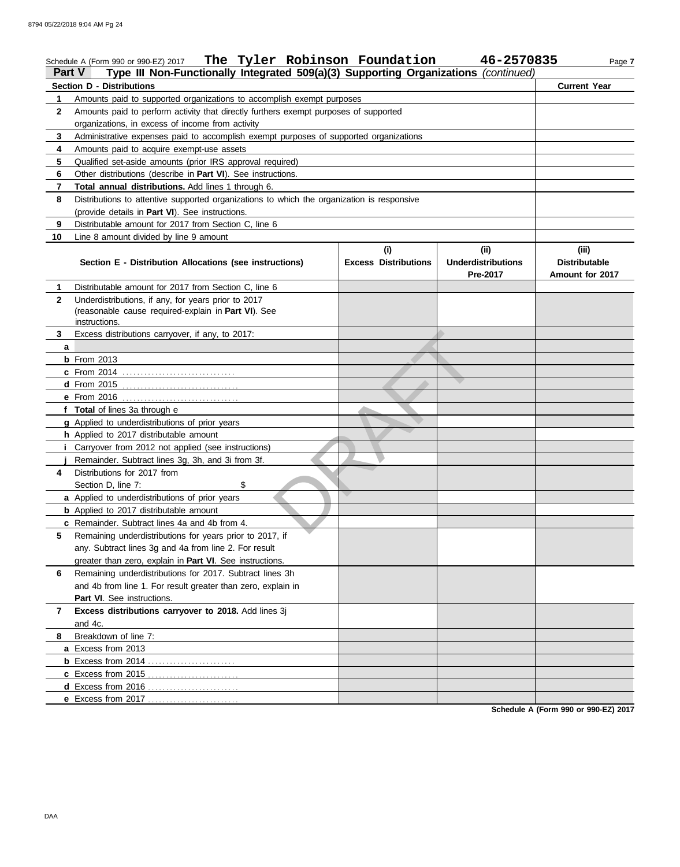|                   | The Tyler Robinson Foundation<br>Schedule A (Form 990 or 990-EZ) 2017                                                                                         |                             | 46-2570835                | Page 7               |  |  |  |  |
|-------------------|---------------------------------------------------------------------------------------------------------------------------------------------------------------|-----------------------------|---------------------------|----------------------|--|--|--|--|
| <b>Part V</b>     | Type III Non-Functionally Integrated 509(a)(3) Supporting Organizations (continued)                                                                           |                             |                           |                      |  |  |  |  |
|                   | <b>Section D - Distributions</b>                                                                                                                              |                             |                           | <b>Current Year</b>  |  |  |  |  |
| 1<br>$\mathbf{2}$ | Amounts paid to supported organizations to accomplish exempt purposes<br>Amounts paid to perform activity that directly furthers exempt purposes of supported |                             |                           |                      |  |  |  |  |
|                   | organizations, in excess of income from activity                                                                                                              |                             |                           |                      |  |  |  |  |
| 3                 | Administrative expenses paid to accomplish exempt purposes of supported organizations                                                                         |                             |                           |                      |  |  |  |  |
| 4                 | Amounts paid to acquire exempt-use assets                                                                                                                     |                             |                           |                      |  |  |  |  |
| 5                 | Qualified set-aside amounts (prior IRS approval required)                                                                                                     |                             |                           |                      |  |  |  |  |
| 6                 | Other distributions (describe in Part VI). See instructions.                                                                                                  |                             |                           |                      |  |  |  |  |
| $\overline{7}$    | Total annual distributions. Add lines 1 through 6.                                                                                                            |                             |                           |                      |  |  |  |  |
| 8                 | Distributions to attentive supported organizations to which the organization is responsive                                                                    |                             |                           |                      |  |  |  |  |
|                   | (provide details in Part VI). See instructions.                                                                                                               |                             |                           |                      |  |  |  |  |
| 9                 | Distributable amount for 2017 from Section C, line 6                                                                                                          |                             |                           |                      |  |  |  |  |
| 10                | Line 8 amount divided by line 9 amount                                                                                                                        |                             |                           |                      |  |  |  |  |
|                   |                                                                                                                                                               | (i)                         | (i)                       | (iii)                |  |  |  |  |
|                   | Section E - Distribution Allocations (see instructions)                                                                                                       | <b>Excess Distributions</b> | <b>Underdistributions</b> | <b>Distributable</b> |  |  |  |  |
|                   |                                                                                                                                                               |                             | Pre-2017                  | Amount for 2017      |  |  |  |  |
| 1.                | Distributable amount for 2017 from Section C, line 6                                                                                                          |                             |                           |                      |  |  |  |  |
| $\mathbf{2}$      | Underdistributions, if any, for years prior to 2017                                                                                                           |                             |                           |                      |  |  |  |  |
|                   | (reasonable cause required-explain in Part VI). See                                                                                                           |                             |                           |                      |  |  |  |  |
|                   | instructions.                                                                                                                                                 |                             |                           |                      |  |  |  |  |
| 3                 | Excess distributions carryover, if any, to 2017:                                                                                                              |                             |                           |                      |  |  |  |  |
| a                 |                                                                                                                                                               |                             |                           |                      |  |  |  |  |
|                   | <b>b</b> From 2013                                                                                                                                            |                             |                           |                      |  |  |  |  |
|                   | c From 2014                                                                                                                                                   |                             |                           |                      |  |  |  |  |
|                   |                                                                                                                                                               |                             |                           |                      |  |  |  |  |
|                   | e From 2016                                                                                                                                                   |                             |                           |                      |  |  |  |  |
|                   | f Total of lines 3a through e                                                                                                                                 |                             |                           |                      |  |  |  |  |
|                   | g Applied to underdistributions of prior years                                                                                                                |                             |                           |                      |  |  |  |  |
|                   | h Applied to 2017 distributable amount                                                                                                                        |                             |                           |                      |  |  |  |  |
|                   | Carryover from 2012 not applied (see instructions)<br>Remainder. Subtract lines 3g, 3h, and 3i from 3f.                                                       |                             |                           |                      |  |  |  |  |
| 4                 | Distributions for 2017 from                                                                                                                                   |                             |                           |                      |  |  |  |  |
|                   | \$<br>Section D, line 7:                                                                                                                                      |                             |                           |                      |  |  |  |  |
|                   | a Applied to underdistributions of prior years                                                                                                                |                             |                           |                      |  |  |  |  |
|                   | <b>b</b> Applied to 2017 distributable amount                                                                                                                 |                             |                           |                      |  |  |  |  |
|                   | c Remainder. Subtract lines 4a and 4b from 4.                                                                                                                 |                             |                           |                      |  |  |  |  |
| 5                 | Remaining underdistributions for years prior to 2017, if                                                                                                      |                             |                           |                      |  |  |  |  |
|                   | any. Subtract lines 3g and 4a from line 2. For result                                                                                                         |                             |                           |                      |  |  |  |  |
|                   | greater than zero, explain in Part VI. See instructions.                                                                                                      |                             |                           |                      |  |  |  |  |
| 6                 | Remaining underdistributions for 2017. Subtract lines 3h                                                                                                      |                             |                           |                      |  |  |  |  |
|                   | and 4b from line 1. For result greater than zero, explain in                                                                                                  |                             |                           |                      |  |  |  |  |
|                   | Part VI. See instructions.                                                                                                                                    |                             |                           |                      |  |  |  |  |
| 7                 | Excess distributions carryover to 2018. Add lines 3j                                                                                                          |                             |                           |                      |  |  |  |  |
|                   | and 4c.                                                                                                                                                       |                             |                           |                      |  |  |  |  |
| 8                 | Breakdown of line 7:                                                                                                                                          |                             |                           |                      |  |  |  |  |
|                   | a Excess from 2013                                                                                                                                            |                             |                           |                      |  |  |  |  |
|                   |                                                                                                                                                               |                             |                           |                      |  |  |  |  |
|                   | c Excess from 2015                                                                                                                                            |                             |                           |                      |  |  |  |  |
|                   | d Excess from 2016                                                                                                                                            |                             |                           |                      |  |  |  |  |
|                   | e Excess from 2017                                                                                                                                            |                             |                           |                      |  |  |  |  |

**Schedule A (Form 990 or 990-EZ) 2017**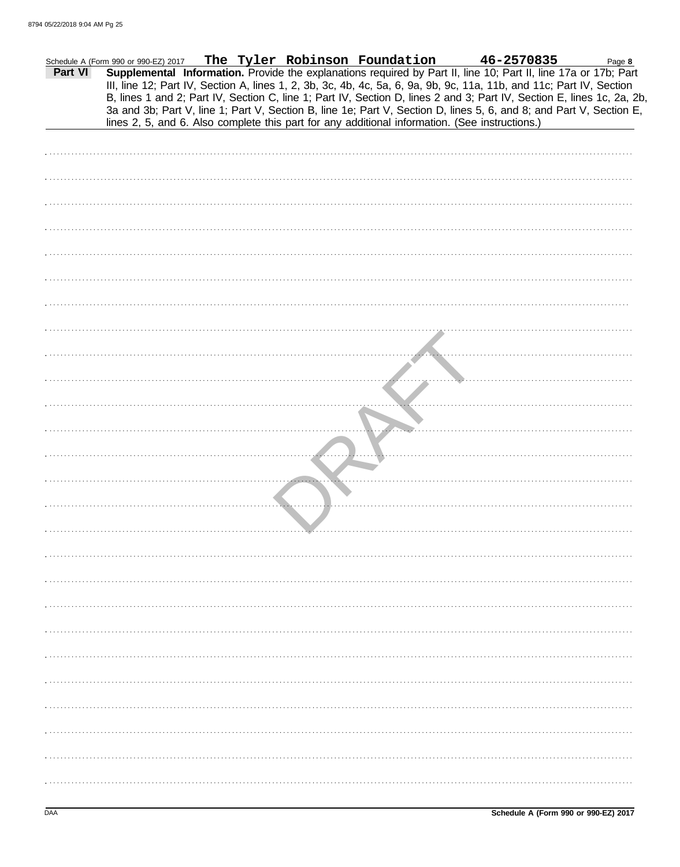| Part VI | Schedule A (Form 990 or 990-EZ) 2017                                                           |  |  | The Tyler Robinson Foundation 46-2570835<br>Supplemental Information. Provide the explanations required by Part II, line 10; Part II, line 17a or 17b; Part<br>III, line 12; Part IV, Section A, lines 1, 2, 3b, 3c, 4b, 4c, 5a, 6, 9a, 9b, 9c, 11a, 11b, and 11c; Part IV, Section | Page 8                                                                                                                 |
|---------|------------------------------------------------------------------------------------------------|--|--|-------------------------------------------------------------------------------------------------------------------------------------------------------------------------------------------------------------------------------------------------------------------------------------|------------------------------------------------------------------------------------------------------------------------|
|         | lines 2, 5, and 6. Also complete this part for any additional information. (See instructions.) |  |  | 3a and 3b; Part V, line 1; Part V, Section B, line 1e; Part V, Section D, lines 5, 6, and 8; and Part V, Section E,                                                                                                                                                                 | B, lines 1 and 2; Part IV, Section C, line 1; Part IV, Section D, lines 2 and 3; Part IV, Section E, lines 1c, 2a, 2b, |
|         |                                                                                                |  |  |                                                                                                                                                                                                                                                                                     |                                                                                                                        |
|         |                                                                                                |  |  |                                                                                                                                                                                                                                                                                     |                                                                                                                        |
|         |                                                                                                |  |  |                                                                                                                                                                                                                                                                                     |                                                                                                                        |
|         |                                                                                                |  |  |                                                                                                                                                                                                                                                                                     |                                                                                                                        |
|         |                                                                                                |  |  |                                                                                                                                                                                                                                                                                     |                                                                                                                        |
|         |                                                                                                |  |  |                                                                                                                                                                                                                                                                                     |                                                                                                                        |
|         |                                                                                                |  |  |                                                                                                                                                                                                                                                                                     |                                                                                                                        |
|         |                                                                                                |  |  |                                                                                                                                                                                                                                                                                     |                                                                                                                        |
|         |                                                                                                |  |  |                                                                                                                                                                                                                                                                                     |                                                                                                                        |
|         |                                                                                                |  |  |                                                                                                                                                                                                                                                                                     |                                                                                                                        |
|         |                                                                                                |  |  |                                                                                                                                                                                                                                                                                     |                                                                                                                        |
|         |                                                                                                |  |  |                                                                                                                                                                                                                                                                                     |                                                                                                                        |
|         |                                                                                                |  |  |                                                                                                                                                                                                                                                                                     |                                                                                                                        |
|         |                                                                                                |  |  |                                                                                                                                                                                                                                                                                     |                                                                                                                        |
|         |                                                                                                |  |  |                                                                                                                                                                                                                                                                                     |                                                                                                                        |
|         |                                                                                                |  |  |                                                                                                                                                                                                                                                                                     |                                                                                                                        |
|         |                                                                                                |  |  |                                                                                                                                                                                                                                                                                     |                                                                                                                        |
|         |                                                                                                |  |  |                                                                                                                                                                                                                                                                                     |                                                                                                                        |
|         |                                                                                                |  |  |                                                                                                                                                                                                                                                                                     |                                                                                                                        |
|         |                                                                                                |  |  |                                                                                                                                                                                                                                                                                     |                                                                                                                        |
|         |                                                                                                |  |  |                                                                                                                                                                                                                                                                                     |                                                                                                                        |
|         |                                                                                                |  |  |                                                                                                                                                                                                                                                                                     |                                                                                                                        |
|         |                                                                                                |  |  |                                                                                                                                                                                                                                                                                     |                                                                                                                        |
|         |                                                                                                |  |  |                                                                                                                                                                                                                                                                                     |                                                                                                                        |
|         |                                                                                                |  |  |                                                                                                                                                                                                                                                                                     |                                                                                                                        |
|         |                                                                                                |  |  |                                                                                                                                                                                                                                                                                     |                                                                                                                        |
|         |                                                                                                |  |  |                                                                                                                                                                                                                                                                                     |                                                                                                                        |
|         |                                                                                                |  |  |                                                                                                                                                                                                                                                                                     |                                                                                                                        |
|         |                                                                                                |  |  |                                                                                                                                                                                                                                                                                     |                                                                                                                        |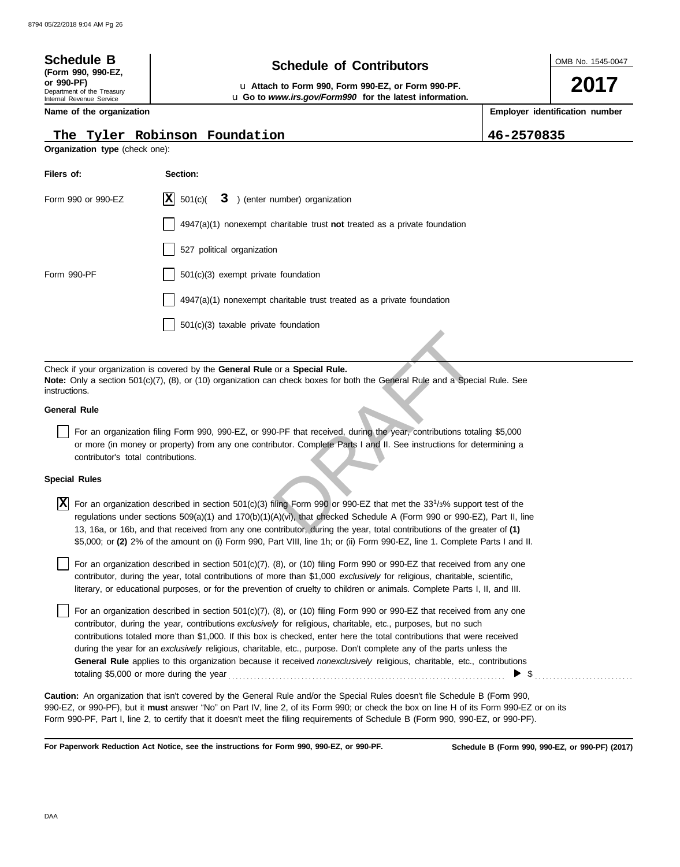| <b>Schedule B</b><br>(Form 990, 990-EZ,<br>or 990-PF)<br>Department of the Treasury<br>Internal Revenue Service |  | OMB No. 1545-0047<br>2017      |  |  |  |  |
|-----------------------------------------------------------------------------------------------------------------|--|--------------------------------|--|--|--|--|
| Name of the organization                                                                                        |  | Employer identification number |  |  |  |  |
| The Tyler Robinson Foundation<br>46-2570835<br><b>Organization type (check one):</b>                            |  |                                |  |  |  |  |

| Filers of:         | Section:                                                                           |
|--------------------|------------------------------------------------------------------------------------|
| Form 990 or 990-EZ | $ \mathbf{X} $ 501(c)( $3$ ) (enter number) organization                           |
|                    | $4947(a)(1)$ nonexempt charitable trust <b>not</b> treated as a private foundation |
|                    | 527 political organization                                                         |
| Form 990-PF        | 501(c)(3) exempt private foundation                                                |
|                    | 4947(a)(1) nonexempt charitable trust treated as a private foundation              |
|                    | 501(c)(3) taxable private foundation                                               |

Check if your organization is covered by the **General Rule** or a **Special Rule. Note:** Only a section 501(c)(7), (8), or (10) organization can check boxes for both the General Rule and a Special Rule. See instructions.

#### **General Rule**

For an organization filing Form 990, 990-EZ, or 990-PF that received, during the year, contributions totaling \$5,000 or more (in money or property) from any one contributor. Complete Parts I and II. See instructions for determining a contributor's total contributions.

#### **Special Rules**

or a **Special Rule.**<br>
In check boxes for both the General Rule and a Special F<br>
0-PF that received, during the year, contributions totaling<br>
ibutor. Complete Parts I and II. See instructions for determ<br>
filing Form 990 or For an organization described in section 501(c)(3) filing Form 990 or 990-EZ that met the 33<sup>1</sup> /3% support test of the **X** regulations under sections 509(a)(1) and 170(b)(1)(A)(vi), that checked Schedule A (Form 990 or 990-EZ), Part II, line 13, 16a, or 16b, and that received from any one contributor, during the year, total contributions of the greater of **(1)** \$5,000; or **(2)** 2% of the amount on (i) Form 990, Part VIII, line 1h; or (ii) Form 990-EZ, line 1. Complete Parts I and II.

literary, or educational purposes, or for the prevention of cruelty to children or animals. Complete Parts I, II, and III. For an organization described in section  $501(c)(7)$ ,  $(8)$ , or  $(10)$  filing Form 990 or 990-EZ that received from any one contributor, during the year, total contributions of more than \$1,000 *exclusively* for religious, charitable, scientific,

For an organization described in section  $501(c)(7)$ ,  $(8)$ , or  $(10)$  filing Form 990 or 990-EZ that received from any one contributor, during the year, contributions *exclusively* for religious, charitable, etc., purposes, but no such contributions totaled more than \$1,000. If this box is checked, enter here the total contributions that were received during the year for an *exclusively* religious, charitable, etc., purpose. Don't complete any of the parts unless the **General Rule** applies to this organization because it received *nonexclusively* religious, charitable, etc., contributions totaling \$5,000 or more during the year . . . . . . . . . . . . . . . . . . . . . . . . . . . . . . . . . . . . . . . . . . . . . . . . . . . . . . . . . . . . . . . . . . . . . . . . . . . . \$ . . . . . . . . . . . . . . . . . . . . . . . . . . .

990-EZ, or 990-PF), but it **must** answer "No" on Part IV, line 2, of its Form 990; or check the box on line H of its Form 990-EZ or on its Form 990-PF, Part I, line 2, to certify that it doesn't meet the filing requirements of Schedule B (Form 990, 990-EZ, or 990-PF). **Caution:** An organization that isn't covered by the General Rule and/or the Special Rules doesn't file Schedule B (Form 990,

**For Paperwork Reduction Act Notice, see the instructions for Form 990, 990-EZ, or 990-PF.**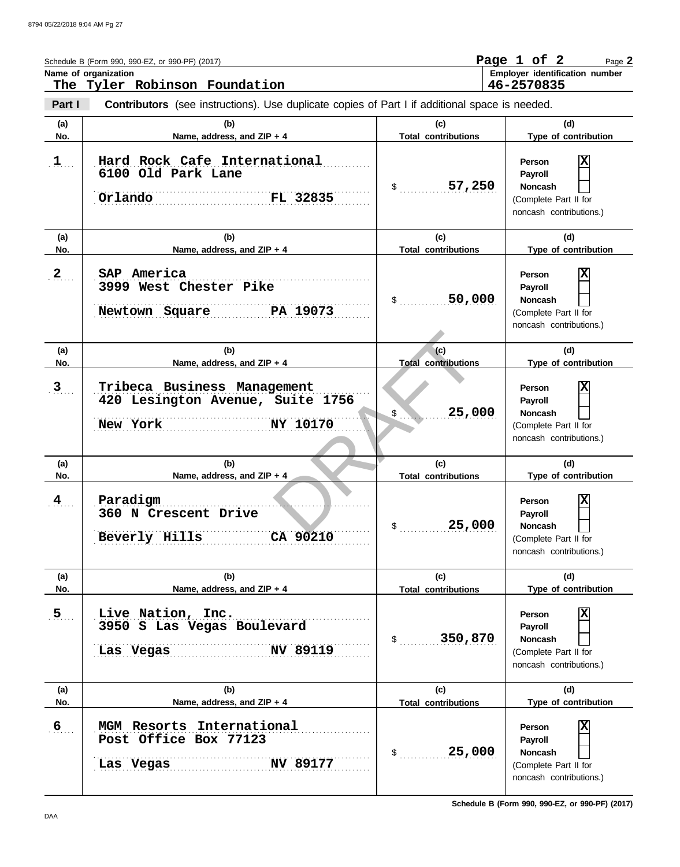|                | Schedule B (Form 990, 990-EZ, or 990-PF) (2017)<br>Name of organization                                                                |                                   | Page 1 of 2<br>Page 2<br>Employer identification number<br>46-2570835                               |
|----------------|----------------------------------------------------------------------------------------------------------------------------------------|-----------------------------------|-----------------------------------------------------------------------------------------------------|
| Part I         | The Tyler Robinson Foundation<br><b>Contributors</b> (see instructions). Use duplicate copies of Part I if additional space is needed. |                                   |                                                                                                     |
| (a)<br>No.     | (b)<br>Name, address, and ZIP + 4                                                                                                      | (c)<br><b>Total contributions</b> | (d)<br>Type of contribution                                                                         |
| $1$            | Hard Rock Cafe International<br>6100 Old Park Lane<br>FL 32835<br>Orlando                                                              | 57,250<br>$\mathcal{S}$           | Χ<br><b>Person</b><br>Payroll<br><b>Noncash</b><br>(Complete Part II for<br>noncash contributions.) |
| (a)<br>No.     | (b)<br>Name, address, and ZIP + 4                                                                                                      | (c)<br><b>Total contributions</b> | (d)<br>Type of contribution                                                                         |
| 2 <sub>1</sub> | SAP America<br>3999 West Chester Pike<br>PA 19073<br>Newtown Square                                                                    | 50,000<br>\$                      | Χ<br><b>Person</b><br>Payroll<br><b>Noncash</b><br>(Complete Part II for<br>noncash contributions.) |
| (a)<br>No.     | (b)<br>Name, address, and ZIP + 4                                                                                                      | (c)<br><b>Total contributions</b> | (d)<br>Type of contribution                                                                         |
| 3 <sub>1</sub> | Tribeca Business Management<br>420 Lesington Avenue, Suite 1756<br>New York<br>NY 10170                                                | 25,000<br>$$^{\circ}$             | X<br><b>Person</b><br>Payroll<br><b>Noncash</b><br>(Complete Part II for<br>noncash contributions.) |
| (a)<br>No.     | (b)<br>Name, address, and ZIP + 4                                                                                                      | (c)<br><b>Total contributions</b> | (d)<br>Type of contribution                                                                         |
| $\frac{4}{1}$  | Paradigm<br>360 N Crescent Drive<br>Beverly Hills<br>CA 90210                                                                          | 25,000                            | X<br>Person<br>Payroll<br>Noncash<br>(Complete Part II for<br>noncash contributions.)               |
| (a)<br>No.     | (b)<br>Name, address, and ZIP + 4                                                                                                      | (c)<br><b>Total contributions</b> | (d)<br>Type of contribution                                                                         |
| 5.             | Live Nation, Inc.<br>3950 S Las Vegas Boulevard<br>NV 89119<br>Las Vegas                                                               | \$350,870                         | x<br>Person<br>Payroll<br><b>Noncash</b><br>(Complete Part II for<br>noncash contributions.)        |
| (a)<br>No.     | (b)<br>Name, address, and ZIP + 4                                                                                                      | (c)<br><b>Total contributions</b> | (d)<br>Type of contribution                                                                         |
| 6 <sub>1</sub> | MGM Resorts International<br>Post Office Box 77123<br>NV 89177<br>Las Vegas                                                            | 25,000<br>$\ddot{\textbf{S}}$     | X<br>Person<br>Payroll<br><b>Noncash</b><br>(Complete Part II for<br>noncash contributions.)        |

**Schedule B (Form 990, 990-EZ, or 990-PF) (2017)**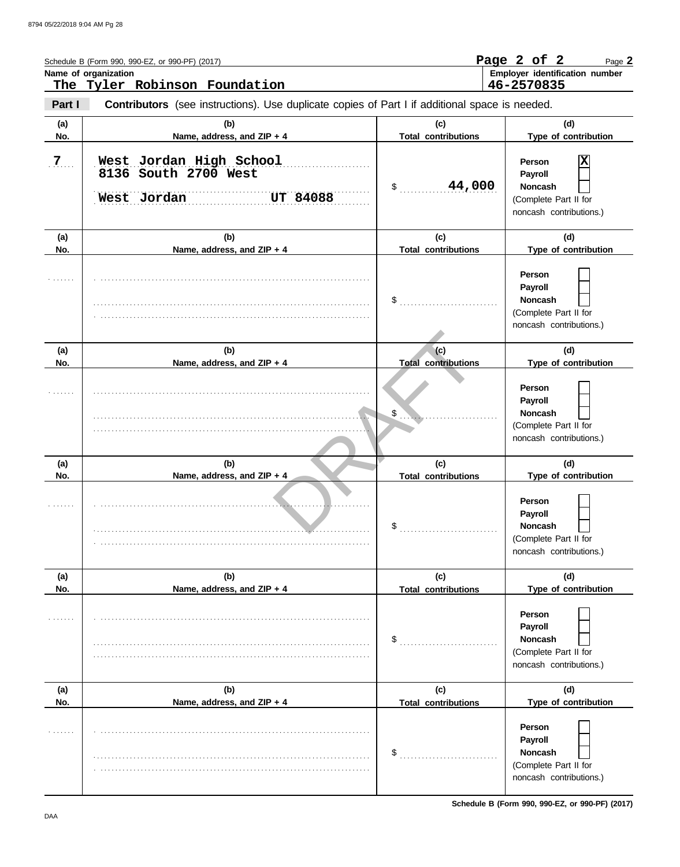|                | Schedule B (Form 990, 990-EZ, or 990-PF) (2017)<br>Name of organization<br>The Tyler Robinson Foundation |                                   | Page 2 of 2<br>Page 2<br>Employer identification number<br>46-2570835                        |
|----------------|----------------------------------------------------------------------------------------------------------|-----------------------------------|----------------------------------------------------------------------------------------------|
| Part I         | Contributors (see instructions). Use duplicate copies of Part I if additional space is needed.           |                                   |                                                                                              |
| (a)<br>No.     | (b)<br>Name, address, and ZIP + 4                                                                        | (c)<br><b>Total contributions</b> | (d)<br>Type of contribution                                                                  |
| 7 <sub>1</sub> | West Jordan High School<br>8136 South 2700 West<br>West Jordan<br><b>UT 84088</b>                        | 44,000<br>\$                      | x<br>Person<br>Payroll<br><b>Noncash</b><br>(Complete Part II for<br>noncash contributions.) |
| (a)            | (b)                                                                                                      | (c)                               | (d)                                                                                          |
| No.            | Name, address, and ZIP + 4                                                                               | <b>Total contributions</b>        | Type of contribution                                                                         |
|                |                                                                                                          | \$                                | Person<br>Payroll<br><b>Noncash</b><br>(Complete Part II for<br>noncash contributions.)      |
| (a)<br>No.     | (b)<br>Name, address, and ZIP + 4                                                                        | (c)<br><b>Total contributions</b> | (d)<br>Type of contribution                                                                  |
|                |                                                                                                          | $\frac{1}{2}$                     | Person<br>Payroll<br><b>Noncash</b><br>(Complete Part II for<br>noncash contributions.)      |
| (a)<br>No.     | (b)<br>Name, address, and ZIP + $4$                                                                      | (c)<br><b>Total contributions</b> | (d)<br>Type of contribution                                                                  |
|                |                                                                                                          | \$                                | Person<br>Payroll<br>Noncash<br>(Complete Part II for<br>noncash contributions.)             |
| (a)            | (b)                                                                                                      | (c)                               | (d)                                                                                          |
| No.            | Name, address, and ZIP + 4                                                                               | <b>Total contributions</b>        | Type of contribution                                                                         |
| .              |                                                                                                          | \$                                | Person<br>Payroll<br><b>Noncash</b><br>(Complete Part II for<br>noncash contributions.)      |
| (a)<br>No.     | (b)<br>Name, address, and ZIP + 4                                                                        | (c)<br><b>Total contributions</b> | (d)<br>Type of contribution                                                                  |
| .              |                                                                                                          | \$                                | Person<br>Payroll<br>Noncash<br>(Complete Part II for<br>noncash contributions.)             |

**Schedule B (Form 990, 990-EZ, or 990-PF) (2017)**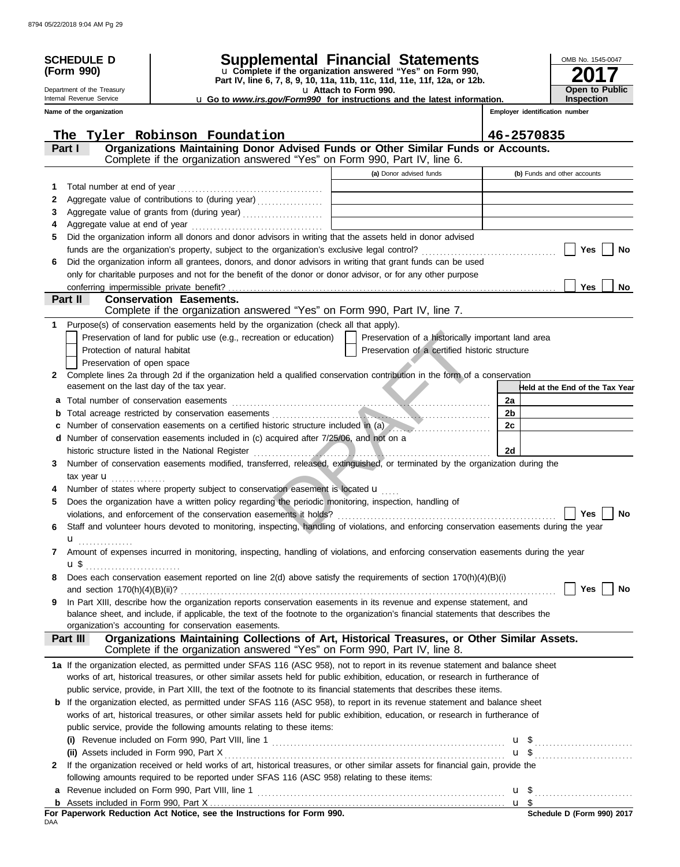| <b>SCHEDULE D</b>                         |                                                                                                                                                                                                                                                             | Supplemental Financial Statements                                                                                                      | OMB No. 1545-0047               |
|-------------------------------------------|-------------------------------------------------------------------------------------------------------------------------------------------------------------------------------------------------------------------------------------------------------------|----------------------------------------------------------------------------------------------------------------------------------------|---------------------------------|
| (Form 990)                                |                                                                                                                                                                                                                                                             | U Complete if the organization answered "Yes" on Form 990,<br>Part IV, line 6, 7, 8, 9, 10, 11a, 11b, 11c, 11d, 11e, 11f, 12a, or 12b. |                                 |
| Department of the Treasury                |                                                                                                                                                                                                                                                             | U Attach to Form 990.                                                                                                                  | <b>Open to Public</b>           |
| Internal Revenue Service                  |                                                                                                                                                                                                                                                             | U Go to www.irs.gov/Form990 for instructions and the latest information.                                                               | Inspection                      |
| Name of the organization                  |                                                                                                                                                                                                                                                             |                                                                                                                                        | Employer identification number  |
|                                           | The Tyler Robinson Foundation                                                                                                                                                                                                                               |                                                                                                                                        | 46-2570835                      |
| Part I                                    | Organizations Maintaining Donor Advised Funds or Other Similar Funds or Accounts.                                                                                                                                                                           |                                                                                                                                        |                                 |
|                                           | Complete if the organization answered "Yes" on Form 990, Part IV, line 6.                                                                                                                                                                                   |                                                                                                                                        |                                 |
|                                           |                                                                                                                                                                                                                                                             | (a) Donor advised funds                                                                                                                | (b) Funds and other accounts    |
| 1                                         |                                                                                                                                                                                                                                                             |                                                                                                                                        |                                 |
| 2                                         | Aggregate value of contributions to (during year)                                                                                                                                                                                                           | the control of the control of the control of the control of the control of the control of                                              |                                 |
| 3                                         | Aggregate value of grants from (during year)                                                                                                                                                                                                                | the contract of the contract of the contract of the contract of the                                                                    |                                 |
| 4                                         |                                                                                                                                                                                                                                                             |                                                                                                                                        |                                 |
| 5                                         | Did the organization inform all donors and donor advisors in writing that the assets held in donor advised                                                                                                                                                  |                                                                                                                                        |                                 |
|                                           |                                                                                                                                                                                                                                                             |                                                                                                                                        | Yes<br>No                       |
| 6                                         | Did the organization inform all grantees, donors, and donor advisors in writing that grant funds can be used                                                                                                                                                |                                                                                                                                        |                                 |
|                                           | only for charitable purposes and not for the benefit of the donor or donor advisor, or for any other purpose                                                                                                                                                |                                                                                                                                        |                                 |
| Part II                                   | <b>Conservation Easements.</b>                                                                                                                                                                                                                              |                                                                                                                                        | Yes<br>No                       |
|                                           | Complete if the organization answered "Yes" on Form 990, Part IV, line 7.                                                                                                                                                                                   |                                                                                                                                        |                                 |
| 1.                                        | Purpose(s) of conservation easements held by the organization (check all that apply).                                                                                                                                                                       |                                                                                                                                        |                                 |
|                                           | Preservation of land for public use (e.g., recreation or education)                                                                                                                                                                                         | Preservation of a historically important land area                                                                                     |                                 |
| Protection of natural habitat             |                                                                                                                                                                                                                                                             | Preservation of a certified historic structure                                                                                         |                                 |
| Preservation of open space                |                                                                                                                                                                                                                                                             |                                                                                                                                        |                                 |
| $\mathbf{2}$                              | Complete lines 2a through 2d if the organization held a qualified conservation contribution in the form of a conservation                                                                                                                                   |                                                                                                                                        |                                 |
| easement on the last day of the tax year. |                                                                                                                                                                                                                                                             |                                                                                                                                        | Held at the End of the Tax Year |
|                                           | a Total number of conservation easements [11] matter contracts and the conservation of the conservation of the conservation of the conservation of the conservation of the conservation of the conservation of the conservatio                              |                                                                                                                                        | 2a                              |
| b                                         |                                                                                                                                                                                                                                                             |                                                                                                                                        | 2 <sub>b</sub>                  |
| c                                         | Number of conservation easements on a certified historic structure included in (a)                                                                                                                                                                          |                                                                                                                                        | 2c                              |
| d                                         | Number of conservation easements included in (c) acquired after 7/25/06, and not on a                                                                                                                                                                       |                                                                                                                                        |                                 |
|                                           | historic structure listed in the National Register                                                                                                                                                                                                          |                                                                                                                                        | 2d                              |
| 3                                         | Number of conservation easements modified, transferred, released, extinguished, or terminated by the organization during the                                                                                                                                |                                                                                                                                        |                                 |
| tax year <b>u</b>                         |                                                                                                                                                                                                                                                             |                                                                                                                                        |                                 |
|                                           | Number of states where property subject to conservation easement is located u                                                                                                                                                                               |                                                                                                                                        |                                 |
| 5                                         | Does the organization have a written policy regarding the periodic monitoring, inspection, handling of                                                                                                                                                      |                                                                                                                                        |                                 |
|                                           | violations, and enforcement of the conservation easements it holds?<br>Staff and volunteer hours devoted to monitoring, inspecting, handling of violations, and enforcing conservation easements during the year                                            |                                                                                                                                        | Yes<br>No                       |
| 6                                         |                                                                                                                                                                                                                                                             |                                                                                                                                        |                                 |
| <b>u</b><br>7                             | Amount of expenses incurred in monitoring, inspecting, handling of violations, and enforcing conservation easements during the year                                                                                                                         |                                                                                                                                        |                                 |
| <b>u</b> \$                               |                                                                                                                                                                                                                                                             |                                                                                                                                        |                                 |
| 8                                         | Does each conservation easement reported on line $2(d)$ above satisfy the requirements of section $170(h)(4)(B)(i)$                                                                                                                                         |                                                                                                                                        |                                 |
|                                           |                                                                                                                                                                                                                                                             |                                                                                                                                        | Yes<br>No                       |
| 9                                         | In Part XIII, describe how the organization reports conservation easements in its revenue and expense statement, and                                                                                                                                        |                                                                                                                                        |                                 |
|                                           | balance sheet, and include, if applicable, the text of the footnote to the organization's financial statements that describes the                                                                                                                           |                                                                                                                                        |                                 |
|                                           | organization's accounting for conservation easements.                                                                                                                                                                                                       |                                                                                                                                        |                                 |
| Part III                                  | Organizations Maintaining Collections of Art, Historical Treasures, or Other Similar Assets.                                                                                                                                                                |                                                                                                                                        |                                 |
|                                           | Complete if the organization answered "Yes" on Form 990, Part IV, line 8.                                                                                                                                                                                   |                                                                                                                                        |                                 |
|                                           | 1a If the organization elected, as permitted under SFAS 116 (ASC 958), not to report in its revenue statement and balance sheet                                                                                                                             |                                                                                                                                        |                                 |
|                                           | works of art, historical treasures, or other similar assets held for public exhibition, education, or research in furtherance of<br>public service, provide, in Part XIII, the text of the footnote to its financial statements that describes these items. |                                                                                                                                        |                                 |
|                                           | <b>b</b> If the organization elected, as permitted under SFAS 116 (ASC 958), to report in its revenue statement and balance sheet                                                                                                                           |                                                                                                                                        |                                 |
|                                           | works of art, historical treasures, or other similar assets held for public exhibition, education, or research in furtherance of                                                                                                                            |                                                                                                                                        |                                 |
|                                           | public service, provide the following amounts relating to these items:                                                                                                                                                                                      |                                                                                                                                        |                                 |
|                                           |                                                                                                                                                                                                                                                             |                                                                                                                                        | $\mathsf{u}$ \$                 |
|                                           |                                                                                                                                                                                                                                                             |                                                                                                                                        |                                 |
| 2                                         | If the organization received or held works of art, historical treasures, or other similar assets for financial gain, provide the                                                                                                                            |                                                                                                                                        |                                 |
|                                           | following amounts required to be reported under SFAS 116 (ASC 958) relating to these items:                                                                                                                                                                 |                                                                                                                                        |                                 |
| a                                         |                                                                                                                                                                                                                                                             |                                                                                                                                        |                                 |
|                                           |                                                                                                                                                                                                                                                             |                                                                                                                                        |                                 |

For Paperwork Reduction Act Notice, see the Instructions for Form 990.<br><sub>DAA</sub>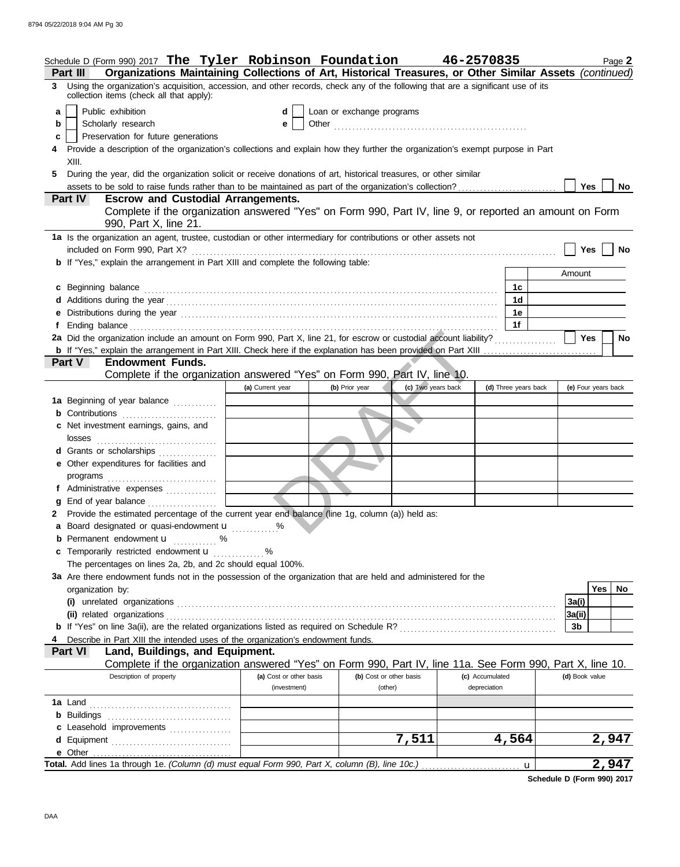|    | Schedule D (Form 990) 2017 The Tyler Robinson Foundation 46-2570835                                                                                                                                                                                            |                                         |                                    |                    |                                 | Page 2              |
|----|----------------------------------------------------------------------------------------------------------------------------------------------------------------------------------------------------------------------------------------------------------------|-----------------------------------------|------------------------------------|--------------------|---------------------------------|---------------------|
| 3  | Organizations Maintaining Collections of Art, Historical Treasures, or Other Similar Assets (continued)<br><b>Part III</b><br>Using the organization's acquisition, accession, and other records, check any of the following that are a significant use of its |                                         |                                    |                    |                                 |                     |
|    | collection items (check all that apply):                                                                                                                                                                                                                       |                                         |                                    |                    |                                 |                     |
| a  | Public exhibition                                                                                                                                                                                                                                              | d                                       | Loan or exchange programs          |                    |                                 |                     |
| b  | Scholarly research                                                                                                                                                                                                                                             | е                                       |                                    |                    |                                 |                     |
| c  | Preservation for future generations                                                                                                                                                                                                                            |                                         |                                    |                    |                                 |                     |
|    | Provide a description of the organization's collections and explain how they further the organization's exempt purpose in Part<br>XIII.                                                                                                                        |                                         |                                    |                    |                                 |                     |
| 5. | During the year, did the organization solicit or receive donations of art, historical treasures, or other similar                                                                                                                                              |                                         |                                    |                    |                                 |                     |
|    | assets to be sold to raise funds rather than to be maintained as part of the organization's collection?                                                                                                                                                        |                                         |                                    |                    |                                 | Yes<br>No           |
|    | <b>Escrow and Custodial Arrangements.</b><br>Part IV                                                                                                                                                                                                           |                                         |                                    |                    |                                 |                     |
|    | Complete if the organization answered "Yes" on Form 990, Part IV, line 9, or reported an amount on Form                                                                                                                                                        |                                         |                                    |                    |                                 |                     |
|    | 990, Part X, line 21.                                                                                                                                                                                                                                          |                                         |                                    |                    |                                 |                     |
|    | 1a Is the organization an agent, trustee, custodian or other intermediary for contributions or other assets not                                                                                                                                                |                                         |                                    |                    |                                 |                     |
|    | included on Form 990, Part X?                                                                                                                                                                                                                                  |                                         |                                    |                    |                                 | <b>Yes</b><br>No    |
|    | <b>b</b> If "Yes," explain the arrangement in Part XIII and complete the following table:                                                                                                                                                                      |                                         |                                    |                    |                                 |                     |
|    |                                                                                                                                                                                                                                                                |                                         |                                    |                    |                                 | Amount              |
|    | c Beginning balance                                                                                                                                                                                                                                            |                                         |                                    |                    | 1c                              |                     |
|    |                                                                                                                                                                                                                                                                |                                         |                                    |                    | 1 <sub>d</sub>                  |                     |
|    |                                                                                                                                                                                                                                                                |                                         |                                    |                    | 1е                              |                     |
|    | 2a Did the organization include an amount on Form 990, Part X, line 21, for escrow or custodial account liability?                                                                                                                                             |                                         |                                    |                    | 1f                              | <b>Yes</b>          |
|    |                                                                                                                                                                                                                                                                |                                         |                                    |                    |                                 | No                  |
|    | <b>Endowment Funds.</b><br><b>Part V</b>                                                                                                                                                                                                                       |                                         |                                    |                    |                                 |                     |
|    | Complete if the organization answered "Yes" on Form 990, Part IV, line 10.                                                                                                                                                                                     |                                         |                                    |                    |                                 |                     |
|    |                                                                                                                                                                                                                                                                | (a) Current year                        | (b) Prior year                     | (c) Two years back | (d) Three years back            | (e) Four years back |
|    | 1a Beginning of year balance                                                                                                                                                                                                                                   |                                         |                                    |                    |                                 |                     |
|    | <b>b</b> Contributions                                                                                                                                                                                                                                         |                                         |                                    |                    |                                 |                     |
|    | c Net investment earnings, gains, and                                                                                                                                                                                                                          |                                         |                                    |                    |                                 |                     |
|    | losses                                                                                                                                                                                                                                                         |                                         |                                    |                    |                                 |                     |
|    | d Grants or scholarships                                                                                                                                                                                                                                       |                                         |                                    |                    |                                 |                     |
|    | e Other expenditures for facilities and                                                                                                                                                                                                                        |                                         |                                    |                    |                                 |                     |
|    | programs                                                                                                                                                                                                                                                       |                                         |                                    |                    |                                 |                     |
|    | f Administrative expenses                                                                                                                                                                                                                                      |                                         |                                    |                    |                                 |                     |
| g  | End of year balance                                                                                                                                                                                                                                            |                                         |                                    |                    |                                 |                     |
|    | 2 Provide the estimated percentage of the current year end balance (line 1g, column (a)) held as:                                                                                                                                                              |                                         |                                    |                    |                                 |                     |
|    | a Board designated or quasi-endowment u                                                                                                                                                                                                                        |                                         |                                    |                    |                                 |                     |
|    | <b>b</b> Permanent endowment <b>u</b> %<br>c Temporarily restricted endowment u                                                                                                                                                                                | %                                       |                                    |                    |                                 |                     |
|    | The percentages on lines 2a, 2b, and 2c should equal 100%.                                                                                                                                                                                                     |                                         |                                    |                    |                                 |                     |
|    | 3a Are there endowment funds not in the possession of the organization that are held and administered for the                                                                                                                                                  |                                         |                                    |                    |                                 |                     |
|    | organization by:                                                                                                                                                                                                                                               |                                         |                                    |                    |                                 | Yes   No            |
|    |                                                                                                                                                                                                                                                                |                                         |                                    |                    |                                 | 3a(i)               |
|    |                                                                                                                                                                                                                                                                |                                         |                                    |                    |                                 | 3a(ii)              |
|    |                                                                                                                                                                                                                                                                |                                         |                                    |                    |                                 | 3b                  |
|    | Describe in Part XIII the intended uses of the organization's endowment funds.                                                                                                                                                                                 |                                         |                                    |                    |                                 |                     |
|    | Land, Buildings, and Equipment.<br><b>Part VI</b>                                                                                                                                                                                                              |                                         |                                    |                    |                                 |                     |
|    | Complete if the organization answered "Yes" on Form 990, Part IV, line 11a. See Form 990, Part X, line 10.                                                                                                                                                     |                                         |                                    |                    |                                 |                     |
|    | Description of property                                                                                                                                                                                                                                        | (a) Cost or other basis<br>(investment) | (b) Cost or other basis<br>(other) |                    | (c) Accumulated<br>depreciation | (d) Book value      |
|    |                                                                                                                                                                                                                                                                |                                         |                                    |                    |                                 |                     |
|    |                                                                                                                                                                                                                                                                |                                         |                                    |                    |                                 |                     |
|    | c Leasehold improvements                                                                                                                                                                                                                                       |                                         |                                    |                    |                                 |                     |
|    |                                                                                                                                                                                                                                                                |                                         |                                    | 7,511              | 4,564                           | 2,947               |
|    |                                                                                                                                                                                                                                                                |                                         |                                    |                    |                                 |                     |
|    |                                                                                                                                                                                                                                                                |                                         |                                    |                    | u                               | 2,947               |

**Schedule D (Form 990) 2017**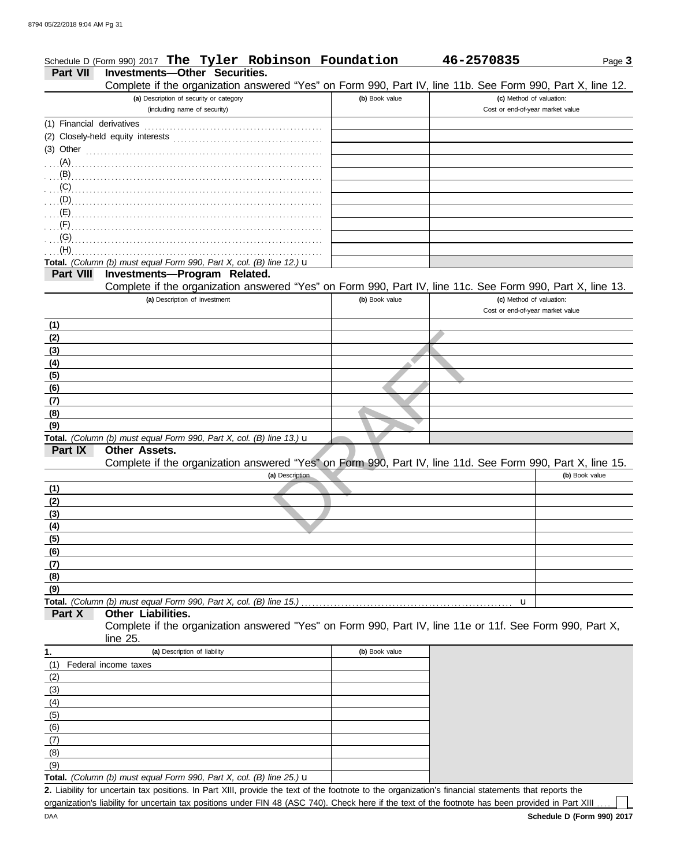|                               | Schedule D (Form 990) 2017 The Tyler Robinson Foundation                                                                                           |                | 46-2570835                                                   | Page 3         |
|-------------------------------|----------------------------------------------------------------------------------------------------------------------------------------------------|----------------|--------------------------------------------------------------|----------------|
| Part VII                      | Investments-Other Securities.                                                                                                                      |                |                                                              |                |
|                               | Complete if the organization answered "Yes" on Form 990, Part IV, line 11b. See Form 990, Part X, line 12.                                         |                |                                                              |                |
|                               | (a) Description of security or category<br>(including name of security)                                                                            | (b) Book value | (c) Method of valuation:<br>Cost or end-of-year market value |                |
|                               |                                                                                                                                                    |                |                                                              |                |
|                               |                                                                                                                                                    |                |                                                              |                |
| (3) Other                     |                                                                                                                                                    |                |                                                              |                |
|                               |                                                                                                                                                    |                |                                                              |                |
|                               |                                                                                                                                                    |                |                                                              |                |
| $\ldots$ (C) $\ldots$         |                                                                                                                                                    |                |                                                              |                |
| $\ldots$ (D) $\ldots$         |                                                                                                                                                    |                |                                                              |                |
| $\mathbf{E}$ (E) $\mathbf{E}$ |                                                                                                                                                    |                |                                                              |                |
| $\ldots$ (F)                  |                                                                                                                                                    |                |                                                              |                |
| (G)                           |                                                                                                                                                    |                |                                                              |                |
| (H)                           |                                                                                                                                                    |                |                                                              |                |
|                               | Total. (Column (b) must equal Form 990, Part X, col. (B) line 12.) u                                                                               |                |                                                              |                |
| Part VIII                     | Investments-Program Related.                                                                                                                       |                |                                                              |                |
|                               | Complete if the organization answered "Yes" on Form 990, Part IV, line 11c. See Form 990, Part X, line 13.                                         |                |                                                              |                |
|                               | (a) Description of investment                                                                                                                      | (b) Book value | (c) Method of valuation:                                     |                |
|                               |                                                                                                                                                    |                | Cost or end-of-year market value                             |                |
| (1)                           |                                                                                                                                                    |                |                                                              |                |
| (2)                           |                                                                                                                                                    |                |                                                              |                |
| (3)                           |                                                                                                                                                    |                |                                                              |                |
| (4)                           |                                                                                                                                                    |                |                                                              |                |
| (5)<br>(6)                    |                                                                                                                                                    |                |                                                              |                |
| (7)                           |                                                                                                                                                    |                |                                                              |                |
| (8)                           |                                                                                                                                                    |                |                                                              |                |
| (9)                           |                                                                                                                                                    |                |                                                              |                |
|                               | Total. (Column (b) must equal Form 990, Part X, col. (B) line 13.) u                                                                               |                |                                                              |                |
| Part IX                       | Other Assets.                                                                                                                                      |                |                                                              |                |
|                               | Complete if the organization answered "Yes" on Form 990, Part IV, line 11d. See Form 990, Part X, line 15.                                         |                |                                                              |                |
|                               | (a) Description                                                                                                                                    |                |                                                              | (b) Book value |
| (1)                           |                                                                                                                                                    |                |                                                              |                |
| (2)                           |                                                                                                                                                    |                |                                                              |                |
| (3)                           |                                                                                                                                                    |                |                                                              |                |
| <u>(4)</u>                    |                                                                                                                                                    |                |                                                              |                |
| (5)                           |                                                                                                                                                    |                |                                                              |                |
| (6)                           |                                                                                                                                                    |                |                                                              |                |
| (7)                           |                                                                                                                                                    |                |                                                              |                |
| (8)                           |                                                                                                                                                    |                |                                                              |                |
| (9)                           |                                                                                                                                                    |                |                                                              |                |
| Part X                        | Total. (Column (b) must equal Form 990, Part X, col. (B) line 15.)<br><b>Other Liabilities.</b>                                                    |                | u                                                            |                |
|                               | Complete if the organization answered "Yes" on Form 990, Part IV, line 11e or 11f. See Form 990, Part X,                                           |                |                                                              |                |
|                               | line 25.                                                                                                                                           |                |                                                              |                |
| 1.                            | (a) Description of liability                                                                                                                       | (b) Book value |                                                              |                |
| (1)                           | Federal income taxes                                                                                                                               |                |                                                              |                |
| (2)                           |                                                                                                                                                    |                |                                                              |                |
| (3)                           |                                                                                                                                                    |                |                                                              |                |
| (4)                           |                                                                                                                                                    |                |                                                              |                |
| (5)                           |                                                                                                                                                    |                |                                                              |                |
| (6)                           |                                                                                                                                                    |                |                                                              |                |
| (7)                           |                                                                                                                                                    |                |                                                              |                |
| (8)                           |                                                                                                                                                    |                |                                                              |                |
| (9)                           |                                                                                                                                                    |                |                                                              |                |
|                               | Total. (Column (b) must equal Form 990, Part X, col. (B) line 25.) $\mathbf u$                                                                     |                |                                                              |                |
|                               | 2. Liability for uncertain tax positions In Part XIII provide the text of the footnote to the organization's financial statements that reports the |                |                                                              |                |

Liability for uncertain tax positions. In Part XIII, provide the text of the footnote to the organization's financial statements that reports the organization's liability for uncertain tax positions under FIN 48 (ASC 740). Check here if the text of the footnote has been provided in Part XIII .... **2.**

 $\Box$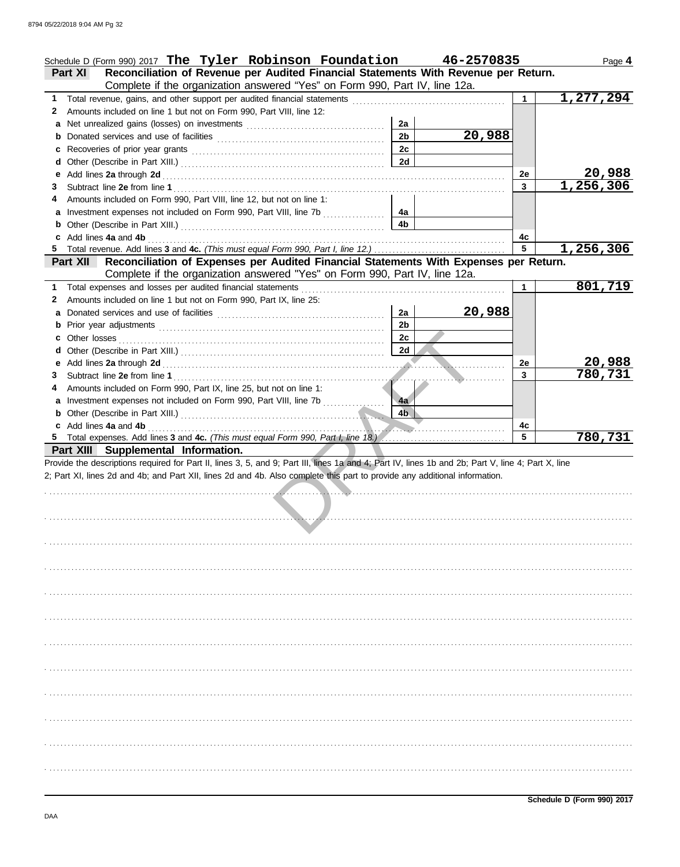|        | Schedule D (Form 990) 2017 The Tyler Robinson Foundation                                                                                                                                                                                                                         |                      | 46-2570835 |    | Page 4    |
|--------|----------------------------------------------------------------------------------------------------------------------------------------------------------------------------------------------------------------------------------------------------------------------------------|----------------------|------------|----|-----------|
|        | Reconciliation of Revenue per Audited Financial Statements With Revenue per Return.<br><b>Part XI</b>                                                                                                                                                                            |                      |            |    |           |
|        | Complete if the organization answered "Yes" on Form 990, Part IV, line 12a.                                                                                                                                                                                                      |                      |            |    |           |
| 1.     |                                                                                                                                                                                                                                                                                  |                      |            |    | 1,277,294 |
| 2      | Amounts included on line 1 but not on Form 990, Part VIII, line 12:                                                                                                                                                                                                              |                      |            |    |           |
| a      |                                                                                                                                                                                                                                                                                  | 2a<br>2 <sub>b</sub> | 20,988     |    |           |
|        |                                                                                                                                                                                                                                                                                  | 2c                   |            |    |           |
| c<br>d |                                                                                                                                                                                                                                                                                  | 2d                   |            |    |           |
| е      |                                                                                                                                                                                                                                                                                  |                      |            | 2e | 20,988    |
| 3      |                                                                                                                                                                                                                                                                                  |                      |            | 3  | 1,256,306 |
|        | Amounts included on Form 990, Part VIII, line 12, but not on line 1:                                                                                                                                                                                                             |                      |            |    |           |
|        | a Investment expenses not included on Form 990, Part VIII, line 7b                                                                                                                                                                                                               | 4a                   |            |    |           |
|        |                                                                                                                                                                                                                                                                                  | 4 <sub>b</sub>       |            |    |           |
|        | Add lines 4a and 4b [11, 12] Add lines 4a and 4b [12] Add lines 4a and 4b [12] Add lines 4a and 4b [12] Add lines 4a and 4b [12] Add lines 4a and 4b [12] Add lines 4a and 4b [12] Add lines 4a and 4b [12] Add lines 4a and 4                                                   |                      |            | 4c |           |
|        |                                                                                                                                                                                                                                                                                  |                      |            | 5  | 1,256,306 |
|        | Reconciliation of Expenses per Audited Financial Statements With Expenses per Return.<br><b>Part XII</b>                                                                                                                                                                         |                      |            |    |           |
|        | Complete if the organization answered "Yes" on Form 990, Part IV, line 12a.                                                                                                                                                                                                      |                      |            |    |           |
| 1.     |                                                                                                                                                                                                                                                                                  |                      |            | 1  | 801,719   |
| 2      | Amounts included on line 1 but not on Form 990, Part IX, line 25:                                                                                                                                                                                                                |                      |            |    |           |
| a      |                                                                                                                                                                                                                                                                                  | 2a                   | 20,988     |    |           |
|        |                                                                                                                                                                                                                                                                                  | 2 <sub>b</sub>       |            |    |           |
|        |                                                                                                                                                                                                                                                                                  | 2c                   |            |    |           |
|        |                                                                                                                                                                                                                                                                                  | 2d                   |            |    |           |
| е      |                                                                                                                                                                                                                                                                                  |                      |            | 2e | 20,988    |
| 3      |                                                                                                                                                                                                                                                                                  |                      |            | 3  | 780,731   |
|        | Amounts included on Form 990, Part IX, line 25, but not on line 1:                                                                                                                                                                                                               |                      |            |    |           |
|        |                                                                                                                                                                                                                                                                                  | 4a                   |            |    |           |
|        | b Other (Describe in Part XIII.) Material and Service and Service Contract to the Service of Service Contract of Service Contract of Service Contract of Service Contract of Service Contract of Service Contract of Service C                                                   | 4 <sub>b</sub>       |            |    |           |
|        | c Add lines 4a and 4b (a) and the contract of the contract of the contract of the contract of the contract of the contract of the contract of the contract of the contract of the contract of the contract of the contract of                                                    |                      |            | 4c |           |
|        |                                                                                                                                                                                                                                                                                  |                      |            | 5  | 780, 731  |
|        | Part XIII Supplemental Information.                                                                                                                                                                                                                                              |                      |            |    |           |
|        | Provide the descriptions required for Part II, lines 3, 5, and 9; Part III, lines 1a and 4; Part IV, lines 1b and 2b; Part V, line 4; Part X, line<br>2; Part XI, lines 2d and 4b; and Part XII, lines 2d and 4b. Also complete this part to provide any additional information. |                      |            |    |           |
|        |                                                                                                                                                                                                                                                                                  |                      |            |    |           |
|        |                                                                                                                                                                                                                                                                                  |                      |            |    |           |
|        |                                                                                                                                                                                                                                                                                  |                      |            |    |           |
|        |                                                                                                                                                                                                                                                                                  |                      |            |    |           |
|        |                                                                                                                                                                                                                                                                                  |                      |            |    |           |
|        |                                                                                                                                                                                                                                                                                  |                      |            |    |           |
|        |                                                                                                                                                                                                                                                                                  |                      |            |    |           |
|        |                                                                                                                                                                                                                                                                                  |                      |            |    |           |
|        |                                                                                                                                                                                                                                                                                  |                      |            |    |           |
|        |                                                                                                                                                                                                                                                                                  |                      |            |    |           |
|        |                                                                                                                                                                                                                                                                                  |                      |            |    |           |
|        |                                                                                                                                                                                                                                                                                  |                      |            |    |           |
|        |                                                                                                                                                                                                                                                                                  |                      |            |    |           |
|        |                                                                                                                                                                                                                                                                                  |                      |            |    |           |
|        |                                                                                                                                                                                                                                                                                  |                      |            |    |           |
|        |                                                                                                                                                                                                                                                                                  |                      |            |    |           |
|        |                                                                                                                                                                                                                                                                                  |                      |            |    |           |
|        |                                                                                                                                                                                                                                                                                  |                      |            |    |           |
|        |                                                                                                                                                                                                                                                                                  |                      |            |    |           |
|        |                                                                                                                                                                                                                                                                                  |                      |            |    |           |
|        |                                                                                                                                                                                                                                                                                  |                      |            |    |           |
|        |                                                                                                                                                                                                                                                                                  |                      |            |    |           |
|        |                                                                                                                                                                                                                                                                                  |                      |            |    |           |
|        |                                                                                                                                                                                                                                                                                  |                      |            |    |           |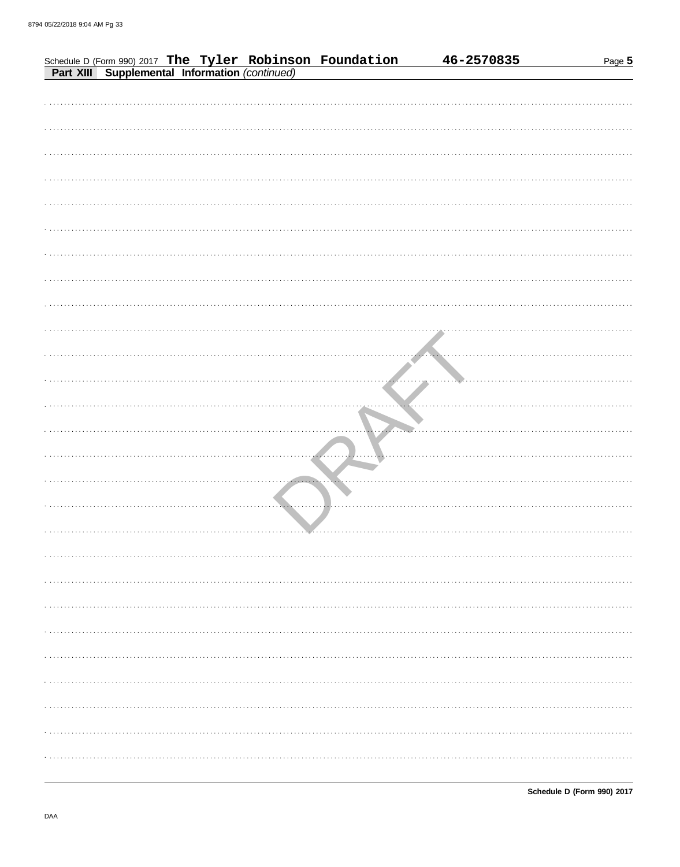|  |  |                                                                                                            |  | 46-2570835 | Page 5 |  |
|--|--|------------------------------------------------------------------------------------------------------------|--|------------|--------|--|
|  |  | Schedule D (Form 990) 2017 The Tyler Robinson Foundation<br>Part XIII Supplemental Information (continued) |  |            |        |  |
|  |  |                                                                                                            |  |            |        |  |
|  |  |                                                                                                            |  |            |        |  |
|  |  |                                                                                                            |  |            |        |  |
|  |  |                                                                                                            |  |            |        |  |
|  |  |                                                                                                            |  |            |        |  |
|  |  |                                                                                                            |  |            |        |  |
|  |  |                                                                                                            |  |            |        |  |
|  |  |                                                                                                            |  |            |        |  |
|  |  |                                                                                                            |  |            |        |  |
|  |  |                                                                                                            |  |            |        |  |
|  |  |                                                                                                            |  |            |        |  |
|  |  |                                                                                                            |  |            |        |  |
|  |  |                                                                                                            |  |            |        |  |
|  |  |                                                                                                            |  |            |        |  |
|  |  |                                                                                                            |  |            |        |  |
|  |  |                                                                                                            |  |            |        |  |
|  |  |                                                                                                            |  |            |        |  |
|  |  |                                                                                                            |  |            |        |  |
|  |  |                                                                                                            |  |            |        |  |
|  |  |                                                                                                            |  |            |        |  |
|  |  |                                                                                                            |  |            |        |  |
|  |  |                                                                                                            |  |            |        |  |
|  |  |                                                                                                            |  |            |        |  |
|  |  |                                                                                                            |  |            |        |  |
|  |  |                                                                                                            |  |            |        |  |
|  |  |                                                                                                            |  |            |        |  |
|  |  |                                                                                                            |  |            |        |  |
|  |  |                                                                                                            |  |            |        |  |
|  |  |                                                                                                            |  |            |        |  |
|  |  |                                                                                                            |  |            |        |  |
|  |  |                                                                                                            |  |            |        |  |
|  |  |                                                                                                            |  |            |        |  |
|  |  |                                                                                                            |  |            |        |  |
|  |  |                                                                                                            |  |            |        |  |
|  |  |                                                                                                            |  |            |        |  |
|  |  |                                                                                                            |  |            |        |  |
|  |  |                                                                                                            |  |            |        |  |
|  |  |                                                                                                            |  |            |        |  |
|  |  |                                                                                                            |  |            |        |  |
|  |  |                                                                                                            |  |            |        |  |
|  |  |                                                                                                            |  |            |        |  |
|  |  |                                                                                                            |  |            |        |  |
|  |  |                                                                                                            |  |            |        |  |
|  |  |                                                                                                            |  |            |        |  |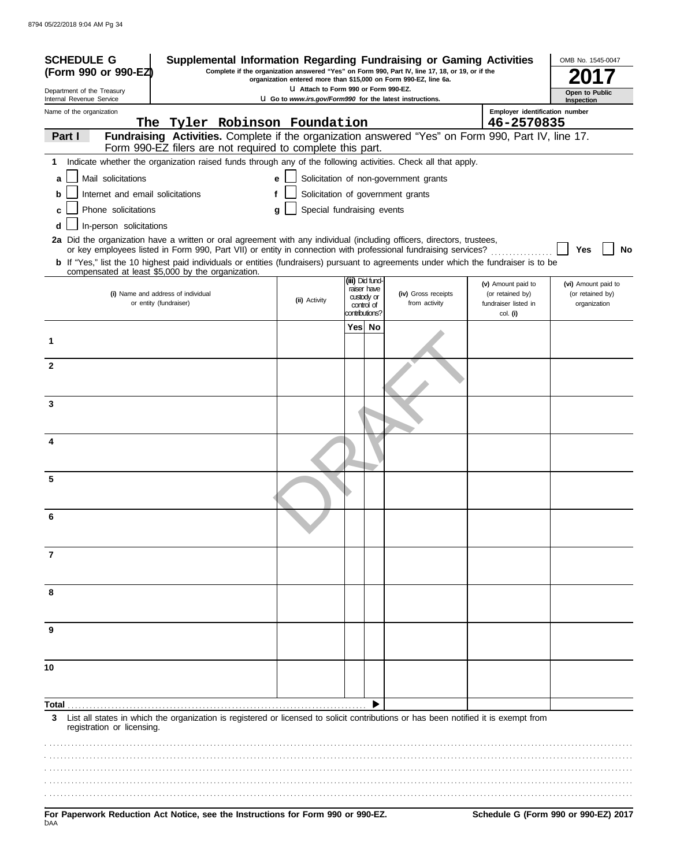| <b>SCHEDULE G</b><br>(Form 990 or 990-EZ)                                                                                              | Supplemental Information Regarding Fundraising or Gaming Activities                                                                                                                                                                                                                                                                                                                      |                                                          |  |                                                           | Complete if the organization answered "Yes" on Form 990, Part IV, line 17, 18, or 19, or if the |                                                                | OMB No. 1545-0047                                       |
|----------------------------------------------------------------------------------------------------------------------------------------|------------------------------------------------------------------------------------------------------------------------------------------------------------------------------------------------------------------------------------------------------------------------------------------------------------------------------------------------------------------------------------------|----------------------------------------------------------|--|-----------------------------------------------------------|-------------------------------------------------------------------------------------------------|----------------------------------------------------------------|---------------------------------------------------------|
| organization entered more than \$15,000 on Form 990-EZ, line 6a.<br>U Attach to Form 990 or Form 990-EZ.<br>Department of the Treasury |                                                                                                                                                                                                                                                                                                                                                                                          |                                                          |  |                                                           |                                                                                                 |                                                                |                                                         |
| Internal Revenue Service                                                                                                               |                                                                                                                                                                                                                                                                                                                                                                                          | U Go to www.irs.gov/Form990 for the latest instructions. |  |                                                           |                                                                                                 |                                                                | Open to Public<br>Inspection                            |
| Name of the organization                                                                                                               | The Tyler Robinson Foundation                                                                                                                                                                                                                                                                                                                                                            |                                                          |  |                                                           |                                                                                                 | Employer identification number<br>46-2570835                   |                                                         |
| Part I                                                                                                                                 | Fundraising Activities. Complete if the organization answered "Yes" on Form 990, Part IV, line 17.<br>Form 990-EZ filers are not required to complete this part.                                                                                                                                                                                                                         |                                                          |  |                                                           |                                                                                                 |                                                                |                                                         |
| 1                                                                                                                                      | Indicate whether the organization raised funds through any of the following activities. Check all that apply.                                                                                                                                                                                                                                                                            |                                                          |  |                                                           |                                                                                                 |                                                                |                                                         |
| Mail solicitations<br>a                                                                                                                |                                                                                                                                                                                                                                                                                                                                                                                          | е                                                        |  |                                                           | Solicitation of non-government grants                                                           |                                                                |                                                         |
| Internet and email solicitations<br>b                                                                                                  |                                                                                                                                                                                                                                                                                                                                                                                          |                                                          |  |                                                           | Solicitation of government grants                                                               |                                                                |                                                         |
| Phone solicitations<br>c                                                                                                               |                                                                                                                                                                                                                                                                                                                                                                                          | Special fundraising events<br>g                          |  |                                                           |                                                                                                 |                                                                |                                                         |
| In-person solicitations<br>d                                                                                                           |                                                                                                                                                                                                                                                                                                                                                                                          |                                                          |  |                                                           |                                                                                                 |                                                                |                                                         |
|                                                                                                                                        | 2a Did the organization have a written or oral agreement with any individual (including officers, directors, trustees,<br>or key employees listed in Form 990, Part VII) or entity in connection with professional fundraising services?<br><b>b</b> If "Yes," list the 10 highest paid individuals or entities (fundraisers) pursuant to agreements under which the fundraiser is to be |                                                          |  |                                                           |                                                                                                 |                                                                | Yes<br>No                                               |
|                                                                                                                                        | compensated at least \$5,000 by the organization.                                                                                                                                                                                                                                                                                                                                        |                                                          |  | (iii) Did fund-                                           |                                                                                                 |                                                                |                                                         |
|                                                                                                                                        | (i) Name and address of individual<br>or entity (fundraiser)                                                                                                                                                                                                                                                                                                                             | (ii) Activity                                            |  | raiser have<br>custody or<br>control of<br>contributions? | (iv) Gross receipts<br>from activity                                                            | (v) Amount paid to<br>(or retained by)<br>fundraiser listed in | (vi) Amount paid to<br>(or retained by)<br>organization |
|                                                                                                                                        |                                                                                                                                                                                                                                                                                                                                                                                          |                                                          |  | Yes  No                                                   |                                                                                                 | col. (i)                                                       |                                                         |
| 1                                                                                                                                      |                                                                                                                                                                                                                                                                                                                                                                                          |                                                          |  |                                                           |                                                                                                 |                                                                |                                                         |
| $\mathbf{2}$                                                                                                                           |                                                                                                                                                                                                                                                                                                                                                                                          |                                                          |  |                                                           |                                                                                                 |                                                                |                                                         |
| 3                                                                                                                                      |                                                                                                                                                                                                                                                                                                                                                                                          |                                                          |  |                                                           |                                                                                                 |                                                                |                                                         |
| 4                                                                                                                                      |                                                                                                                                                                                                                                                                                                                                                                                          |                                                          |  |                                                           |                                                                                                 |                                                                |                                                         |
| 5                                                                                                                                      |                                                                                                                                                                                                                                                                                                                                                                                          |                                                          |  |                                                           |                                                                                                 |                                                                |                                                         |
| 6                                                                                                                                      |                                                                                                                                                                                                                                                                                                                                                                                          |                                                          |  |                                                           |                                                                                                 |                                                                |                                                         |
| 7                                                                                                                                      |                                                                                                                                                                                                                                                                                                                                                                                          |                                                          |  |                                                           |                                                                                                 |                                                                |                                                         |
| 8                                                                                                                                      |                                                                                                                                                                                                                                                                                                                                                                                          |                                                          |  |                                                           |                                                                                                 |                                                                |                                                         |
| 9                                                                                                                                      |                                                                                                                                                                                                                                                                                                                                                                                          |                                                          |  |                                                           |                                                                                                 |                                                                |                                                         |
| 10                                                                                                                                     |                                                                                                                                                                                                                                                                                                                                                                                          |                                                          |  |                                                           |                                                                                                 |                                                                |                                                         |
| Total                                                                                                                                  |                                                                                                                                                                                                                                                                                                                                                                                          |                                                          |  |                                                           |                                                                                                 |                                                                |                                                         |
| 3<br>registration or licensing.                                                                                                        | List all states in which the organization is registered or licensed to solicit contributions or has been notified it is exempt from                                                                                                                                                                                                                                                      |                                                          |  |                                                           |                                                                                                 |                                                                |                                                         |
|                                                                                                                                        |                                                                                                                                                                                                                                                                                                                                                                                          |                                                          |  |                                                           |                                                                                                 |                                                                |                                                         |
|                                                                                                                                        |                                                                                                                                                                                                                                                                                                                                                                                          |                                                          |  |                                                           |                                                                                                 |                                                                |                                                         |
| DAA                                                                                                                                    | For Paperwork Reduction Act Notice, see the Instructions for Form 990 or 990-EZ.                                                                                                                                                                                                                                                                                                         |                                                          |  |                                                           |                                                                                                 |                                                                | Schedule G (Form 990 or 990-EZ) 2017                    |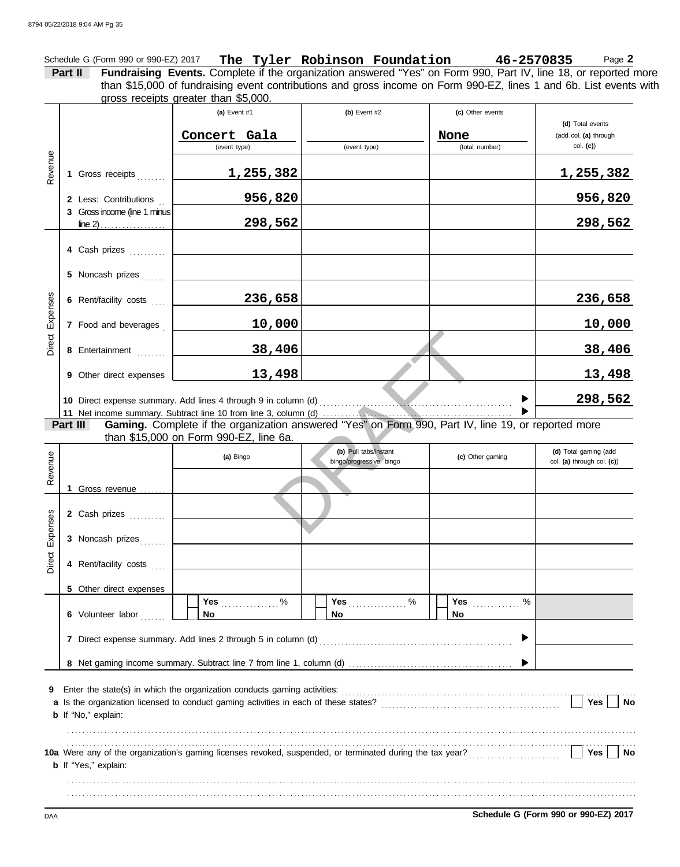Schedule G (Form 990 or 990-EZ) 2017 **The Tyler Robinson Foundation 46-2570835** Page **2 Part II Fundraising Events.** Complete if the organization answered "Yes" on Form 990, Part IV, line 18, or reported more gross receipts greater than \$5,000. than \$15,000 of fundraising event contributions and gross income on Form 990-EZ, lines 1 and 6b. List events with

|          |                                | (a) Event #1                                                                                                   | (b) Event $#2$          | (c) Other events       |                                   |
|----------|--------------------------------|----------------------------------------------------------------------------------------------------------------|-------------------------|------------------------|-----------------------------------|
|          |                                |                                                                                                                |                         |                        | (d) Total events                  |
|          |                                | Concert Gala<br>(event type)                                                                                   | (event type)            | None<br>(total number) | (add col. (a) through<br>col. (c) |
|          |                                |                                                                                                                |                         |                        |                                   |
| Revenue  | 1 Gross receipts               | <u>1,255,382</u>                                                                                               |                         |                        | <u>1,255,382</u>                  |
|          | 2 Less: Contributions          | 956,820                                                                                                        |                         |                        | 956,820                           |
|          | 3 Gross income (line 1 minus   |                                                                                                                |                         |                        |                                   |
|          |                                | 298,562                                                                                                        |                         |                        | 298,562                           |
|          |                                |                                                                                                                |                         |                        |                                   |
|          | 4 Cash prizes                  |                                                                                                                |                         |                        |                                   |
|          | 5 Noncash prizes               |                                                                                                                |                         |                        |                                   |
|          |                                |                                                                                                                |                         |                        |                                   |
| Expenses | 6 Rent/facility costs          | 236,658                                                                                                        |                         |                        | 236,658                           |
|          |                                |                                                                                                                |                         |                        |                                   |
|          | 7 Food and beverages           | 10,000                                                                                                         |                         |                        | 10,000                            |
| Direct   | 8 Entertainment                | 38,406                                                                                                         |                         |                        | <u>38,406</u>                     |
|          |                                |                                                                                                                |                         |                        |                                   |
|          | <b>9</b> Other direct expenses | 13,498                                                                                                         |                         |                        | 13,498                            |
|          |                                |                                                                                                                |                         |                        |                                   |
|          |                                |                                                                                                                |                         |                        | 298,562                           |
|          | Part III                       | Gaming. Complete if the organization answered "Yes" on Form 990, Part IV, line 19, or reported more            |                         |                        |                                   |
|          |                                | than \$15,000 on Form 990-EZ, line 6a.                                                                         |                         |                        |                                   |
|          |                                |                                                                                                                | (b) Pull tabs/instant   |                        | (d) Total gaming (add             |
|          |                                | (a) Bingo                                                                                                      | bingo/progressive bingo | (c) Other gaming       | col. (a) through col. (c))        |
| Revenue  |                                |                                                                                                                |                         |                        |                                   |
|          | 1 Gross revenue                |                                                                                                                |                         |                        |                                   |
|          | 2 Cash prizes                  |                                                                                                                |                         |                        |                                   |
|          |                                |                                                                                                                |                         |                        |                                   |
| Expenses | 3 Noncash prizes               |                                                                                                                |                         |                        |                                   |
|          |                                |                                                                                                                |                         |                        |                                   |
| Direct   | 4 Rent/facility costs          |                                                                                                                |                         |                        |                                   |
|          |                                |                                                                                                                |                         |                        |                                   |
|          | 5 Other direct expenses        | $\%$<br>Yes                                                                                                    | $\%$<br>Yes             | $\%$<br>Yes            |                                   |
|          | 6 Volunteer labor              | No                                                                                                             | No                      | No                     |                                   |
|          |                                |                                                                                                                |                         |                        |                                   |
|          |                                |                                                                                                                |                         | ▶                      |                                   |
|          |                                |                                                                                                                |                         |                        |                                   |
|          |                                |                                                                                                                |                         |                        |                                   |
| 9        |                                | Enter the state(s) in which the organization conducts gaming activities:                                       |                         |                        |                                   |
|          |                                | a Is the organization licensed to conduct gaming activities in each of these states? [[[[[[[[[[[[[[[[[[[[[[[[[ |                         |                        | Yes<br>No                         |
|          | <b>b</b> If "No," explain:     |                                                                                                                |                         |                        |                                   |
|          |                                |                                                                                                                |                         |                        |                                   |
|          |                                |                                                                                                                |                         |                        |                                   |
|          | <b>b</b> If "Yes," explain:    |                                                                                                                |                         |                        | Yes<br>No                         |
|          |                                |                                                                                                                |                         |                        |                                   |
|          |                                |                                                                                                                |                         |                        |                                   |
|          |                                |                                                                                                                |                         |                        |                                   |

DAA **Schedule G (Form 990 or 990-EZ) 2017**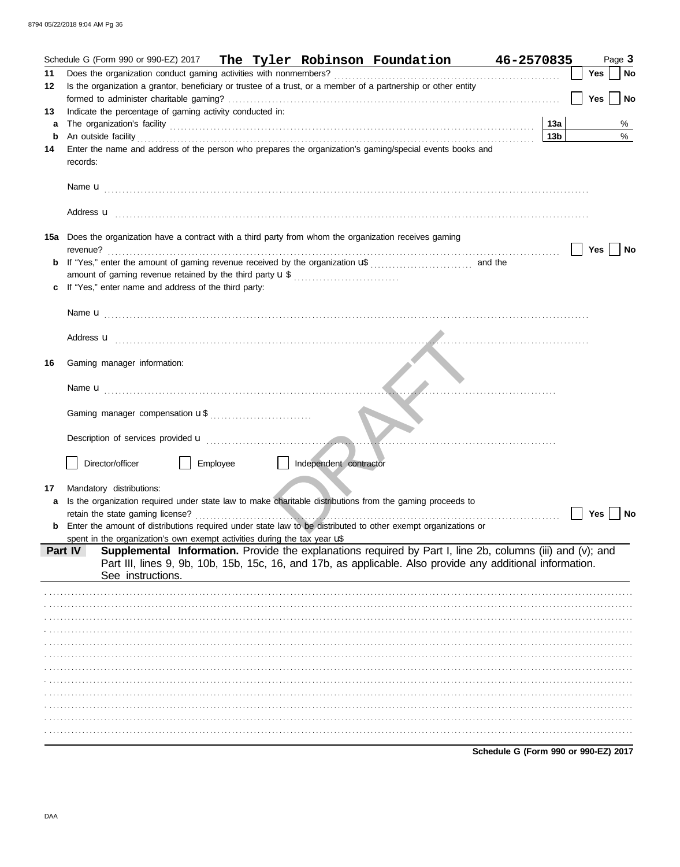|    | Schedule G (Form 990 or 990-EZ) 2017 The Tyler Robinson Foundation 46-2570835                                                                                                                                                      |                                      |            | Page 3    |
|----|------------------------------------------------------------------------------------------------------------------------------------------------------------------------------------------------------------------------------------|--------------------------------------|------------|-----------|
| 11 |                                                                                                                                                                                                                                    |                                      | <b>Yes</b> | <b>No</b> |
| 12 | Is the organization a grantor, beneficiary or trustee of a trust, or a member of a partnership or other entity                                                                                                                     |                                      |            |           |
|    |                                                                                                                                                                                                                                    |                                      | Yes        | <b>No</b> |
| 13 | Indicate the percentage of gaming activity conducted in:                                                                                                                                                                           |                                      |            |           |
| a  |                                                                                                                                                                                                                                    | 13a                                  |            | %         |
| b  |                                                                                                                                                                                                                                    | 13 <sub>b</sub>                      |            | $\%$      |
| 14 | Enter the name and address of the person who prepares the organization's gaming/special events books and<br>records:                                                                                                               |                                      |            |           |
|    |                                                                                                                                                                                                                                    |                                      |            |           |
|    |                                                                                                                                                                                                                                    |                                      |            |           |
|    | 15a Does the organization have a contract with a third party from whom the organization receives gaming<br>revenue?                                                                                                                |                                      | <b>Yes</b> | No        |
|    |                                                                                                                                                                                                                                    |                                      |            |           |
|    | amount of gaming revenue retained by the third party <b>u</b> \$                                                                                                                                                                   |                                      |            |           |
|    | c If "Yes," enter name and address of the third party:                                                                                                                                                                             |                                      |            |           |
|    |                                                                                                                                                                                                                                    |                                      |            |           |
|    |                                                                                                                                                                                                                                    |                                      |            |           |
|    |                                                                                                                                                                                                                                    |                                      |            |           |
|    | Address <b>u</b> entertainment and the contract of the contract of the contract of the contract of the contract of the contract of the contract of the contract of the contract of the contract of the contract of the contract of |                                      |            |           |
| 16 | Gaming manager information:                                                                                                                                                                                                        |                                      |            |           |
|    | Name <b>u</b> entertainment and the state of the state of the state of the state of the state of the state of the state of the state of the state of the state of the state of the state of the state of the state of the state of |                                      |            |           |
|    |                                                                                                                                                                                                                                    |                                      |            |           |
|    |                                                                                                                                                                                                                                    |                                      |            |           |
|    |                                                                                                                                                                                                                                    |                                      |            |           |
|    |                                                                                                                                                                                                                                    |                                      |            |           |
|    | Director/officer<br>Employee<br>    Independent contractor                                                                                                                                                                         |                                      |            |           |
|    |                                                                                                                                                                                                                                    |                                      |            |           |
| 17 | Mandatory distributions:                                                                                                                                                                                                           |                                      |            |           |
| a  | Is the organization required under state law to make charitable distributions from the gaming proceeds to                                                                                                                          |                                      |            |           |
|    | retain the state gaming license?<br>.                                                                                                                                                                                              |                                      | Yes $ $    | No        |
|    | <b>b</b> Enter the amount of distributions required under state law to be distributed to other exempt organizations or                                                                                                             |                                      |            |           |
|    | spent in the organization's own exempt activities during the tax year $\sqrt{s}$<br>Supplemental Information. Provide the explanations required by Part I, line 2b, columns (iii) and (v); and<br>Part IV                          |                                      |            |           |
|    | Part III, lines 9, 9b, 10b, 15b, 15c, 16, and 17b, as applicable. Also provide any additional information.<br>See instructions.                                                                                                    |                                      |            |           |
|    |                                                                                                                                                                                                                                    |                                      |            |           |
|    |                                                                                                                                                                                                                                    |                                      |            |           |
|    |                                                                                                                                                                                                                                    |                                      |            |           |
|    |                                                                                                                                                                                                                                    |                                      |            |           |
|    |                                                                                                                                                                                                                                    |                                      |            |           |
|    |                                                                                                                                                                                                                                    |                                      |            |           |
|    |                                                                                                                                                                                                                                    |                                      |            |           |
|    |                                                                                                                                                                                                                                    |                                      |            |           |
|    |                                                                                                                                                                                                                                    |                                      |            |           |
|    |                                                                                                                                                                                                                                    |                                      |            |           |
|    |                                                                                                                                                                                                                                    |                                      |            |           |
|    |                                                                                                                                                                                                                                    |                                      |            |           |
|    |                                                                                                                                                                                                                                    | Schedule G (Form 990 or 990-EZ) 2017 |            |           |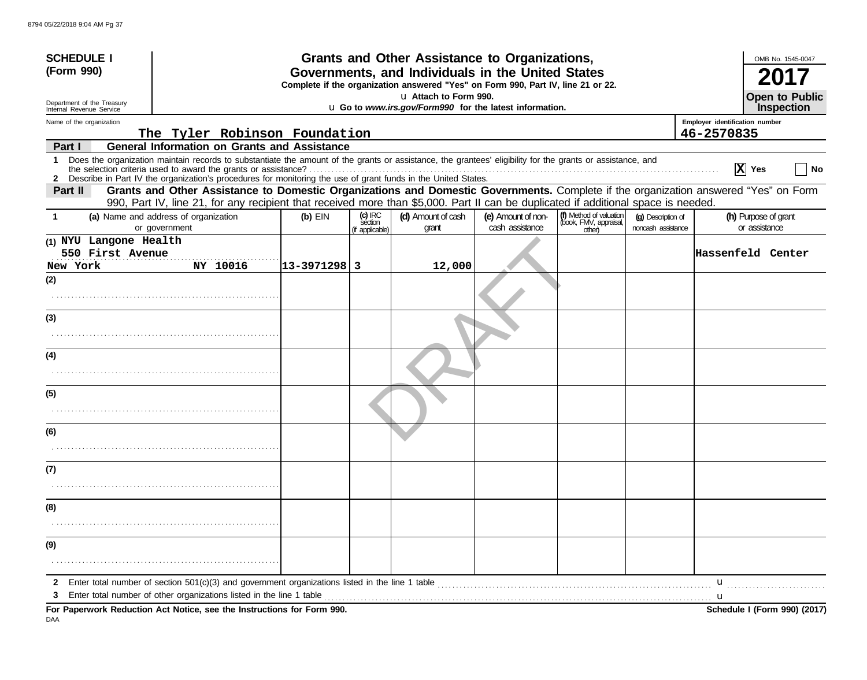| <b>SCHEDULE I</b>                                                                                                  |                                                                                                                                                                                                                                                                               |               |                                                                                                                                       | Grants and Other Assistance to Organizations, |                                       |                                                             |                                          |                                              | OMB No. 1545-0047                     |
|--------------------------------------------------------------------------------------------------------------------|-------------------------------------------------------------------------------------------------------------------------------------------------------------------------------------------------------------------------------------------------------------------------------|---------------|---------------------------------------------------------------------------------------------------------------------------------------|-----------------------------------------------|---------------------------------------|-------------------------------------------------------------|------------------------------------------|----------------------------------------------|---------------------------------------|
| (Form 990)                                                                                                         |                                                                                                                                                                                                                                                                               |               | Governments, and Individuals in the United States<br>Complete if the organization answered "Yes" on Form 990, Part IV, line 21 or 22. |                                               |                                       |                                                             |                                          |                                              |                                       |
|                                                                                                                    |                                                                                                                                                                                                                                                                               |               |                                                                                                                                       | U Attach to Form 990.                         |                                       |                                                             |                                          |                                              | <b>Open to Public</b>                 |
| Department of the Treasury<br>LI Go to www.irs.gov/Form990 for the latest information.<br>Internal Revenue Service |                                                                                                                                                                                                                                                                               |               |                                                                                                                                       |                                               |                                       |                                                             |                                          | Inspection                                   |                                       |
| Name of the organization                                                                                           | The Tyler Robinson Foundation                                                                                                                                                                                                                                                 |               |                                                                                                                                       |                                               |                                       |                                                             |                                          | Employer identification number<br>46-2570835 |                                       |
| Part I                                                                                                             | <b>General Information on Grants and Assistance</b>                                                                                                                                                                                                                           |               |                                                                                                                                       |                                               |                                       |                                                             |                                          |                                              |                                       |
| $\mathbf 1$                                                                                                        | Does the organization maintain records to substantiate the amount of the grants or assistance, the grantees' eligibility for the grants or assistance, and<br>2 Describe in Part IV the organization's procedures for monitoring the use of grant funds in the United States. |               |                                                                                                                                       |                                               |                                       |                                                             |                                          |                                              | $ X $ Yes<br><b>No</b>                |
| Part II                                                                                                            | Grants and Other Assistance to Domestic Organizations and Domestic Governments. Complete if the organization answered "Yes" on Form<br>990, Part IV, line 21, for any recipient that received more than \$5,000. Part II can be duplicated if additional space is needed.     |               |                                                                                                                                       |                                               |                                       |                                                             |                                          |                                              |                                       |
| 1.                                                                                                                 | (a) Name and address of organization<br>or government                                                                                                                                                                                                                         | $(b)$ EIN     | (c) IRC<br>section<br>(if applicable)                                                                                                 | (d) Amount of cash<br>grant                   | (e) Amount of non-<br>cash assistance | (f) Method of valuation<br>(book, FMV, appraisal,<br>other) | (g) Description of<br>noncash assistance |                                              | (h) Purpose of grant<br>or assistance |
| (1) NYU Langone Health<br>550 First Avenue<br>New York                                                             | NY 10016                                                                                                                                                                                                                                                                      | 13-3971298  3 |                                                                                                                                       | 12,000                                        |                                       |                                                             |                                          |                                              | Hassenfeld Center                     |
| (2)                                                                                                                |                                                                                                                                                                                                                                                                               |               |                                                                                                                                       |                                               |                                       |                                                             |                                          |                                              |                                       |
|                                                                                                                    |                                                                                                                                                                                                                                                                               |               |                                                                                                                                       |                                               |                                       |                                                             |                                          |                                              |                                       |
| (3)                                                                                                                |                                                                                                                                                                                                                                                                               |               |                                                                                                                                       |                                               |                                       |                                                             |                                          |                                              |                                       |
| (4)                                                                                                                |                                                                                                                                                                                                                                                                               |               |                                                                                                                                       |                                               |                                       |                                                             |                                          |                                              |                                       |
| (5)                                                                                                                |                                                                                                                                                                                                                                                                               |               |                                                                                                                                       |                                               |                                       |                                                             |                                          |                                              |                                       |
| (6)                                                                                                                |                                                                                                                                                                                                                                                                               |               |                                                                                                                                       |                                               |                                       |                                                             |                                          |                                              |                                       |
| (7)                                                                                                                |                                                                                                                                                                                                                                                                               |               |                                                                                                                                       |                                               |                                       |                                                             |                                          |                                              |                                       |
|                                                                                                                    |                                                                                                                                                                                                                                                                               |               |                                                                                                                                       |                                               |                                       |                                                             |                                          |                                              |                                       |
| (8)                                                                                                                |                                                                                                                                                                                                                                                                               |               |                                                                                                                                       |                                               |                                       |                                                             |                                          |                                              |                                       |
|                                                                                                                    |                                                                                                                                                                                                                                                                               |               |                                                                                                                                       |                                               |                                       |                                                             |                                          |                                              |                                       |
| (9)                                                                                                                |                                                                                                                                                                                                                                                                               |               |                                                                                                                                       |                                               |                                       |                                                             |                                          |                                              |                                       |
|                                                                                                                    |                                                                                                                                                                                                                                                                               |               |                                                                                                                                       |                                               |                                       |                                                             |                                          |                                              |                                       |
| 2                                                                                                                  | Enter total number of section $501(c)(3)$ and government organizations listed in the line 1 table                                                                                                                                                                             |               |                                                                                                                                       |                                               |                                       |                                                             |                                          | u<br>u                                       |                                       |
|                                                                                                                    | For Paperwork Reduction Act Notice, see the Instructions for Form 990.                                                                                                                                                                                                        |               |                                                                                                                                       |                                               |                                       |                                                             |                                          |                                              | Schedule I (Form 990) (2017)          |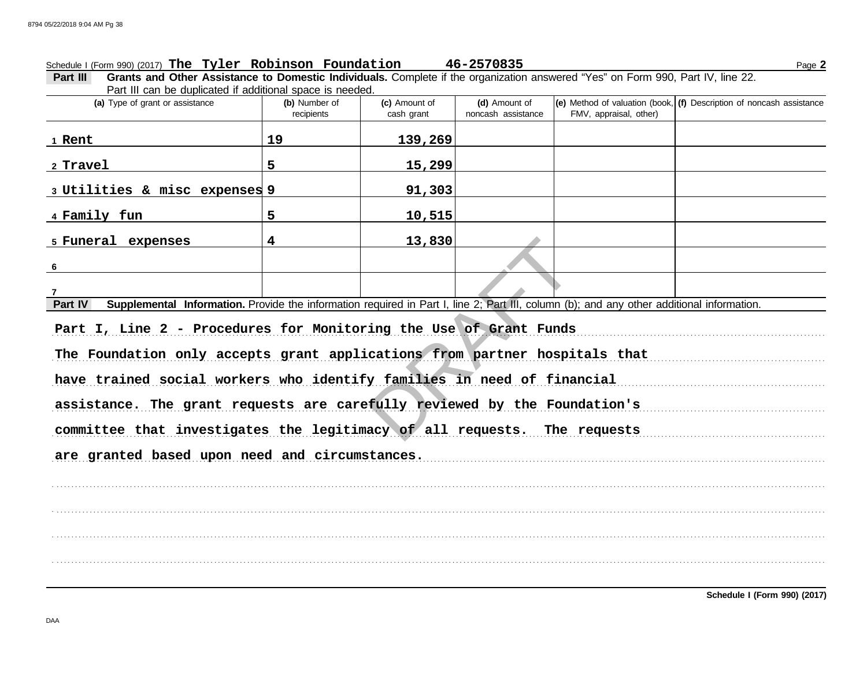# Schedule I (Form 990) (2017) Page **2 The Tyler Robinson Foundation 46-2570835**

**Part III Grants and Other Assistance to Domestic Individuals.** Complete if the organization answered "Yes" on Form 990, Part IV, line 22. Part III can be duplicated if additional space is needed.

| (a) Type of grant or assistance                                                                                                                      | (b) Number of<br>recipients | (c) Amount of<br>cash grant | (d) Amount of<br>noncash assistance | FMV, appraisal, other) | $\vert$ (e) Method of valuation (book, $\vert$ (f) Description of noncash assistance |  |  |  |
|------------------------------------------------------------------------------------------------------------------------------------------------------|-----------------------------|-----------------------------|-------------------------------------|------------------------|--------------------------------------------------------------------------------------|--|--|--|
| 1 Rent                                                                                                                                               | 19                          | 139,269                     |                                     |                        |                                                                                      |  |  |  |
| 2 Travel                                                                                                                                             | 5                           | 15,299                      |                                     |                        |                                                                                      |  |  |  |
| 3 Utilities & misc expenses 9                                                                                                                        |                             | 91,303                      |                                     |                        |                                                                                      |  |  |  |
| 4 Family fun                                                                                                                                         | 5                           | 10,515                      |                                     |                        |                                                                                      |  |  |  |
| 5 Funeral expenses                                                                                                                                   | 4                           | 13,830                      |                                     |                        |                                                                                      |  |  |  |
| 6                                                                                                                                                    |                             |                             |                                     |                        |                                                                                      |  |  |  |
| 7                                                                                                                                                    |                             |                             |                                     |                        |                                                                                      |  |  |  |
| Supplemental Information. Provide the information required in Part I, line 2; Part III, column (b); and any other additional information.<br>Part IV |                             |                             |                                     |                        |                                                                                      |  |  |  |
| Part I, Line 2 - Procedures for Monitoring the Use of Grant Funds                                                                                    |                             |                             |                                     |                        |                                                                                      |  |  |  |
| The Foundation only accepts grant applications from partner hospitals that                                                                           |                             |                             |                                     |                        |                                                                                      |  |  |  |
| have trained social workers who identify families in need of financial                                                                               |                             |                             |                                     |                        |                                                                                      |  |  |  |
| assistance. The grant requests are carefully reviewed by the Foundation's                                                                            |                             |                             |                                     |                        |                                                                                      |  |  |  |
| committee that investigates the legitimacy of all requests. The requests                                                                             |                             |                             |                                     |                        |                                                                                      |  |  |  |
| are granted based upon need and circumstances.                                                                                                       |                             |                             |                                     |                        |                                                                                      |  |  |  |
|                                                                                                                                                      |                             |                             |                                     |                        |                                                                                      |  |  |  |
|                                                                                                                                                      |                             |                             |                                     |                        |                                                                                      |  |  |  |
|                                                                                                                                                      |                             |                             |                                     |                        |                                                                                      |  |  |  |
|                                                                                                                                                      |                             |                             |                                     |                        |                                                                                      |  |  |  |
|                                                                                                                                                      |                             |                             |                                     |                        |                                                                                      |  |  |  |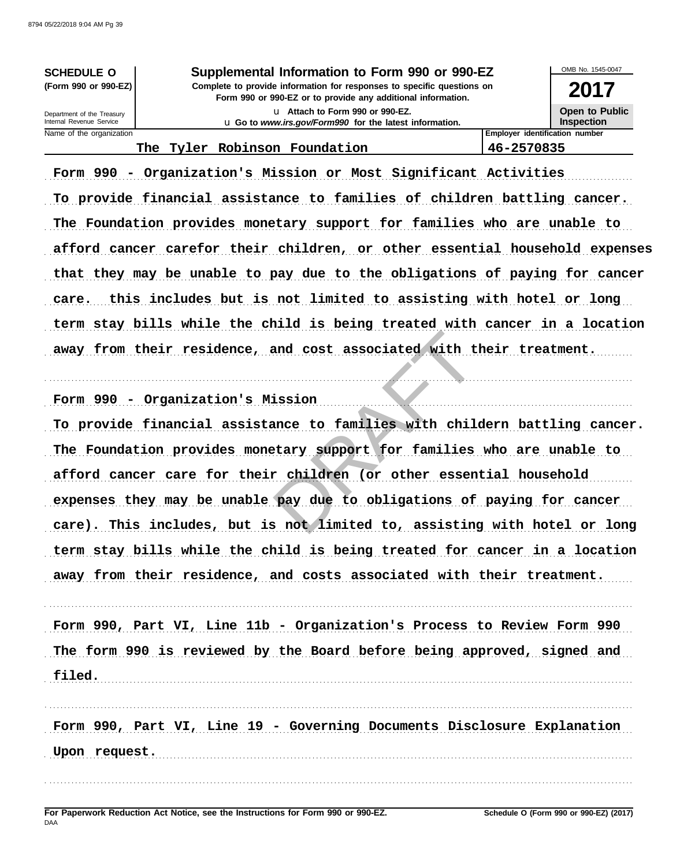Name of the organization

**SCHEDULE O** Supplemental Information to Form 990 or 990-EZ (Form 990 or 990-EZ) Complete to provide information for responses to specific questions on Form 990 or 990-EZ or to provide any additional information. U Attach to Form 990 or 990-EZ. Department of the Treasury<br>Internal Revenue Service



46-2570835

**Open to Public Inspection** Employer identification number

OMB No. 1545-0047

## The Tyler Robinson Foundation

Form 990 - Organization's Mission or Most Significant Activities To provide financial assistance to families of children battling cancer. The Foundation provides monetary support for families who are unable to afford cancer carefor their children, or other essential household expenses that they may be unable to pay due to the obligations of paying for cancer care. this includes but is not limited to assisting with hotel or long term stay bills while the child is being treated with cancer in a location away from their residence, and cost associated with their treatment.

Form 990 - Organization's Mission

To provide financial assistance to families with childern battling cancer. The Foundation provides monetary support for families who are unable to afford cancer care for their children (or other essential household expenses they may be unable pay due to obligations of paying for cancer care). This includes, but is not limited to, assisting with hotel or long term stay bills while the child is being treated for cancer in a location away from their residence, and costs associated with their treatment.

Form 990, Part VI, Line 11b - Organization's Process to Review Form 990 The form 990 is reviewed by the Board before being approved, signed and filed.

Form 990, Part VI, Line 19 - Governing Documents Disclosure Explanation Upon request.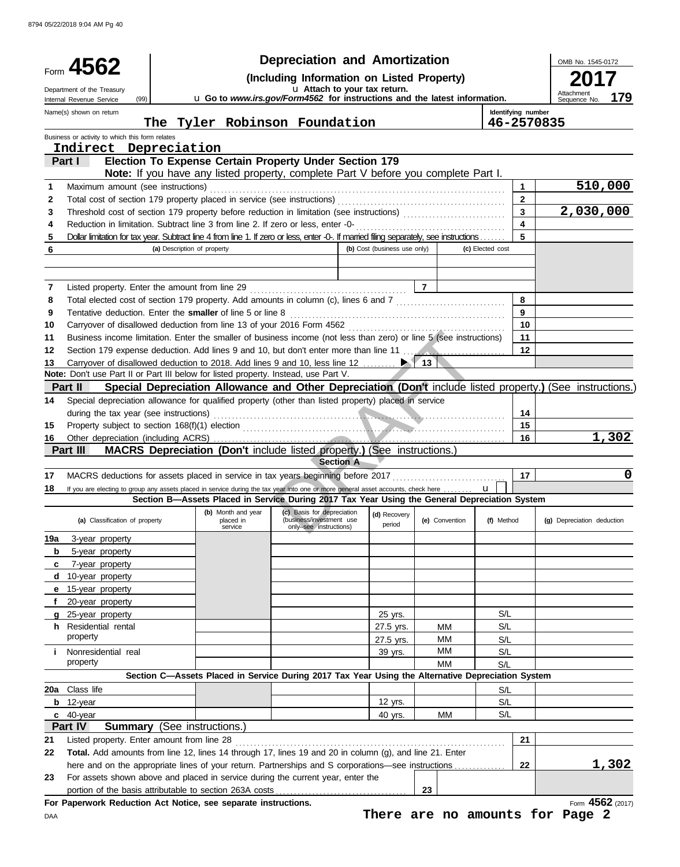|        | Form 4562                                                                                                                                                                 | <b>Depreciation and Amortization</b><br>(Including Information on Listed Property) |                                            |                                                                                                                                         |                              |                    |                  | OMB No. 1545-0172                                                                                          |
|--------|---------------------------------------------------------------------------------------------------------------------------------------------------------------------------|------------------------------------------------------------------------------------|--------------------------------------------|-----------------------------------------------------------------------------------------------------------------------------------------|------------------------------|--------------------|------------------|------------------------------------------------------------------------------------------------------------|
|        | U Attach to your tax return.<br>Department of the Treasury                                                                                                                |                                                                                    |                                            |                                                                                                                                         |                              |                    | Attachmen<br>179 |                                                                                                            |
|        | U Go to www.irs.gov/Form4562 for instructions and the latest information.<br>(99)<br>Internal Revenue Service<br>Name(s) shown on return<br>The Tyler Robinson Foundation |                                                                                    |                                            |                                                                                                                                         |                              | Identifying number | Sequence No.     |                                                                                                            |
|        | Business or activity to which this form relates                                                                                                                           |                                                                                    |                                            |                                                                                                                                         |                              |                    | 46-2570835       |                                                                                                            |
|        | Indirect Depreciation                                                                                                                                                     |                                                                                    |                                            |                                                                                                                                         |                              |                    |                  |                                                                                                            |
|        | Part I                                                                                                                                                                    |                                                                                    |                                            | Election To Expense Certain Property Under Section 179                                                                                  |                              |                    |                  |                                                                                                            |
|        |                                                                                                                                                                           |                                                                                    |                                            | Note: If you have any listed property, complete Part V before you complete Part I.                                                      |                              |                    |                  |                                                                                                            |
| 1      | Maximum amount (see instructions)                                                                                                                                         |                                                                                    |                                            |                                                                                                                                         |                              |                    | 1                | 510,000                                                                                                    |
| 2<br>3 |                                                                                                                                                                           |                                                                                    |                                            |                                                                                                                                         |                              |                    | 2<br>3           | 2,030,000                                                                                                  |
| 4      |                                                                                                                                                                           |                                                                                    |                                            | Reduction in limitation. Subtract line 3 from line 2. If zero or less, enter -0-                                                        |                              |                    | 4                |                                                                                                            |
| 5      |                                                                                                                                                                           |                                                                                    |                                            | Dollar limitation for tax year. Subtract line 4 from line 1. If zero or less, enter -0-. If married filing separately, see instructions |                              |                    | 5                |                                                                                                            |
| 6      |                                                                                                                                                                           | (a) Description of property                                                        |                                            |                                                                                                                                         | (b) Cost (business use only) |                    | (c) Elected cost |                                                                                                            |
|        |                                                                                                                                                                           |                                                                                    |                                            |                                                                                                                                         |                              |                    |                  |                                                                                                            |
|        |                                                                                                                                                                           |                                                                                    |                                            |                                                                                                                                         |                              | $\overline{7}$     |                  |                                                                                                            |
| 7<br>8 |                                                                                                                                                                           |                                                                                    |                                            | Total elected cost of section 179 property. Add amounts in column (c), lines 6 and 7 [[[[[[[[[[[[[[[[[[[[[[[[                           |                              |                    | 8                |                                                                                                            |
| 9      | Tentative deduction. Enter the smaller of line 5 or line 8                                                                                                                |                                                                                    |                                            |                                                                                                                                         |                              |                    | 9                |                                                                                                            |
| 10     |                                                                                                                                                                           |                                                                                    |                                            |                                                                                                                                         |                              |                    | 10               |                                                                                                            |
| 11     |                                                                                                                                                                           |                                                                                    |                                            | Business income limitation. Enter the smaller of business income (not less than zero) or line 5 (see instructions)                      |                              |                    | 11               |                                                                                                            |
| 12     |                                                                                                                                                                           |                                                                                    |                                            | Section 179 expense deduction. Add lines 9 and 10, but don't enter more than line 11                                                    |                              |                    | $12 \,$          |                                                                                                            |
| 13     |                                                                                                                                                                           |                                                                                    |                                            | Carryover of disallowed deduction to 2018. Add lines 9 and 10, less line 12  ▶ │                                                        |                              | 13 <sup>1</sup>    |                  |                                                                                                            |
|        | Note: Don't use Part II or Part III below for listed property. Instead, use Part V.                                                                                       |                                                                                    |                                            |                                                                                                                                         |                              |                    |                  |                                                                                                            |
|        | Part II                                                                                                                                                                   |                                                                                    |                                            |                                                                                                                                         |                              |                    |                  | Special Depreciation Allowance and Other Depreciation (Don't include listed property.) (See instructions.) |
| 14     |                                                                                                                                                                           |                                                                                    |                                            | Special depreciation allowance for qualified property (other than listed property) placed in service                                    |                              |                    |                  |                                                                                                            |
|        | during the tax year (see instructions)                                                                                                                                    |                                                                                    |                                            |                                                                                                                                         |                              |                    | 14               |                                                                                                            |
| 15     |                                                                                                                                                                           |                                                                                    |                                            |                                                                                                                                         |                              |                    | 15               | 1,302                                                                                                      |
| 16     | Part III                                                                                                                                                                  |                                                                                    |                                            | <b>MACRS Depreciation (Don't include listed property.) (See instructions.)</b>                                                          |                              |                    | 16               |                                                                                                            |
|        |                                                                                                                                                                           |                                                                                    |                                            | <b>Section A</b>                                                                                                                        |                              |                    |                  |                                                                                                            |
| 17     |                                                                                                                                                                           |                                                                                    |                                            | MACRS deductions for assets placed in service in tax years beginning before 2017                                                        |                              |                    | 17               | 0                                                                                                          |
| 18     |                                                                                                                                                                           |                                                                                    |                                            | If you are electing to group any assets placed in service during the tax year into one or more general asset accounts, check here       |                              |                    | $\mathbf{u}$     |                                                                                                            |
|        |                                                                                                                                                                           |                                                                                    |                                            | Section B-Assets Placed in Service During 2017 Tax Year Using the General Depreciation System                                           |                              |                    |                  |                                                                                                            |
|        | (a) Classification of property                                                                                                                                            |                                                                                    | (b) Month and year<br>placed in<br>service | (c) Basis for depreciation<br>(business/investment use<br>only-see instructions)                                                        | (d) Recovery<br>period       | (e) Convention     | (f) Method       | (g) Depreciation deduction                                                                                 |
| 19a    | 3-year property                                                                                                                                                           |                                                                                    |                                            |                                                                                                                                         |                              |                    |                  |                                                                                                            |
| b      | 5-year property                                                                                                                                                           |                                                                                    |                                            |                                                                                                                                         |                              |                    |                  |                                                                                                            |
| c      | 7-year property                                                                                                                                                           |                                                                                    |                                            |                                                                                                                                         |                              |                    |                  |                                                                                                            |
| d      | 10-year property                                                                                                                                                          |                                                                                    |                                            |                                                                                                                                         |                              |                    |                  |                                                                                                            |
| е      | 15-year property                                                                                                                                                          |                                                                                    |                                            |                                                                                                                                         |                              |                    |                  |                                                                                                            |
| f      | 20-year property                                                                                                                                                          |                                                                                    |                                            |                                                                                                                                         |                              |                    | S/L              |                                                                                                            |
| a      | 25-year property<br>h Residential rental                                                                                                                                  |                                                                                    |                                            |                                                                                                                                         | 25 yrs.<br>27.5 yrs.         | ΜМ                 | S/L              |                                                                                                            |
|        | property                                                                                                                                                                  |                                                                                    |                                            |                                                                                                                                         | 27.5 yrs.                    | ΜМ                 | S/L              |                                                                                                            |
| Ť.     | Nonresidential real                                                                                                                                                       |                                                                                    |                                            |                                                                                                                                         | 39 yrs.                      | мм                 | S/L              |                                                                                                            |
|        | property                                                                                                                                                                  |                                                                                    |                                            |                                                                                                                                         |                              | MM                 | S/L              |                                                                                                            |
|        |                                                                                                                                                                           |                                                                                    |                                            | Section C-Assets Placed in Service During 2017 Tax Year Using the Alternative Depreciation System                                       |                              |                    |                  |                                                                                                            |
|        | 20a Class life                                                                                                                                                            |                                                                                    |                                            |                                                                                                                                         |                              |                    | S/L              |                                                                                                            |
|        | $b$ 12-year                                                                                                                                                               |                                                                                    |                                            |                                                                                                                                         | 12 yrs.                      |                    | S/L              |                                                                                                            |
|        | c 40-year                                                                                                                                                                 |                                                                                    |                                            |                                                                                                                                         | 40 yrs.                      | МM                 | S/L              |                                                                                                            |
|        | Part IV                                                                                                                                                                   |                                                                                    | <b>Summary</b> (See instructions.)         |                                                                                                                                         |                              |                    |                  |                                                                                                            |
| 21     | Listed property. Enter amount from line 28                                                                                                                                |                                                                                    |                                            |                                                                                                                                         |                              |                    | 21               |                                                                                                            |
| 22     |                                                                                                                                                                           |                                                                                    |                                            | Total. Add amounts from line 12, lines 14 through 17, lines 19 and 20 in column (g), and line 21. Enter                                 |                              |                    |                  |                                                                                                            |
|        |                                                                                                                                                                           |                                                                                    |                                            | here and on the appropriate lines of your return. Partnerships and S corporations—see instructions                                      |                              |                    | 22               | <u>1,302</u>                                                                                               |
| 23     | portion of the basis attributable to section 263A costs                                                                                                                   |                                                                                    |                                            | For assets shown above and placed in service during the current year, enter the                                                         |                              | 23                 |                  |                                                                                                            |
|        | For Paperwork Reduction Act Notice, see separate instructions.                                                                                                            |                                                                                    |                                            |                                                                                                                                         |                              |                    |                  | Form 4562 (2017)                                                                                           |
| DAA    |                                                                                                                                                                           |                                                                                    |                                            |                                                                                                                                         |                              |                    |                  | There are no amounts for Page 2                                                                            |